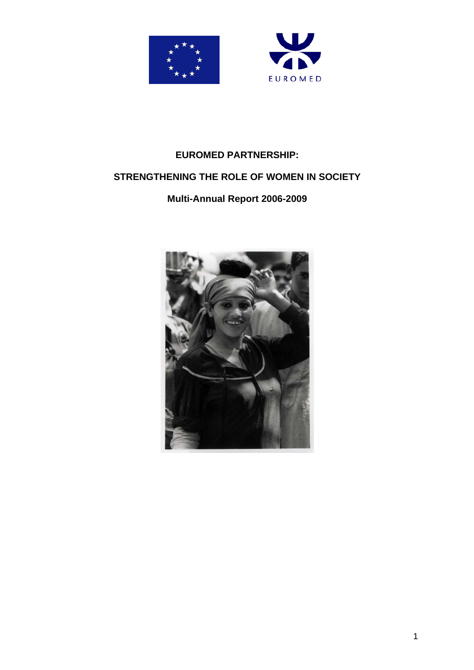



# **EUROMED PARTNERSHIP:**

# **STRENGTHENING THE ROLE OF WOMEN IN SOCIETY**

# **Multi-Annual Report 2006-2009**

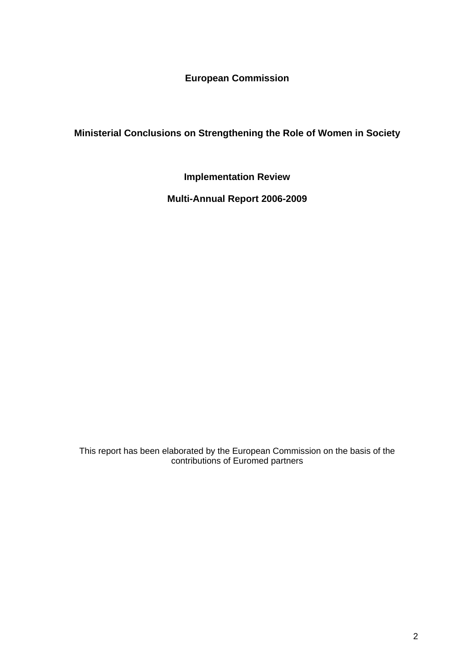**European Commission** 

**Ministerial Conclusions on Strengthening the Role of Women in Society** 

**Implementation Review** 

**Multi-Annual Report 2006-2009** 

This report has been elaborated by the European Commission on the basis of the contributions of Euromed partners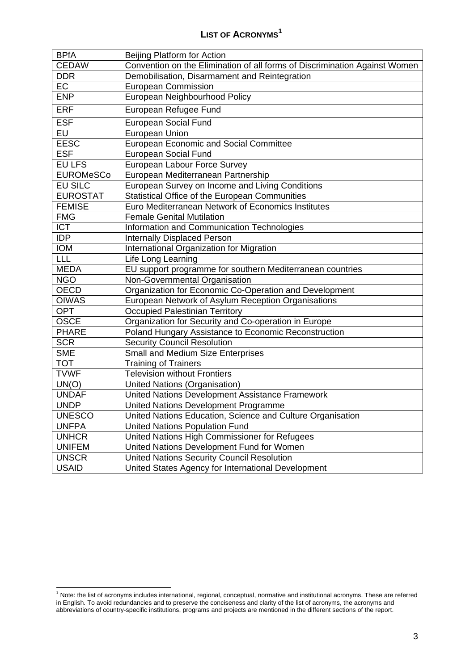<span id="page-2-0"></span>

| <b>BPfA</b>      | Beijing Platform for Action                                                |
|------------------|----------------------------------------------------------------------------|
| <b>CEDAW</b>     | Convention on the Elimination of all forms of Discrimination Against Women |
| <b>DDR</b>       | Demobilisation, Disarmament and Reintegration                              |
| EC               | <b>European Commission</b>                                                 |
| <b>ENP</b>       | European Neighbourhood Policy                                              |
| <b>ERF</b>       | European Refugee Fund                                                      |
| <b>ESF</b>       | <b>European Social Fund</b>                                                |
| EU               | European Union                                                             |
| <b>EESC</b>      | <b>European Economic and Social Committee</b>                              |
| <b>ESF</b>       | <b>European Social Fund</b>                                                |
| <b>EU LFS</b>    | European Labour Force Survey                                               |
| <b>EUROMeSCo</b> | European Mediterranean Partnership                                         |
| <b>EU SILC</b>   | European Survey on Income and Living Conditions                            |
| <b>EUROSTAT</b>  | Statistical Office of the European Communities                             |
| <b>FEMISE</b>    | Euro Mediterranean Network of Economics Institutes                         |
| <b>FMG</b>       | <b>Female Genital Mutilation</b>                                           |
| <b>ICT</b>       | Information and Communication Technologies                                 |
| <b>IDP</b>       | <b>Internally Displaced Person</b>                                         |
| <b>IOM</b>       | International Organization for Migration                                   |
| LLL              | Life Long Learning                                                         |
| <b>MEDA</b>      | EU support programme for southern Mediterranean countries                  |
| <b>NGO</b>       | Non-Governmental Organisation                                              |
| <b>OECD</b>      | Organization for Economic Co-Operation and Development                     |
| <b>OIWAS</b>     | European Network of Asylum Reception Organisations                         |
| <b>OPT</b>       | <b>Occupied Palestinian Territory</b>                                      |
| <b>OSCE</b>      | Organization for Security and Co-operation in Europe                       |
| <b>PHARE</b>     | Poland Hungary Assistance to Economic Reconstruction                       |
| <b>SCR</b>       | <b>Security Council Resolution</b>                                         |
| <b>SME</b>       | <b>Small and Medium Size Enterprises</b>                                   |
| <b>TOT</b>       | <b>Training of Trainers</b>                                                |
| <b>TVWF</b>      | <b>Television without Frontiers</b>                                        |
| UN(O)            | United Nations (Organisation)                                              |
| <b>UNDAF</b>     | United Nations Development Assistance Framework                            |
| <b>UNDP</b>      | United Nations Development Programme                                       |
| <b>UNESCO</b>    | United Nations Education, Science and Culture Organisation                 |
| <b>UNFPA</b>     | <b>United Nations Population Fund</b>                                      |
| <b>UNHCR</b>     | United Nations High Commissioner for Refugees                              |
| <b>UNIFEM</b>    | United Nations Development Fund for Women                                  |
| <b>UNSCR</b>     | <b>United Nations Security Council Resolution</b>                          |
| <b>USAID</b>     | United States Agency for International Development                         |

 1 Note: the list of acronyms includes international, regional, conceptual, normative and institutional acronyms. These are referred in English. To avoid redundancies and to preserve the conciseness and clarity of the list of acronyms, the acronyms and abbreviations of country-specific institutions, programs and projects are mentioned in the different sections of the report.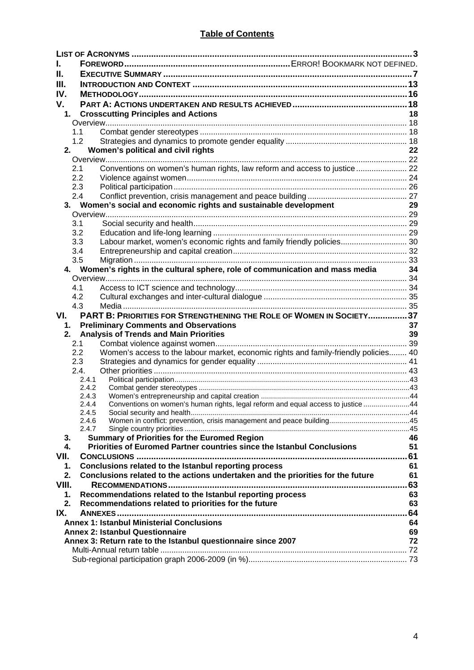| L.    |                                                                                                                               |     |
|-------|-------------------------------------------------------------------------------------------------------------------------------|-----|
| Н.    |                                                                                                                               |     |
| III.  |                                                                                                                               |     |
| IV.   |                                                                                                                               |     |
| V.    |                                                                                                                               |     |
| 1.    | <b>Crosscutting Principles and Actions</b>                                                                                    | 18  |
|       |                                                                                                                               |     |
|       | 1.1                                                                                                                           |     |
|       | 1.2                                                                                                                           |     |
| 2.    | Women's political and civil rights                                                                                            | 22  |
|       | Conventions on women's human rights, law reform and access to justice 22<br>2.1                                               |     |
|       | 2.2                                                                                                                           |     |
|       | 2.3                                                                                                                           |     |
|       | 2.4                                                                                                                           |     |
|       | 3. Women's social and economic rights and sustainable development                                                             | 29  |
|       |                                                                                                                               |     |
|       | 3.1                                                                                                                           |     |
|       | 3.2                                                                                                                           |     |
|       | Labour market, women's economic rights and family friendly policies 30<br>3.3                                                 |     |
|       | 3.4                                                                                                                           |     |
|       | 3.5<br>4. Women's rights in the cultural sphere, role of communication and mass media 34                                      |     |
|       |                                                                                                                               |     |
|       | 4.1                                                                                                                           |     |
|       | 4.2                                                                                                                           |     |
|       | 4.3                                                                                                                           |     |
|       |                                                                                                                               |     |
| VI.   | PART B: PRIORITIES FOR STRENGTHENING THE ROLE OF WOMEN IN SOCIETY37                                                           |     |
| 1.    | <b>Preliminary Comments and Observations</b>                                                                                  | 37  |
| 2.    | <b>Analysis of Trends and Main Priorities</b>                                                                                 | 39  |
|       | 2.1                                                                                                                           |     |
|       | Women's access to the labour market, economic rights and family-friendly policies 40<br>2.2                                   |     |
|       | 2.3                                                                                                                           |     |
|       | 2.4.                                                                                                                          |     |
|       | 2.4.1<br>2.4.2                                                                                                                |     |
|       | 2.4.3                                                                                                                         |     |
|       | Conventions on women's human rights, legal reform and equal access to justice 44<br>2.4.4                                     |     |
|       | 2.4.5                                                                                                                         |     |
|       | 2.4.6<br>2.4.7                                                                                                                |     |
| 3.    |                                                                                                                               | 46  |
| 4.    | <b>Summary of Priorities for the Euromed Region</b><br>Priorities of Euromed Partner countries since the Istanbul Conclusions | 51  |
| VII.  |                                                                                                                               |     |
| 1.    | Conclusions related to the Istanbul reporting process                                                                         | 61  |
| 2.    | Conclusions related to the actions undertaken and the priorities for the future                                               | 61  |
| VIII. |                                                                                                                               | .63 |
| 1.    | Recommendations related to the Istanbul reporting process                                                                     | 63  |
| 2.    | Recommendations related to priorities for the future                                                                          | 63  |
| IX.   |                                                                                                                               | .64 |
|       | <b>Annex 1: Istanbul Ministerial Conclusions</b>                                                                              | 64  |
|       | <b>Annex 2: Istanbul Questionnaire</b>                                                                                        | 69  |
|       | Annex 3: Return rate to the Istanbul questionnaire since 2007                                                                 | 72  |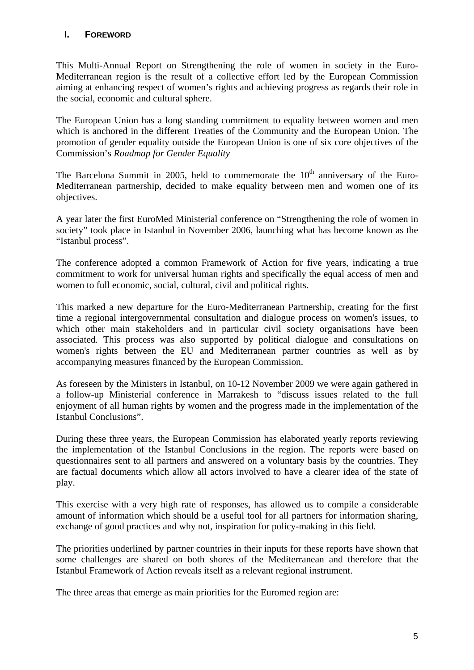## **I. FOREWORD**

This Multi-Annual Report on Strengthening the role of women in society in the Euro-Mediterranean region is the result of a collective effort led by the European Commission aiming at enhancing respect of women's rights and achieving progress as regards their role in the social, economic and cultural sphere.

The European Union has a long standing commitment to equality between women and men which is anchored in the different Treaties of the Community and the European Union. The promotion of gender equality outside the European Union is one of six core objectives of the Commission's *Roadmap for Gender Equality* 

The Barcelona Summit in 2005, held to commemorate the  $10<sup>th</sup>$  anniversary of the Euro-Mediterranean partnership, decided to make equality between men and women one of its objectives.

A year later the first EuroMed Ministerial conference on "Strengthening the role of women in society" took place in Istanbul in November 2006, launching what has become known as the "Istanbul process".

The conference adopted a common Framework of Action for five years, indicating a true commitment to work for universal human rights and specifically the equal access of men and women to full economic, social, cultural, civil and political rights.

This marked a new departure for the Euro-Mediterranean Partnership, creating for the first time a regional intergovernmental consultation and dialogue process on women's issues, to which other main stakeholders and in particular civil society organisations have been associated. This process was also supported by political dialogue and consultations on women's rights between the EU and Mediterranean partner countries as well as by accompanying measures financed by the European Commission.

As foreseen by the Ministers in Istanbul, on 10-12 November 2009 we were again gathered in a follow-up Ministerial conference in Marrakesh to "discuss issues related to the full enjoyment of all human rights by women and the progress made in the implementation of the Istanbul Conclusions".

During these three years, the European Commission has elaborated yearly reports reviewing the implementation of the Istanbul Conclusions in the region. The reports were based on questionnaires sent to all partners and answered on a voluntary basis by the countries. They are factual documents which allow all actors involved to have a clearer idea of the state of play.

This exercise with a very high rate of responses, has allowed us to compile a considerable amount of information which should be a useful tool for all partners for information sharing, exchange of good practices and why not, inspiration for policy-making in this field.

The priorities underlined by partner countries in their inputs for these reports have shown that some challenges are shared on both shores of the Mediterranean and therefore that the Istanbul Framework of Action reveals itself as a relevant regional instrument.

The three areas that emerge as main priorities for the Euromed region are: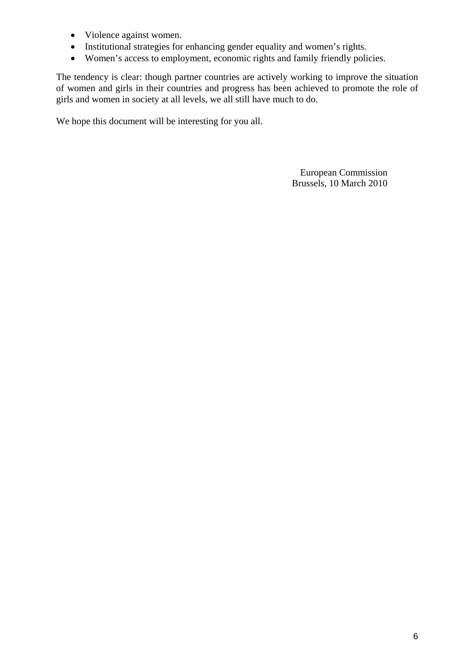- Violence against women.
- Institutional strategies for enhancing gender equality and women's rights.
- Women's access to employment, economic rights and family friendly policies.

The tendency is clear: though partner countries are actively working to improve the situation of women and girls in their countries and progress has been achieved to promote the role of girls and women in society at all levels, we all still have much to do.

We hope this document will be interesting for you all.

European Commission Brussels, 10 March 2010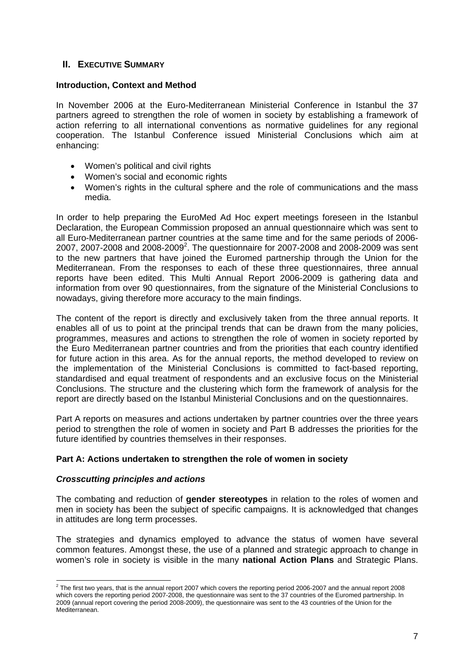## <span id="page-6-0"></span>**II. EXECUTIVE SUMMARY**

#### **Introduction, Context and Method**

In November 2006 at the Euro-Mediterranean Ministerial Conference in Istanbul the 37 partners agreed to strengthen the role of women in society by establishing a framework of action referring to all international conventions as normative guidelines for any regional cooperation. The Istanbul Conference issued Ministerial Conclusions which aim at enhancing:

- Women's political and civil rights
- Women's social and economic rights
- Women's rights in the cultural sphere and the role of communications and the mass media.

In order to help preparing the EuroMed Ad Hoc expert meetings foreseen in the Istanbul Declaration, the European Commission proposed an annual questionnaire which was sent to all Euro-Mediterranean partner countries at the same time and for the same periods of 2006- 2007, 2007-2008 and 2008-2009<sup>2</sup>. The questionnaire for 2007-2008 and 2008-2009 was sent to the new partners that have joined the Euromed partnership through the Union for the Mediterranean. From the responses to each of these three questionnaires, three annual reports have been edited. This Multi Annual Report 2006-2009 is gathering data and information from over 90 questionnaires, from the signature of the Ministerial Conclusions to nowadays, giving therefore more accuracy to the main findings.

The content of the report is directly and exclusively taken from the three annual reports. It enables all of us to point at the principal trends that can be drawn from the many policies, programmes, measures and actions to strengthen the role of women in society reported by the Euro Mediterranean partner countries and from the priorities that each country identified for future action in this area. As for the annual reports, the method developed to review on the implementation of the Ministerial Conclusions is committed to fact-based reporting, standardised and equal treatment of respondents and an exclusive focus on the Ministerial Conclusions. The structure and the clustering which form the framework of analysis for the report are directly based on the Istanbul Ministerial Conclusions and on the questionnaires.

Part A reports on measures and actions undertaken by partner countries over the three years period to strengthen the role of women in society and Part B addresses the priorities for the future identified by countries themselves in their responses.

#### **Part A: Actions undertaken to strengthen the role of women in society**

#### *Crosscutting principles and actions*

The combating and reduction of **gender stereotypes** in relation to the roles of women and men in society has been the subject of specific campaigns. It is acknowledged that changes in attitudes are long term processes.

The strategies and dynamics employed to advance the status of women have several common features. Amongst these, the use of a planned and strategic approach to change in women's role in society is visible in the many **national Action Plans** and Strategic Plans.

 2 The first two years, that is the annual report 2007 which covers the reporting period 2006-2007 and the annual report 2008 which covers the reporting period 2007-2008, the questionnaire was sent to the 37 countries of the Euromed partnership. In 2009 (annual report covering the period 2008-2009), the questionnaire was sent to the 43 countries of the Union for the **Mediterranean**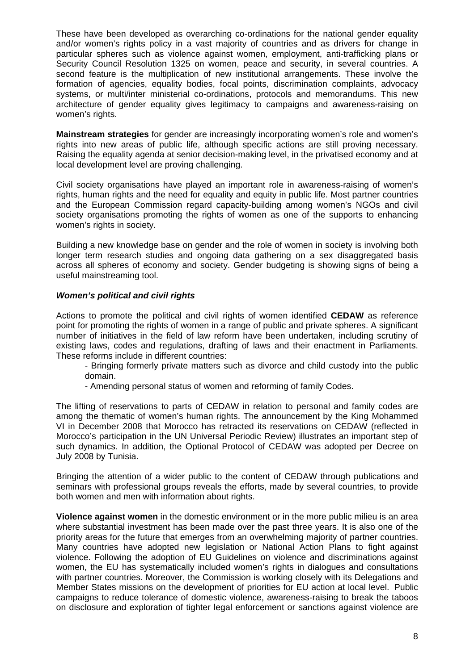These have been developed as overarching co-ordinations for the national gender equality and/or women's rights policy in a vast majority of countries and as drivers for change in particular spheres such as violence against women, employment, anti-trafficking plans or Security Council Resolution 1325 on women, peace and security, in several countries. A second feature is the multiplication of new institutional arrangements. These involve the formation of agencies, equality bodies, focal points, discrimination complaints, advocacy systems, or multi/inter ministerial co-ordinations, protocols and memorandums. This new architecture of gender equality gives legitimacy to campaigns and awareness-raising on women's rights.

**Mainstream strategies** for gender are increasingly incorporating women's role and women's rights into new areas of public life, although specific actions are still proving necessary. Raising the equality agenda at senior decision-making level, in the privatised economy and at local development level are proving challenging.

Civil society organisations have played an important role in awareness-raising of women's rights, human rights and the need for equality and equity in public life. Most partner countries and the European Commission regard capacity-building among women's NGOs and civil society organisations promoting the rights of women as one of the supports to enhancing women's rights in society.

Building a new knowledge base on gender and the role of women in society is involving both longer term research studies and ongoing data gathering on a sex disaggregated basis across all spheres of economy and society. Gender budgeting is showing signs of being a useful mainstreaming tool.

## *Women's political and civil rights*

Actions to promote the political and civil rights of women identified **CEDAW** as reference point for promoting the rights of women in a range of public and private spheres. A significant number of initiatives in the field of law reform have been undertaken, including scrutiny of existing laws, codes and regulations, drafting of laws and their enactment in Parliaments. These reforms include in different countries:

- Bringing formerly private matters such as divorce and child custody into the public domain.

- Amending personal status of women and reforming of family Codes.

The lifting of reservations to parts of CEDAW in relation to personal and family codes are among the thematic of women's human rights. The announcement by the King Mohammed VI in December 2008 that Morocco has retracted its reservations on CEDAW (reflected in Morocco's participation in the UN Universal Periodic Review) illustrates an important step of such dynamics. In addition, the Optional Protocol of CEDAW was adopted per Decree on July 2008 by Tunisia.

Bringing the attention of a wider public to the content of CEDAW through publications and seminars with professional groups reveals the efforts, made by several countries, to provide both women and men with information about rights.

**Violence against women** in the domestic environment or in the more public milieu is an area where substantial investment has been made over the past three years. It is also one of the priority areas for the future that emerges from an overwhelming majority of partner countries. Many countries have adopted new legislation or National Action Plans to fight against violence. Following the adoption of EU Guidelines on violence and discriminations against women, the EU has systematically included women's rights in dialogues and consultations with partner countries. Moreover, the Commission is working closely with its Delegations and Member States missions on the development of priorities for EU action at local level. Public campaigns to reduce tolerance of domestic violence, awareness-raising to break the taboos on disclosure and exploration of tighter legal enforcement or sanctions against violence are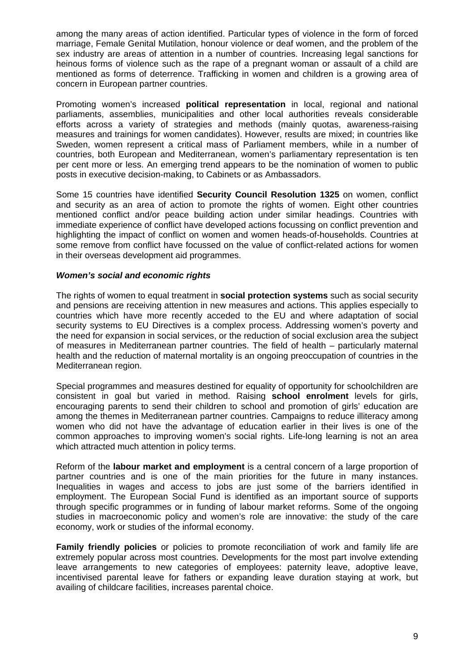among the many areas of action identified. Particular types of violence in the form of forced marriage, Female Genital Mutilation, honour violence or deaf women, and the problem of the sex industry are areas of attention in a number of countries. Increasing legal sanctions for heinous forms of violence such as the rape of a pregnant woman or assault of a child are mentioned as forms of deterrence. Trafficking in women and children is a growing area of concern in European partner countries.

Promoting women's increased **political representation** in local, regional and national parliaments, assemblies, municipalities and other local authorities reveals considerable efforts across a variety of strategies and methods (mainly quotas, awareness-raising measures and trainings for women candidates). However, results are mixed; in countries like Sweden, women represent a critical mass of Parliament members, while in a number of countries, both European and Mediterranean, women's parliamentary representation is ten per cent more or less. An emerging trend appears to be the nomination of women to public posts in executive decision-making, to Cabinets or as Ambassadors.

Some 15 countries have identified **Security Council Resolution 1325** on women, conflict and security as an area of action to promote the rights of women. Eight other countries mentioned conflict and/or peace building action under similar headings. Countries with immediate experience of conflict have developed actions focussing on conflict prevention and highlighting the impact of conflict on women and women heads-of-households. Countries at some remove from conflict have focussed on the value of conflict-related actions for women in their overseas development aid programmes.

#### *Women's social and economic rights*

The rights of women to equal treatment in **social protection systems** such as social security and pensions are receiving attention in new measures and actions. This applies especially to countries which have more recently acceded to the EU and where adaptation of social security systems to EU Directives is a complex process. Addressing women's poverty and the need for expansion in social services, or the reduction of social exclusion area the subject of measures in Mediterranean partner countries. The field of health – particularly maternal health and the reduction of maternal mortality is an ongoing preoccupation of countries in the Mediterranean region.

Special programmes and measures destined for equality of opportunity for schoolchildren are consistent in goal but varied in method. Raising **school enrolment** levels for girls, encouraging parents to send their children to school and promotion of girls' education are among the themes in Mediterranean partner countries. Campaigns to reduce illiteracy among women who did not have the advantage of education earlier in their lives is one of the common approaches to improving women's social rights. Life-long learning is not an area which attracted much attention in policy terms.

Reform of the **labour market and employment** is a central concern of a large proportion of partner countries and is one of the main priorities for the future in many instances. Inequalities in wages and access to jobs are just some of the barriers identified in employment. The European Social Fund is identified as an important source of supports through specific programmes or in funding of labour market reforms. Some of the ongoing studies in macroeconomic policy and women's role are innovative: the study of the care economy, work or studies of the informal economy.

**Family friendly policies** or policies to promote reconciliation of work and family life are extremely popular across most countries. Developments for the most part involve extending leave arrangements to new categories of employees: paternity leave, adoptive leave, incentivised parental leave for fathers or expanding leave duration staying at work, but availing of childcare facilities, increases parental choice.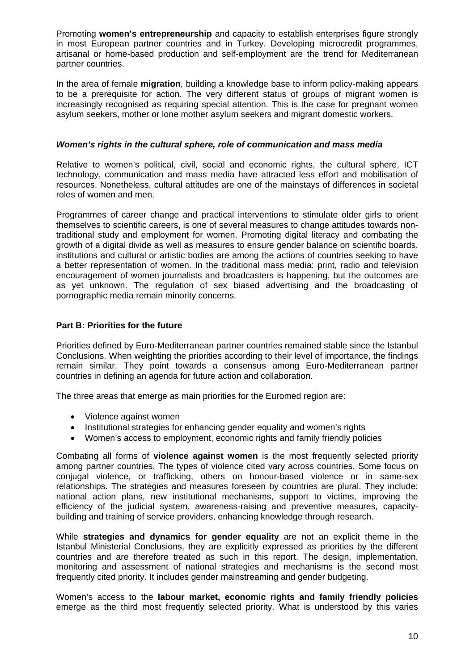Promoting **women's entrepreneurship** and capacity to establish enterprises figure strongly in most European partner countries and in Turkey. Developing microcredit programmes, artisanal or home-based production and self-employment are the trend for Mediterranean partner countries.

In the area of female **migration**, building a knowledge base to inform policy-making appears to be a prerequisite for action. The very different status of groups of migrant women is increasingly recognised as requiring special attention. This is the case for pregnant women asylum seekers, mother or lone mother asylum seekers and migrant domestic workers.

#### *Women's rights in the cultural sphere, role of communication and mass media*

Relative to women's political, civil, social and economic rights, the cultural sphere, ICT technology, communication and mass media have attracted less effort and mobilisation of resources. Nonetheless, cultural attitudes are one of the mainstays of differences in societal roles of women and men.

Programmes of career change and practical interventions to stimulate older girls to orient themselves to scientific careers, is one of several measures to change attitudes towards nontraditional study and employment for women. Promoting digital literacy and combating the growth of a digital divide as well as measures to ensure gender balance on scientific boards, institutions and cultural or artistic bodies are among the actions of countries seeking to have a better representation of women. In the traditional mass media: print, radio and television encouragement of women journalists and broadcasters is happening, but the outcomes are as yet unknown. The regulation of sex biased advertising and the broadcasting of pornographic media remain minority concerns.

## **Part B: Priorities for the future**

Priorities defined by Euro-Mediterranean partner countries remained stable since the Istanbul Conclusions. When weighting the priorities according to their level of importance, the findings remain similar. They point towards a consensus among Euro-Mediterranean partner countries in defining an agenda for future action and collaboration.

The three areas that emerge as main priorities for the Euromed region are:

- Violence against women
- Institutional strategies for enhancing gender equality and women's rights
- Women's access to employment, economic rights and family friendly policies

Combating all forms of **violence against women** is the most frequently selected priority among partner countries. The types of violence cited vary across countries. Some focus on conjugal violence, or trafficking, others on honour-based violence or in same-sex relationships. The strategies and measures foreseen by countries are plural. They include: national action plans, new institutional mechanisms, support to victims, improving the efficiency of the judicial system, awareness-raising and preventive measures, capacitybuilding and training of service providers, enhancing knowledge through research.

While **strategies and dynamics for gender equality** are not an explicit theme in the Istanbul Ministerial Conclusions, they are explicitly expressed as priorities by the different countries and are therefore treated as such in this report. The design, implementation, monitoring and assessment of national strategies and mechanisms is the second most frequently cited priority. It includes gender mainstreaming and gender budgeting.

Women's access to the **labour market, economic rights and family friendly policies**  emerge as the third most frequently selected priority. What is understood by this varies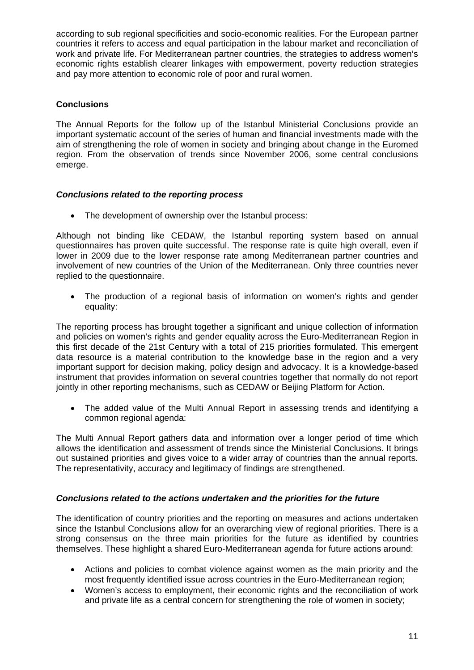according to sub regional specificities and socio-economic realities. For the European partner countries it refers to access and equal participation in the labour market and reconciliation of work and private life. For Mediterranean partner countries, the strategies to address women's economic rights establish clearer linkages with empowerment, poverty reduction strategies and pay more attention to economic role of poor and rural women.

## **Conclusions**

The Annual Reports for the follow up of the Istanbul Ministerial Conclusions provide an important systematic account of the series of human and financial investments made with the aim of strengthening the role of women in society and bringing about change in the Euromed region. From the observation of trends since November 2006, some central conclusions emerge.

#### *Conclusions related to the reporting process*

• The development of ownership over the Istanbul process:

Although not binding like CEDAW, the Istanbul reporting system based on annual questionnaires has proven quite successful. The response rate is quite high overall, even if lower in 2009 due to the lower response rate among Mediterranean partner countries and involvement of new countries of the Union of the Mediterranean. Only three countries never replied to the questionnaire.

• The production of a regional basis of information on women's rights and gender equality:

The reporting process has brought together a significant and unique collection of information and policies on women's rights and gender equality across the Euro-Mediterranean Region in this first decade of the 21st Century with a total of 215 priorities formulated. This emergent data resource is a material contribution to the knowledge base in the region and a very important support for decision making, policy design and advocacy. It is a knowledge-based instrument that provides information on several countries together that normally do not report jointly in other reporting mechanisms, such as CEDAW or Beijing Platform for Action.

• The added value of the Multi Annual Report in assessing trends and identifying a common regional agenda:

The Multi Annual Report gathers data and information over a longer period of time which allows the identification and assessment of trends since the Ministerial Conclusions. It brings out sustained priorities and gives voice to a wider array of countries than the annual reports. The representativity, accuracy and legitimacy of findings are strengthened.

#### *Conclusions related to the actions undertaken and the priorities for the future*

The identification of country priorities and the reporting on measures and actions undertaken since the Istanbul Conclusions allow for an overarching view of regional priorities. There is a strong consensus on the three main priorities for the future as identified by countries themselves. These highlight a shared Euro-Mediterranean agenda for future actions around:

- Actions and policies to combat violence against women as the main priority and the most frequently identified issue across countries in the Euro-Mediterranean region;
- Women's access to employment, their economic rights and the reconciliation of work and private life as a central concern for strengthening the role of women in society;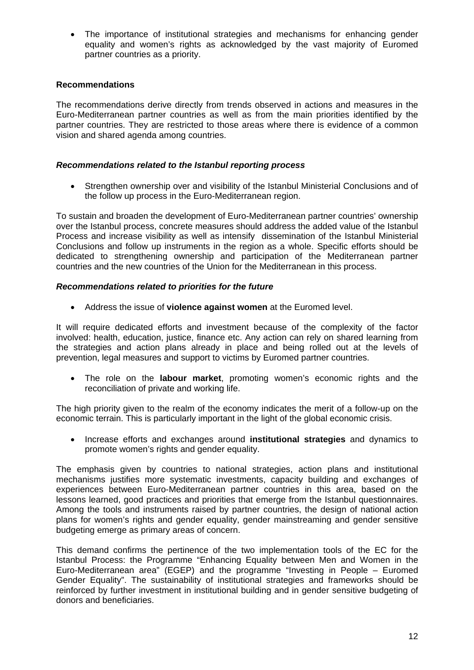• The importance of institutional strategies and mechanisms for enhancing gender equality and women's rights as acknowledged by the vast majority of Euromed partner countries as a priority.

#### **Recommendations**

The recommendations derive directly from trends observed in actions and measures in the Euro-Mediterranean partner countries as well as from the main priorities identified by the partner countries. They are restricted to those areas where there is evidence of a common vision and shared agenda among countries.

#### *Recommendations related to the Istanbul reporting process*

• Strengthen ownership over and visibility of the Istanbul Ministerial Conclusions and of the follow up process in the Euro-Mediterranean region.

To sustain and broaden the development of Euro-Mediterranean partner countries' ownership over the Istanbul process, concrete measures should address the added value of the Istanbul Process and increase visibility as well as intensify dissemination of the Istanbul Ministerial Conclusions and follow up instruments in the region as a whole. Specific efforts should be dedicated to strengthening ownership and participation of the Mediterranean partner countries and the new countries of the Union for the Mediterranean in this process.

## *Recommendations related to priorities for the future*

• Address the issue of **violence against women** at the Euromed level.

It will require dedicated efforts and investment because of the complexity of the factor involved: health, education, justice, finance etc. Any action can rely on shared learning from the strategies and action plans already in place and being rolled out at the levels of prevention, legal measures and support to victims by Euromed partner countries.

• The role on the **labour market**, promoting women's economic rights and the reconciliation of private and working life.

The high priority given to the realm of the economy indicates the merit of a follow-up on the economic terrain. This is particularly important in the light of the global economic crisis.

• Increase efforts and exchanges around **institutional strategies** and dynamics to promote women's rights and gender equality.

The emphasis given by countries to national strategies, action plans and institutional mechanisms justifies more systematic investments, capacity building and exchanges of experiences between Euro-Mediterranean partner countries in this area, based on the lessons learned, good practices and priorities that emerge from the Istanbul questionnaires. Among the tools and instruments raised by partner countries, the design of national action plans for women's rights and gender equality, gender mainstreaming and gender sensitive budgeting emerge as primary areas of concern.

This demand confirms the pertinence of the two implementation tools of the EC for the Istanbul Process: the Programme "Enhancing Equality between Men and Women in the Euro-Mediterranean area" (EGEP) and the programme "Investing in People – Euromed Gender Equality". The sustainability of institutional strategies and frameworks should be reinforced by further investment in institutional building and in gender sensitive budgeting of donors and beneficiaries.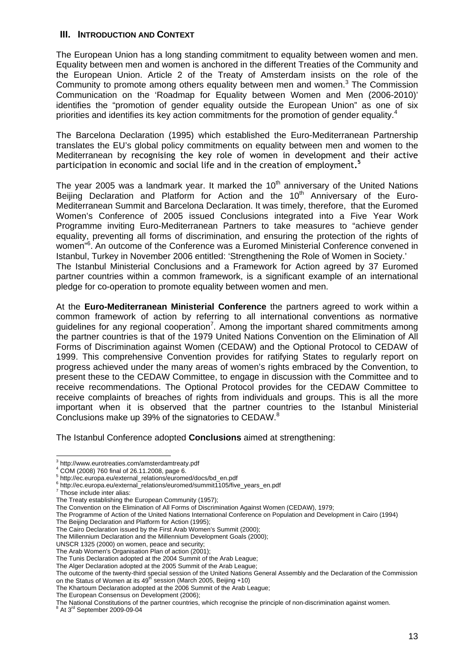#### <span id="page-12-0"></span>**III. INTRODUCTION AND CONTEXT**

The European Union has a long standing commitment to equality between women and men. Equality between men and women is anchored in the different Treaties of the Community and the European Union. Article 2 of the Treaty of Amsterdam insists on the role of the Community to promote among others equality between men and women. $3$  The Commission Communication on the 'Roadmap for Equality between Women and Men (2006-2010)' identifies the "promotion of gender equality outside the European Union" as one of six priorities and identifies its key action commitments for the promotion of gender equality.

The Barcelona Declaration (1995) which established the Euro-Mediterranean Partnership translates the EU's global policy commitments on equality between men and women to the Mediterranean by recognising the key role of women in development and their active participation in economic and social life and in the creation of employment**. 5**

The year 2005 was a landmark year. It marked the  $10<sup>th</sup>$  anniversary of the United Nations Beijing Declaration and Platform for Action and the  $10<sup>th</sup>$  Anniversary of the Euro-Mediterranean Summit and Barcelona Declaration. It was timely, therefore, that the Euromed Women's Conference of 2005 issued Conclusions integrated into a Five Year Work Programme inviting Euro-Mediterranean Partners to take measures to "achieve gender equality, preventing all forms of discrimination, and ensuring the protection of the rights of women<sup>"6</sup>. An outcome of the Conference was a Euromed Ministerial Conference convened in Istanbul, Turkey in November 2006 entitled: 'Strengthening the Role of Women in Society.' The Istanbul Ministerial Conclusions and a Framework for Action agreed by 37 Euromed partner countries within a common framework, is a significant example of an international pledge for co-operation to promote equality between women and men.

At the **Euro-Mediterranean Ministerial Conference** the partners agreed to work within a common framework of action by referring to all international conventions as normative guidelines for any regional cooperation<sup>7</sup>. Among the important shared commitments among the partner countries is that of the 1979 United Nations Convention on the Elimination of All Forms of Discrimination against Women (CEDAW) and the Optional Protocol to CEDAW of 1999. This comprehensive Convention provides for ratifying States to regularly report on progress achieved under the many areas of women's rights embraced by the Convention, to present these to the CEDAW Committee, to engage in discussion with the Committee and to receive recommendations. The Optional Protocol provides for the CEDAW Committee to receive complaints of breaches of rights from individuals and groups. This is all the more important when it is observed that the partner countries to the Istanbul Ministerial Conclusions make up 39% of the signatories to CEDAW.<sup>8</sup>

The Istanbul Conference adopted **Conclusions** aimed at strengthening:

7 Those include inter alias:

The Cairo Declaration issued by the First Arab Women's Summit (2000);

UNSCR 1325 (2000) on women, peace and security;

The European Consensus on Development (2006);

<sup>3</sup> http://www.eurotreaties.com/amsterdamtreaty.pdf

<sup>4</sup> COM (2008) 760 final of 26.11.2008, page 6.

<sup>5</sup> http://ec.europa.eu/external\_relations/euromed/docs/bd\_en.pdf

<sup>&</sup>lt;sup>6</sup> http://ec.europa.eu/external\_relations/euromed/summit1105/five\_years\_en.pdf<br><sup>7</sup> These include inter elise:

The Treaty establishing the European Community (1957);

The Convention on the Elimination of All Forms of Discrimination Against Women (CEDAW), 1979;

The Programme of Action of the United Nations International Conference on Population and Development in Cairo (1994)

The Beijing Declaration and Platform for Action (1995);

The Millennium Declaration and the Millennium Development Goals (2000);

The Arab Women's Organisation Plan of action (2001);

The Tunis Declaration adopted at the 2004 Summit of the Arab League;

The Alger Declaration adopted at the 2005 Summit of the Arab League;

The outcome of the twenty-third special session of the United Nations General Assembly and the Declaration of the Commission<br>on the Status of Women at its 49<sup>th</sup> session (March 2005, Beijing +10)

The Khartoum Declaration adopted at the 2006 Summit of the Arab League;

The National Constitutions of the partner countries, which recognise the principle of non-discrimination against women.<br><sup>8</sup> At 3<sup>rd</sup> September 2009-09-04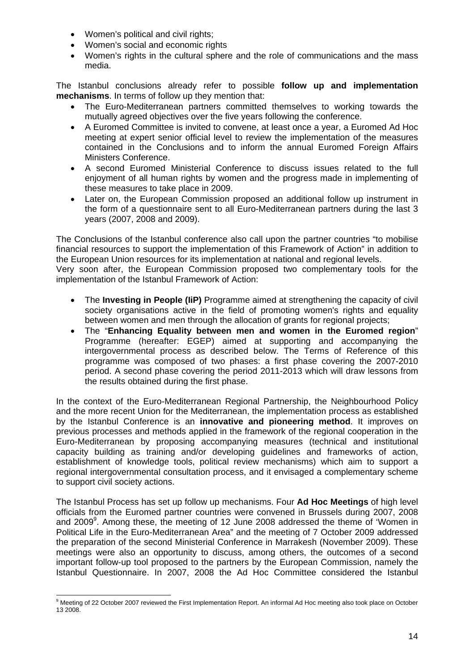- Women's political and civil rights;
- Women's social and economic rights
- Women's rights in the cultural sphere and the role of communications and the mass media.

The Istanbul conclusions already refer to possible **follow up and implementation mechanisms**. In terms of follow up they mention that:

- The Euro-Mediterranean partners committed themselves to working towards the mutually agreed objectives over the five years following the conference.
- A Euromed Committee is invited to convene, at least once a year, a Euromed Ad Hoc meeting at expert senior official level to review the implementation of the measures contained in the Conclusions and to inform the annual Euromed Foreign Affairs Ministers Conference.
- A second Euromed Ministerial Conference to discuss issues related to the full enjoyment of all human rights by women and the progress made in implementing of these measures to take place in 2009.
- Later on, the European Commission proposed an additional follow up instrument in the form of a questionnaire sent to all Euro-Mediterranean partners during the last 3 years (2007, 2008 and 2009).

The Conclusions of the Istanbul conference also call upon the partner countries "to mobilise financial resources to support the implementation of this Framework of Action" in addition to the European Union resources for its implementation at national and regional levels.

Very soon after, the European Commission proposed two complementary tools for the implementation of the Istanbul Framework of Action:

- The **Investing in People (IiP)** Programme aimed at strengthening the capacity of civil society organisations active in the field of promoting women's rights and equality between women and men through the allocation of grants for regional projects;
- The "**Enhancing Equality between men and women in the Euromed region**" Programme (hereafter: EGEP) aimed at supporting and accompanying the intergovernmental process as described below. The Terms of Reference of this programme was composed of two phases: a first phase covering the 2007-2010 period. A second phase covering the period 2011-2013 which will draw lessons from the results obtained during the first phase.

In the context of the Euro-Mediterranean Regional Partnership, the Neighbourhood Policy and the more recent Union for the Mediterranean, the implementation process as established by the Istanbul Conference is an **innovative and pioneering method**. It improves on previous processes and methods applied in the framework of the regional cooperation in the Euro-Mediterranean by proposing accompanying measures (technical and institutional capacity building as training and/or developing guidelines and frameworks of action, establishment of knowledge tools, political review mechanisms) which aim to support a regional intergovernmental consultation process, and it envisaged a complementary scheme to support civil society actions.

The Istanbul Process has set up follow up mechanisms. Four **Ad Hoc Meetings** of high level officials from the Euromed partner countries were convened in Brussels during 2007, 2008 and 2009<sup>9</sup>. Among these, the meeting of 12 June 2008 addressed the theme of 'Women in Political Life in the Euro-Mediterranean Area" and the meeting of 7 October 2009 addressed the preparation of the second Ministerial Conference in Marrakesh (November 2009). These meetings were also an opportunity to discuss, among others, the outcomes of a second important follow-up tool proposed to the partners by the European Commission, namely the Istanbul Questionnaire. In 2007, 2008 the Ad Hoc Committee considered the Istanbul

 9 Meeting of 22 October 2007 reviewed the First Implementation Report. An informal Ad Hoc meeting also took place on October 13 2008.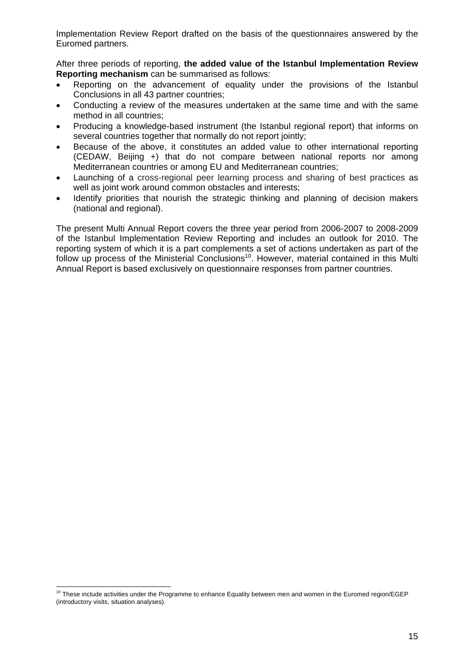Implementation Review Report drafted on the basis of the questionnaires answered by the Euromed partners.

After three periods of reporting, **the added value of the Istanbul Implementation Review Reporting mechanism** can be summarised as follows:

- Reporting on the advancement of equality under the provisions of the Istanbul Conclusions in all 43 partner countries;
- Conducting a review of the measures undertaken at the same time and with the same method in all countries;
- Producing a knowledge-based instrument (the Istanbul regional report) that informs on several countries together that normally do not report jointly;
- Because of the above, it constitutes an added value to other international reporting (CEDAW, Beijing +) that do not compare between national reports nor among Mediterranean countries or among EU and Mediterranean countries;
- Launching of a cross-regional peer learning process and sharing of best practices as well as joint work around common obstacles and interests;
- Identify priorities that nourish the strategic thinking and planning of decision makers (national and regional).

The present Multi Annual Report covers the three year period from 2006-2007 to 2008-2009 of the Istanbul Implementation Review Reporting and includes an outlook for 2010. The reporting system of which it is a part complements a set of actions undertaken as part of the follow up process of the Ministerial Conclusions<sup>10</sup>. However, material contained in this Multi Annual Report is based exclusively on questionnaire responses from partner countries.

 $10$  These include activities under the Programme to enhance Equality between men and women in the Euromed region/EGEP (introductory visits, situation analyses).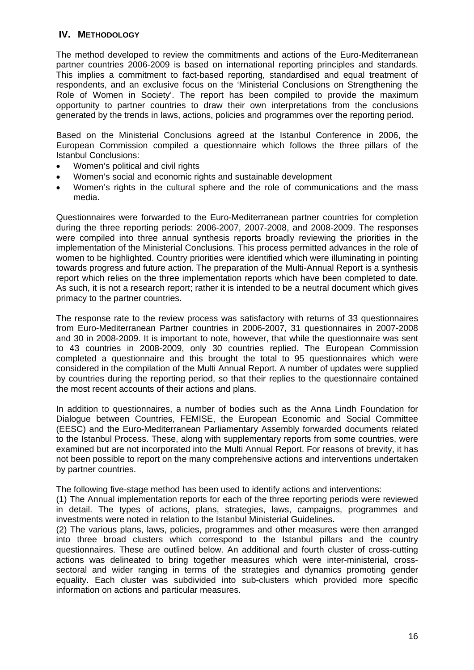## <span id="page-15-0"></span>**IV. METHODOLOGY**

The method developed to review the commitments and actions of the Euro-Mediterranean partner countries 2006-2009 is based on international reporting principles and standards. This implies a commitment to fact-based reporting, standardised and equal treatment of respondents, and an exclusive focus on the 'Ministerial Conclusions on Strengthening the Role of Women in Society'. The report has been compiled to provide the maximum opportunity to partner countries to draw their own interpretations from the conclusions generated by the trends in laws, actions, policies and programmes over the reporting period.

Based on the Ministerial Conclusions agreed at the Istanbul Conference in 2006, the European Commission compiled a questionnaire which follows the three pillars of the Istanbul Conclusions:

- Women's political and civil rights
- Women's social and economic rights and sustainable development
- Women's rights in the cultural sphere and the role of communications and the mass media.

Questionnaires were forwarded to the Euro-Mediterranean partner countries for completion during the three reporting periods: 2006-2007, 2007-2008, and 2008-2009. The responses were compiled into three annual synthesis reports broadly reviewing the priorities in the implementation of the Ministerial Conclusions. This process permitted advances in the role of women to be highlighted. Country priorities were identified which were illuminating in pointing towards progress and future action. The preparation of the Multi-Annual Report is a synthesis report which relies on the three implementation reports which have been completed to date. As such, it is not a research report; rather it is intended to be a neutral document which gives primacy to the partner countries.

The response rate to the review process was satisfactory with returns of 33 questionnaires from Euro-Mediterranean Partner countries in 2006-2007, 31 questionnaires in 2007-2008 and 30 in 2008-2009. It is important to note, however, that while the questionnaire was sent to 43 countries in 2008-2009, only 30 countries replied. The European Commission completed a questionnaire and this brought the total to 95 questionnaires which were considered in the compilation of the Multi Annual Report. A number of updates were supplied by countries during the reporting period, so that their replies to the questionnaire contained the most recent accounts of their actions and plans.

In addition to questionnaires, a number of bodies such as the Anna Lindh Foundation for Dialogue between Countries, FEMISE, the European Economic and Social Committee (EESC) and the Euro-Mediterranean Parliamentary Assembly forwarded documents related to the Istanbul Process. These, along with supplementary reports from some countries, were examined but are not incorporated into the Multi Annual Report. For reasons of brevity, it has not been possible to report on the many comprehensive actions and interventions undertaken by partner countries.

The following five-stage method has been used to identify actions and interventions:

(1) The Annual implementation reports for each of the three reporting periods were reviewed in detail. The types of actions, plans, strategies, laws, campaigns, programmes and investments were noted in relation to the Istanbul Ministerial Guidelines.

(2) The various plans, laws, policies, programmes and other measures were then arranged into three broad clusters which correspond to the Istanbul pillars and the country questionnaires. These are outlined below. An additional and fourth cluster of cross-cutting actions was delineated to bring together measures which were inter-ministerial, crosssectoral and wider ranging in terms of the strategies and dynamics promoting gender equality. Each cluster was subdivided into sub-clusters which provided more specific information on actions and particular measures.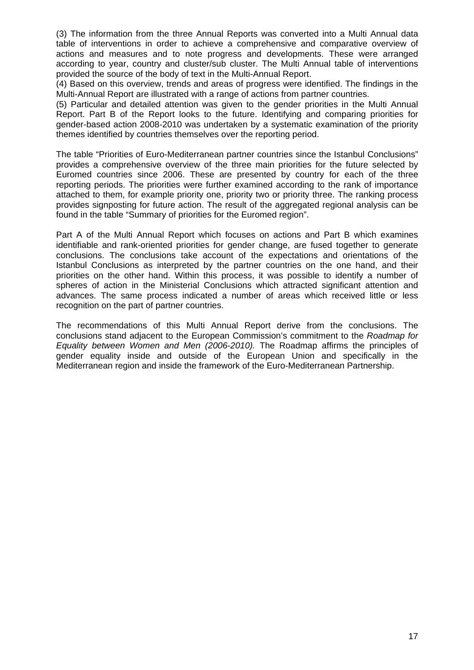(3) The information from the three Annual Reports was converted into a Multi Annual data table of interventions in order to achieve a comprehensive and comparative overview of actions and measures and to note progress and developments. These were arranged according to year, country and cluster/sub cluster. The Multi Annual table of interventions provided the source of the body of text in the Multi-Annual Report.

(4) Based on this overview, trends and areas of progress were identified. The findings in the Multi-Annual Report are illustrated with a range of actions from partner countries.

(5) Particular and detailed attention was given to the gender priorities in the Multi Annual Report. Part B of the Report looks to the future. Identifying and comparing priorities for gender-based action 2008-2010 was undertaken by a systematic examination of the priority themes identified by countries themselves over the reporting period.

The table "Priorities of Euro-Mediterranean partner countries since the Istanbul Conclusions" provides a comprehensive overview of the three main priorities for the future selected by Euromed countries since 2006. These are presented by country for each of the three reporting periods. The priorities were further examined according to the rank of importance attached to them, for example priority one, priority two or priority three. The ranking process provides signposting for future action. The result of the aggregated regional analysis can be found in the table "Summary of priorities for the Euromed region".

Part A of the Multi Annual Report which focuses on actions and Part B which examines identifiable and rank-oriented priorities for gender change, are fused together to generate conclusions. The conclusions take account of the expectations and orientations of the Istanbul Conclusions as interpreted by the partner countries on the one hand, and their priorities on the other hand. Within this process, it was possible to identify a number of spheres of action in the Ministerial Conclusions which attracted significant attention and advances. The same process indicated a number of areas which received little or less recognition on the part of partner countries.

The recommendations of this Multi Annual Report derive from the conclusions. The conclusions stand adjacent to the European Commission's commitment to the *Roadmap for Equality between Women and Men (2006-2010).* The Roadmap affirms the principles of gender equality inside and outside of the European Union and specifically in the Mediterranean region and inside the framework of the Euro-Mediterranean Partnership.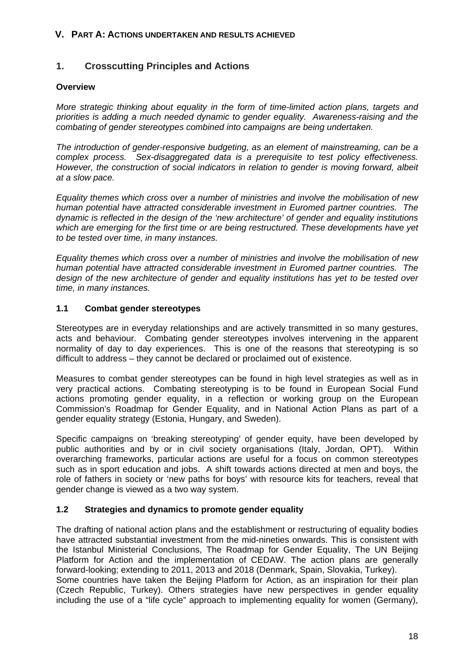#### <span id="page-17-0"></span>**V. PART A: ACTIONS UNDERTAKEN AND RESULTS ACHIEVED**

# <span id="page-17-1"></span>**1. Crosscutting Principles and Actions**

#### <span id="page-17-2"></span>**Overview**

*More strategic thinking about equality in the form of time-limited action plans, targets and priorities is adding a much needed dynamic to gender equality. Awareness-raising and the combating of gender stereotypes combined into campaigns are being undertaken.* 

*The introduction of gender-responsive budgeting, as an element of mainstreaming, can be a complex process. Sex-disaggregated data is a prerequisite to test policy effectiveness. However, the construction of social indicators in relation to gender is moving forward, albeit at a slow pace.* 

*Equality themes which cross over a number of ministries and involve the mobilisation of new human potential have attracted considerable investment in Euromed partner countries. The dynamic is reflected in the design of the 'new architecture' of gender and equality institutions which are emerging for the first time or are being restructured. These developments have yet to be tested over time, in many instances.* 

*Equality themes which cross over a number of ministries and involve the mobilisation of new human potential have attracted considerable investment in Euromed partner countries. The design of the new architecture of gender and equality institutions has yet to be tested over time, in many instances.* 

## <span id="page-17-3"></span>**1.1 Combat gender stereotypes**

Stereotypes are in everyday relationships and are actively transmitted in so many gestures, acts and behaviour. Combating gender stereotypes involves intervening in the apparent normality of day to day experiences. This is one of the reasons that stereotyping is so difficult to address – they cannot be declared or proclaimed out of existence.

Measures to combat gender stereotypes can be found in high level strategies as well as in very practical actions. Combating stereotyping is to be found in European Social Fund actions promoting gender equality, in a reflection or working group on the European Commission's Roadmap for Gender Equality, and in National Action Plans as part of a gender equality strategy (Estonia, Hungary, and Sweden).

Specific campaigns on 'breaking stereotyping' of gender equity, have been developed by public authorities and by or in civil society organisations (Italy, Jordan, OPT). Within overarching frameworks, particular actions are useful for a focus on common stereotypes such as in sport education and jobs. A shift towards actions directed at men and boys, the role of fathers in society or 'new paths for boys' with resource kits for teachers, reveal that gender change is viewed as a two way system.

#### <span id="page-17-4"></span>**1.2 Strategies and dynamics to promote gender equality**

The drafting of national action plans and the establishment or restructuring of equality bodies have attracted substantial investment from the mid-nineties onwards. This is consistent with the Istanbul Ministerial Conclusions, The Roadmap for Gender Equality, The UN Beijing Platform for Action and the implementation of CEDAW. The action plans are generally forward-looking; extending to 2011, 2013 and 2018 (Denmark, Spain, Slovakia, Turkey). Some countries have taken the Beijing Platform for Action, as an inspiration for their plan (Czech Republic, Turkey). Others strategies have new perspectives in gender equality including the use of a "life cycle" approach to implementing equality for women (Germany),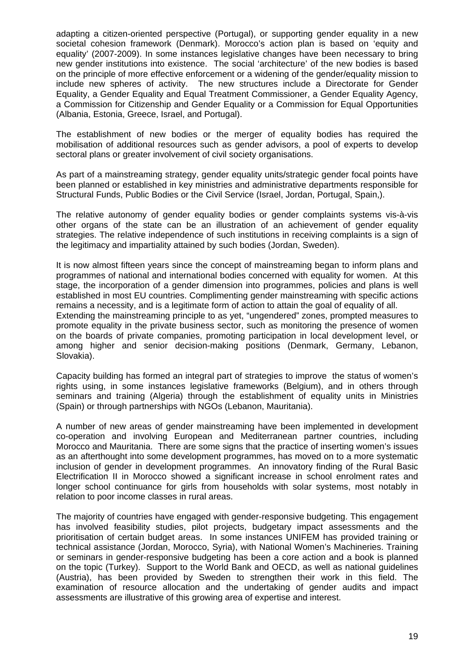adapting a citizen-oriented perspective (Portugal), or supporting gender equality in a new societal cohesion framework (Denmark). Morocco's action plan is based on 'equity and equality' (2007-2009). In some instances legislative changes have been necessary to bring new gender institutions into existence. The social 'architecture' of the new bodies is based on the principle of more effective enforcement or a widening of the gender/equality mission to include new spheres of activity. The new structures include a Directorate for Gender Equality, a Gender Equality and Equal Treatment Commissioner, a Gender Equality Agency, a Commission for Citizenship and Gender Equality or a Commission for Equal Opportunities (Albania, Estonia, Greece, Israel, and Portugal).

The establishment of new bodies or the merger of equality bodies has required the mobilisation of additional resources such as gender advisors, a pool of experts to develop sectoral plans or greater involvement of civil society organisations.

As part of a mainstreaming strategy, gender equality units/strategic gender focal points have been planned or established in key ministries and administrative departments responsible for Structural Funds, Public Bodies or the Civil Service (Israel, Jordan, Portugal, Spain,).

The relative autonomy of gender equality bodies or gender complaints systems vis-à-vis other organs of the state can be an illustration of an achievement of gender equality strategies. The relative independence of such institutions in receiving complaints is a sign of the legitimacy and impartiality attained by such bodies (Jordan, Sweden).

It is now almost fifteen years since the concept of mainstreaming began to inform plans and programmes of national and international bodies concerned with equality for women. At this stage, the incorporation of a gender dimension into programmes, policies and plans is well established in most EU countries. Complimenting gender mainstreaming with specific actions remains a necessity, and is a legitimate form of action to attain the goal of equality of all.

Extending the mainstreaming principle to as yet, "ungendered" zones, prompted measures to promote equality in the private business sector, such as monitoring the presence of women on the boards of private companies, promoting participation in local development level, or among higher and senior decision-making positions (Denmark, Germany, Lebanon, Slovakia).

Capacity building has formed an integral part of strategies to improve the status of women's rights using, in some instances legislative frameworks (Belgium), and in others through seminars and training (Algeria) through the establishment of equality units in Ministries (Spain) or through partnerships with NGOs (Lebanon, Mauritania).

A number of new areas of gender mainstreaming have been implemented in development co-operation and involving European and Mediterranean partner countries, including Morocco and Mauritania. There are some signs that the practice of inserting women's issues as an afterthought into some development programmes, has moved on to a more systematic inclusion of gender in development programmes. An innovatory finding of the Rural Basic Electrification II in Morocco showed a significant increase in school enrolment rates and longer school continuance for girls from households with solar systems, most notably in relation to poor income classes in rural areas.

The majority of countries have engaged with gender-responsive budgeting. This engagement has involved feasibility studies, pilot projects, budgetary impact assessments and the prioritisation of certain budget areas. In some instances UNIFEM has provided training or technical assistance (Jordan, Morocco, Syria), with National Women's Machineries. Training or seminars in gender-responsive budgeting has been a core action and a book is planned on the topic (Turkey). Support to the World Bank and OECD, as well as national guidelines (Austria), has been provided by Sweden to strengthen their work in this field. The examination of resource allocation and the undertaking of gender audits and impact assessments are illustrative of this growing area of expertise and interest.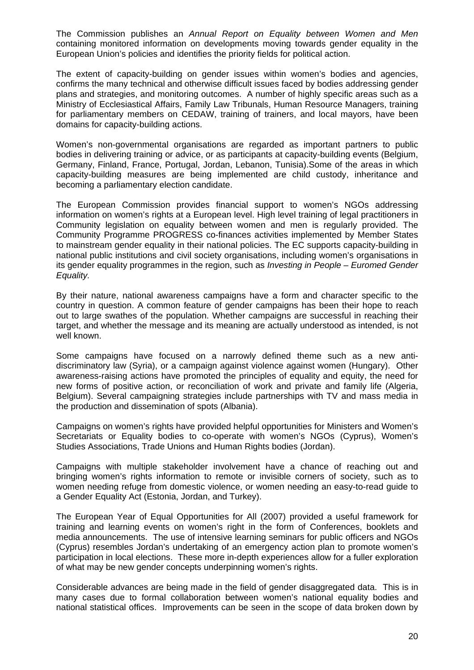The Commission publishes an *Annual Report on Equality between Women and Men* containing monitored information on developments moving towards gender equality in the European Union's policies and identifies the priority fields for political action.

The extent of capacity-building on gender issues within women's bodies and agencies, confirms the many technical and otherwise difficult issues faced by bodies addressing gender plans and strategies, and monitoring outcomes. A number of highly specific areas such as a Ministry of Ecclesiastical Affairs, Family Law Tribunals, Human Resource Managers, training for parliamentary members on CEDAW, training of trainers, and local mayors, have been domains for capacity-building actions.

Women's non-governmental organisations are regarded as important partners to public bodies in delivering training or advice, or as participants at capacity-building events (Belgium, Germany, Finland, France, Portugal, Jordan, Lebanon, Tunisia).Some of the areas in which capacity-building measures are being implemented are child custody, inheritance and becoming a parliamentary election candidate.

The European Commission provides financial support to women's NGOs addressing information on women's rights at a European level. High level training of legal practitioners in Community legislation on equality between women and men is regularly provided. The Community Programme PROGRESS co-finances activities implemented by Member States to mainstream gender equality in their national policies. The EC supports capacity-building in national public institutions and civil society organisations, including women's organisations in its gender equality programmes in the region, such as *Investing in People – Euromed Gender Equality.*

By their nature, national awareness campaigns have a form and character specific to the country in question. A common feature of gender campaigns has been their hope to reach out to large swathes of the population. Whether campaigns are successful in reaching their target, and whether the message and its meaning are actually understood as intended, is not well known.

Some campaigns have focused on a narrowly defined theme such as a new antidiscriminatory law (Syria), or a campaign against violence against women (Hungary). Other awareness-raising actions have promoted the principles of equality and equity, the need for new forms of positive action, or reconciliation of work and private and family life (Algeria, Belgium). Several campaigning strategies include partnerships with TV and mass media in the production and dissemination of spots (Albania).

Campaigns on women's rights have provided helpful opportunities for Ministers and Women's Secretariats or Equality bodies to co-operate with women's NGOs (Cyprus), Women's Studies Associations, Trade Unions and Human Rights bodies (Jordan).

Campaigns with multiple stakeholder involvement have a chance of reaching out and bringing women's rights information to remote or invisible corners of society, such as to women needing refuge from domestic violence, or women needing an easy-to-read guide to a Gender Equality Act (Estonia, Jordan, and Turkey).

The European Year of Equal Opportunities for All (2007) provided a useful framework for training and learning events on women's right in the form of Conferences, booklets and media announcements. The use of intensive learning seminars for public officers and NGOs (Cyprus) resembles Jordan's undertaking of an emergency action plan to promote women's participation in local elections. These more in-depth experiences allow for a fuller exploration of what may be new gender concepts underpinning women's rights.

Considerable advances are being made in the field of gender disaggregated data. This is in many cases due to formal collaboration between women's national equality bodies and national statistical offices. Improvements can be seen in the scope of data broken down by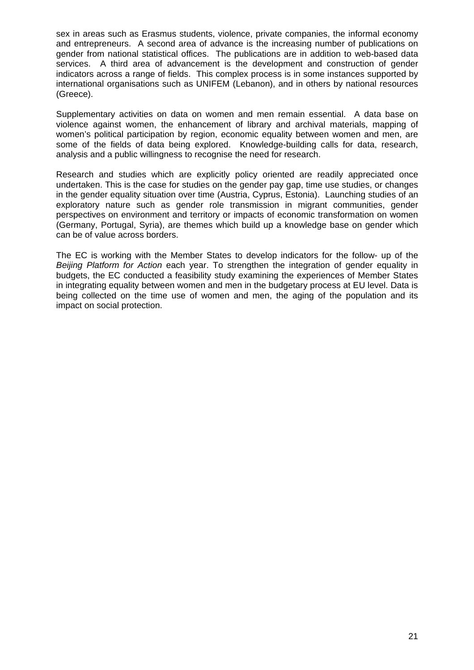sex in areas such as Erasmus students, violence, private companies, the informal economy and entrepreneurs. A second area of advance is the increasing number of publications on gender from national statistical offices. The publications are in addition to web-based data services. A third area of advancement is the development and construction of gender indicators across a range of fields. This complex process is in some instances supported by international organisations such as UNIFEM (Lebanon), and in others by national resources (Greece).

Supplementary activities on data on women and men remain essential. A data base on violence against women, the enhancement of library and archival materials, mapping of women's political participation by region, economic equality between women and men, are some of the fields of data being explored. Knowledge-building calls for data, research, analysis and a public willingness to recognise the need for research.

Research and studies which are explicitly policy oriented are readily appreciated once undertaken. This is the case for studies on the gender pay gap, time use studies, or changes in the gender equality situation over time (Austria, Cyprus, Estonia). Launching studies of an exploratory nature such as gender role transmission in migrant communities, gender perspectives on environment and territory or impacts of economic transformation on women (Germany, Portugal, Syria), are themes which build up a knowledge base on gender which can be of value across borders.

The EC is working with the Member States to develop indicators for the follow- up of the *Beijing Platform for Action* each year. To strengthen the integration of gender equality in budgets, the EC conducted a feasibility study examining the experiences of Member States in integrating equality between women and men in the budgetary process at EU level. Data is being collected on the time use of women and men, the aging of the population and its impact on social protection.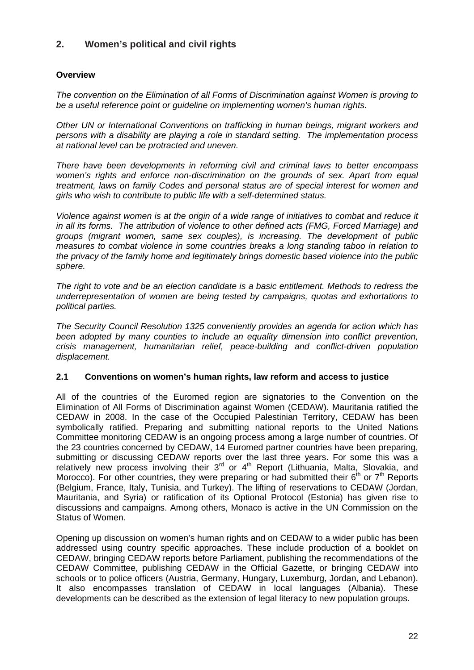# <span id="page-21-0"></span>**2. Women's political and civil rights**

# <span id="page-21-1"></span>**Overview**

*The convention on the Elimination of all Forms of Discrimination against Women is proving to be a useful reference point or guideline on implementing women's human rights.* 

*Other UN or International Conventions on trafficking in human beings, migrant workers and persons with a disability are playing a role in standard setting. The implementation process at national level can be protracted and uneven.* 

*There have been developments in reforming civil and criminal laws to better encompass women's rights and enforce non-discrimination on the grounds of sex. Apart from equal treatment, laws on family Codes and personal status are of special interest for women and girls who wish to contribute to public life with a self-determined status.* 

*Violence against women is at the origin of a wide range of initiatives to combat and reduce it in all its forms. The attribution of violence to other defined acts (FMG, Forced Marriage) and groups (migrant women, same sex couples), is increasing. The development of public measures to combat violence in some countries breaks a long standing taboo in relation to the privacy of the family home and legitimately brings domestic based violence into the public sphere.* 

*The right to vote and be an election candidate is a basic entitlement. Methods to redress the underrepresentation of women are being tested by campaigns, quotas and exhortations to political parties.* 

*The Security Council Resolution 1325 conveniently provides an agenda for action which has been adopted by many counties to include an equality dimension into conflict prevention, crisis management, humanitarian relief, peace-building and conflict-driven population displacement.* 

## <span id="page-21-2"></span>**2.1 Conventions on women's human rights, law reform and access to justice**

All of the countries of the Euromed region are signatories to the Convention on the Elimination of All Forms of Discrimination against Women (CEDAW). Mauritania ratified the CEDAW in 2008. In the case of the Occupied Palestinian Territory, CEDAW has been symbolically ratified. Preparing and submitting national reports to the United Nations Committee monitoring CEDAW is an ongoing process among a large number of countries. Of the 23 countries concerned by CEDAW, 14 Euromed partner countries have been preparing, submitting or discussing CEDAW reports over the last three years. For some this was a relatively new process involving their 3<sup>rd</sup> or 4<sup>th</sup> Report (Lithuania, Malta, Slovakia, and Morocco). For other countries, they were preparing or had submitted their  $6<sup>th</sup>$  or  $7<sup>th</sup>$  Reports (Belgium, France, Italy, Tunisia, and Turkey). The lifting of reservations to CEDAW (Jordan, Mauritania, and Syria) or ratification of its Optional Protocol (Estonia) has given rise to discussions and campaigns. Among others, Monaco is active in the UN Commission on the Status of Women.

Opening up discussion on women's human rights and on CEDAW to a wider public has been addressed using country specific approaches. These include production of a booklet on CEDAW, bringing CEDAW reports before Parliament, publishing the recommendations of the CEDAW Committee, publishing CEDAW in the Official Gazette, or bringing CEDAW into schools or to police officers (Austria, Germany, Hungary, Luxemburg, Jordan, and Lebanon). It also encompasses translation of CEDAW in local languages (Albania). These developments can be described as the extension of legal literacy to new population groups.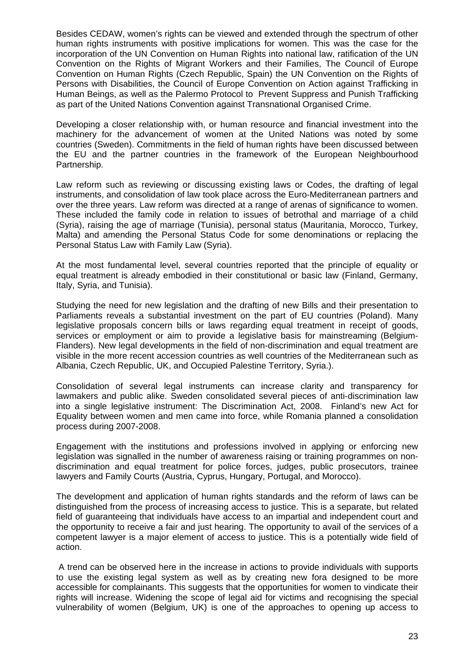Besides CEDAW, women's rights can be viewed and extended through the spectrum of other human rights instruments with positive implications for women. This was the case for the incorporation of the UN Convention on Human Rights into national law, ratification of the UN Convention on the Rights of Migrant Workers and their Families, The Council of Europe Convention on Human Rights (Czech Republic, Spain) the UN Convention on the Rights of Persons with Disabilities, the Council of Europe Convention on Action against Trafficking in Human Beings, as well as the Palermo Protocol to Prevent Suppress and Punish Trafficking as part of the United Nations Convention against Transnational Organised Crime.

Developing a closer relationship with, or human resource and financial investment into the machinery for the advancement of women at the United Nations was noted by some countries (Sweden). Commitments in the field of human rights have been discussed between the EU and the partner countries in the framework of the European Neighbourhood Partnership.

Law reform such as reviewing or discussing existing laws or Codes, the drafting of legal instruments, and consolidation of law took place across the Euro-Mediterranean partners and over the three years. Law reform was directed at a range of arenas of significance to women. These included the family code in relation to issues of betrothal and marriage of a child (Syria), raising the age of marriage (Tunisia), personal status (Mauritania, Morocco, Turkey, Malta) and amending the Personal Status Code for some denominations or replacing the Personal Status Law with Family Law (Syria).

At the most fundamental level, several countries reported that the principle of equality or equal treatment is already embodied in their constitutional or basic law (Finland, Germany, Italy, Syria, and Tunisia).

Studying the need for new legislation and the drafting of new Bills and their presentation to Parliaments reveals a substantial investment on the part of EU countries (Poland). Many legislative proposals concern bills or laws regarding equal treatment in receipt of goods, services or employment or aim to provide a legislative basis for mainstreaming (Belgium-Flanders). New legal developments in the field of non-discrimination and equal treatment are visible in the more recent accession countries as well countries of the Mediterranean such as Albania, Czech Republic, UK, and Occupied Palestine Territory, Syria.).

Consolidation of several legal instruments can increase clarity and transparency for lawmakers and public alike. Sweden consolidated several pieces of anti-discrimination law into a single legislative instrument: The Discrimination Act, 2008. Finland's new Act for Equality between women and men came into force, while Romania planned a consolidation process during 2007-2008.

Engagement with the institutions and professions involved in applying or enforcing new legislation was signalled in the number of awareness raising or training programmes on nondiscrimination and equal treatment for police forces, judges, public prosecutors, trainee lawyers and Family Courts (Austria, Cyprus, Hungary, Portugal, and Morocco).

The development and application of human rights standards and the reform of laws can be distinguished from the process of increasing access to justice. This is a separate, but related field of guaranteeing that individuals have access to an impartial and independent court and the opportunity to receive a fair and just hearing. The opportunity to avail of the services of a competent lawyer is a major element of access to justice. This is a potentially wide field of action.

 A trend can be observed here in the increase in actions to provide individuals with supports to use the existing legal system as well as by creating new fora designed to be more accessible for complainants. This suggests that the opportunities for women to vindicate their rights will increase. Widening the scope of legal aid for victims and recognising the special vulnerability of women (Belgium, UK) is one of the approaches to opening up access to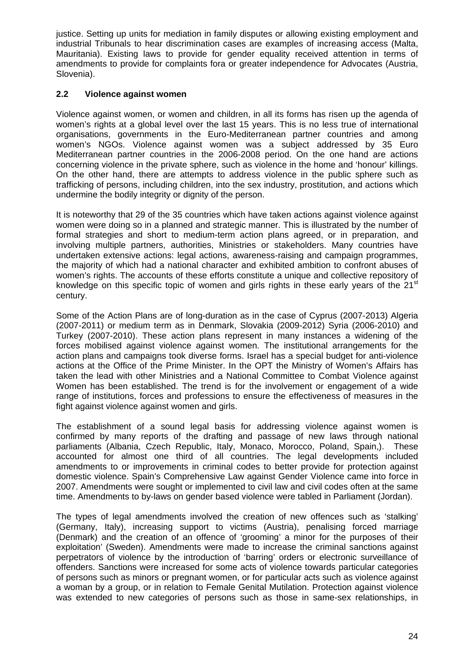justice. Setting up units for mediation in family disputes or allowing existing employment and industrial Tribunals to hear discrimination cases are examples of increasing access (Malta, Mauritania). Existing laws to provide for gender equality received attention in terms of amendments to provide for complaints fora or greater independence for Advocates (Austria, Slovenia).

## <span id="page-23-0"></span>**2.2 Violence against women**

Violence against women, or women and children, in all its forms has risen up the agenda of women's rights at a global level over the last 15 years. This is no less true of international organisations, governments in the Euro-Mediterranean partner countries and among women's NGOs. Violence against women was a subject addressed by 35 Euro Mediterranean partner countries in the 2006-2008 period. On the one hand are actions concerning violence in the private sphere, such as violence in the home and 'honour' killings. On the other hand, there are attempts to address violence in the public sphere such as trafficking of persons, including children, into the sex industry, prostitution, and actions which undermine the bodily integrity or dignity of the person.

It is noteworthy that 29 of the 35 countries which have taken actions against violence against women were doing so in a planned and strategic manner. This is illustrated by the number of formal strategies and short to medium-term action plans agreed, or in preparation, and involving multiple partners, authorities, Ministries or stakeholders. Many countries have undertaken extensive actions: legal actions, awareness-raising and campaign programmes, the majority of which had a national character and exhibited ambition to confront abuses of women's rights. The accounts of these efforts constitute a unique and collective repository of knowledge on this specific topic of women and girls rights in these early years of the  $21<sup>st</sup>$ century.

Some of the Action Plans are of long-duration as in the case of Cyprus (2007-2013) Algeria (2007-2011) or medium term as in Denmark, Slovakia (2009-2012) Syria (2006-2010) and Turkey (2007-2010). These action plans represent in many instances a widening of the forces mobilised against violence against women. The institutional arrangements for the action plans and campaigns took diverse forms. Israel has a special budget for anti-violence actions at the Office of the Prime Minister. In the OPT the Ministry of Women's Affairs has taken the lead with other Ministries and a National Committee to Combat Violence against Women has been established. The trend is for the involvement or engagement of a wide range of institutions, forces and professions to ensure the effectiveness of measures in the fight against violence against women and girls.

The establishment of a sound legal basis for addressing violence against women is confirmed by many reports of the drafting and passage of new laws through national parliaments (Albania, Czech Republic, Italy, Monaco, Morocco, Poland, Spain,). These accounted for almost one third of all countries. The legal developments included amendments to or improvements in criminal codes to better provide for protection against domestic violence. Spain's Comprehensive Law against Gender Violence came into force in 2007. Amendments were sought or implemented to civil law and civil codes often at the same time. Amendments to by-laws on gender based violence were tabled in Parliament (Jordan).

The types of legal amendments involved the creation of new offences such as 'stalking' (Germany, Italy), increasing support to victims (Austria), penalising forced marriage (Denmark) and the creation of an offence of 'grooming' a minor for the purposes of their exploitation' (Sweden). Amendments were made to increase the criminal sanctions against perpetrators of violence by the introduction of 'barring' orders or electronic surveillance of offenders. Sanctions were increased for some acts of violence towards particular categories of persons such as minors or pregnant women, or for particular acts such as violence against a woman by a group, or in relation to Female Genital Mutilation. Protection against violence was extended to new categories of persons such as those in same-sex relationships, in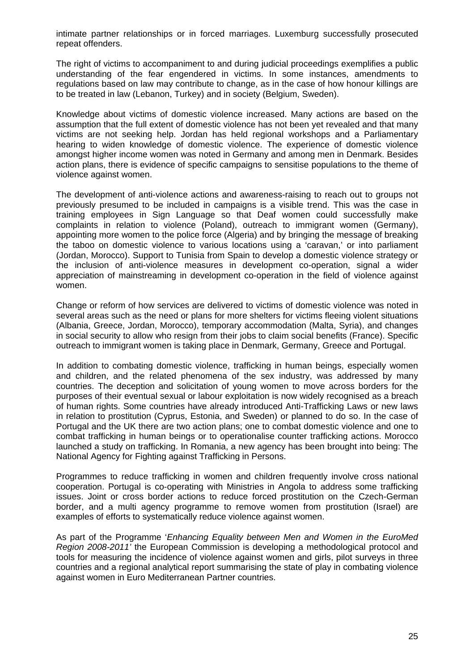intimate partner relationships or in forced marriages. Luxemburg successfully prosecuted repeat offenders.

The right of victims to accompaniment to and during judicial proceedings exemplifies a public understanding of the fear engendered in victims. In some instances, amendments to regulations based on law may contribute to change, as in the case of how honour killings are to be treated in law (Lebanon, Turkey) and in society (Belgium, Sweden).

Knowledge about victims of domestic violence increased. Many actions are based on the assumption that the full extent of domestic violence has not been yet revealed and that many victims are not seeking help. Jordan has held regional workshops and a Parliamentary hearing to widen knowledge of domestic violence. The experience of domestic violence amongst higher income women was noted in Germany and among men in Denmark. Besides action plans, there is evidence of specific campaigns to sensitise populations to the theme of violence against women.

The development of anti-violence actions and awareness-raising to reach out to groups not previously presumed to be included in campaigns is a visible trend. This was the case in training employees in Sign Language so that Deaf women could successfully make complaints in relation to violence (Poland), outreach to immigrant women (Germany), appointing more women to the police force (Algeria) and by bringing the message of breaking the taboo on domestic violence to various locations using a 'caravan,' or into parliament (Jordan, Morocco). Support to Tunisia from Spain to develop a domestic violence strategy or the inclusion of anti-violence measures in development co-operation, signal a wider appreciation of mainstreaming in development co-operation in the field of violence against women.

Change or reform of how services are delivered to victims of domestic violence was noted in several areas such as the need or plans for more shelters for victims fleeing violent situations (Albania, Greece, Jordan, Morocco), temporary accommodation (Malta, Syria), and changes in social security to allow who resign from their jobs to claim social benefits (France). Specific outreach to immigrant women is taking place in Denmark, Germany, Greece and Portugal.

In addition to combating domestic violence, trafficking in human beings, especially women and children, and the related phenomena of the sex industry, was addressed by many countries. The deception and solicitation of young women to move across borders for the purposes of their eventual sexual or labour exploitation is now widely recognised as a breach of human rights. Some countries have already introduced Anti-Trafficking Laws or new laws in relation to prostitution (Cyprus, Estonia, and Sweden) or planned to do so. In the case of Portugal and the UK there are two action plans; one to combat domestic violence and one to combat trafficking in human beings or to operationalise counter trafficking actions. Morocco launched a study on trafficking. In Romania, a new agency has been brought into being: The National Agency for Fighting against Trafficking in Persons.

Programmes to reduce trafficking in women and children frequently involve cross national cooperation. Portugal is co-operating with Ministries in Angola to address some trafficking issues. Joint or cross border actions to reduce forced prostitution on the Czech-German border, and a multi agency programme to remove women from prostitution (Israel) are examples of efforts to systematically reduce violence against women.

As part of the Programme '*Enhancing Equality between Men and Women in the EuroMed Region 2008-2011'* the European Commission is developing a methodological protocol and tools for measuring the incidence of violence against women and girls, pilot surveys in three countries and a regional analytical report summarising the state of play in combating violence against women in Euro Mediterranean Partner countries.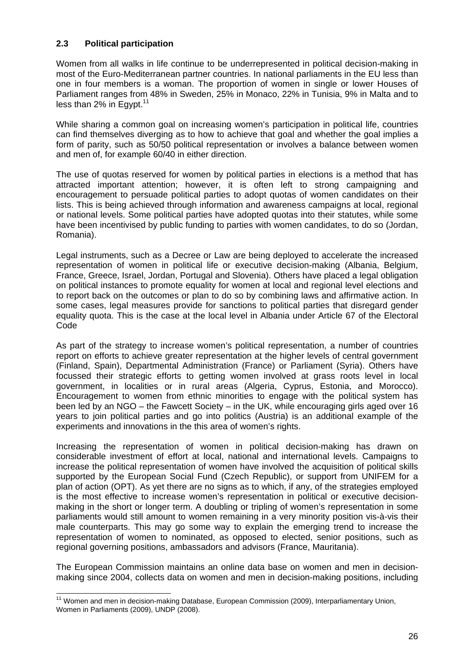#### <span id="page-25-0"></span>**2.3 Political participation**

Women from all walks in life continue to be underrepresented in political decision-making in most of the Euro-Mediterranean partner countries. In national parliaments in the EU less than one in four members is a woman. The proportion of women in single or lower Houses of Parliament ranges from 48% in Sweden, 25% in Monaco, 22% in Tunisia, 9% in Malta and to less than  $2\%$  in Egypt.<sup>11</sup>

While sharing a common goal on increasing women's participation in political life, countries can find themselves diverging as to how to achieve that goal and whether the goal implies a form of parity, such as 50/50 political representation or involves a balance between women and men of, for example 60/40 in either direction.

The use of quotas reserved for women by political parties in elections is a method that has attracted important attention; however, it is often left to strong campaigning and encouragement to persuade political parties to adopt quotas of women candidates on their lists. This is being achieved through information and awareness campaigns at local, regional or national levels. Some political parties have adopted quotas into their statutes, while some have been incentivised by public funding to parties with women candidates, to do so (Jordan, Romania).

Legal instruments, such as a Decree or Law are being deployed to accelerate the increased representation of women in political life or executive decision-making (Albania, Belgium, France, Greece, Israel, Jordan, Portugal and Slovenia). Others have placed a legal obligation on political instances to promote equality for women at local and regional level elections and to report back on the outcomes or plan to do so by combining laws and affirmative action. In some cases, legal measures provide for sanctions to political parties that disregard gender equality quota. This is the case at the local level in Albania under Article 67 of the Electoral Code

As part of the strategy to increase women's political representation, a number of countries report on efforts to achieve greater representation at the higher levels of central government (Finland, Spain), Departmental Administration (France) or Parliament (Syria). Others have focussed their strategic efforts to getting women involved at grass roots level in local government, in localities or in rural areas (Algeria, Cyprus, Estonia, and Morocco). Encouragement to women from ethnic minorities to engage with the political system has been led by an NGO – the Fawcett Society – in the UK, while encouraging girls aged over 16 years to join political parties and go into politics (Austria) is an additional example of the experiments and innovations in the this area of women's rights.

Increasing the representation of women in political decision-making has drawn on considerable investment of effort at local, national and international levels. Campaigns to increase the political representation of women have involved the acquisition of political skills supported by the European Social Fund (Czech Republic), or support from UNIFEM for a plan of action (OPT). As yet there are no signs as to which, if any, of the strategies employed is the most effective to increase women's representation in political or executive decisionmaking in the short or longer term. A doubling or tripling of women's representation in some parliaments would still amount to women remaining in a very minority position vis-à-vis their male counterparts. This may go some way to explain the emerging trend to increase the representation of women to nominated, as opposed to elected, senior positions, such as regional governing positions, ambassadors and advisors (France, Mauritania).

The European Commission maintains an online data base on women and men in decisionmaking since 2004, collects data on women and men in decision-making positions, including

<sup>&</sup>lt;sup>11</sup> Women and men in decision-making Database, European Commission (2009), Interparliamentary Union, Women in Parliaments (2009), UNDP (2008).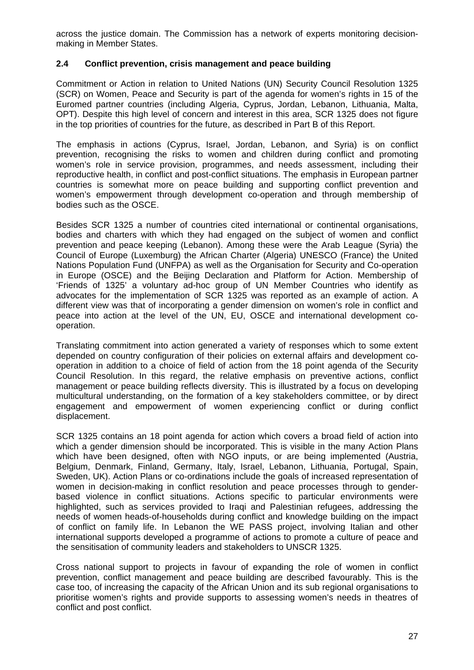across the justice domain. The Commission has a network of experts monitoring decisionmaking in Member States.

## <span id="page-26-0"></span>**2.4 Conflict prevention, crisis management and peace building**

Commitment or Action in relation to United Nations (UN) Security Council Resolution 1325 (SCR) on Women, Peace and Security is part of the agenda for women's rights in 15 of the Euromed partner countries (including Algeria, Cyprus, Jordan, Lebanon, Lithuania, Malta, OPT). Despite this high level of concern and interest in this area, SCR 1325 does not figure in the top priorities of countries for the future, as described in Part B of this Report.

The emphasis in actions (Cyprus, Israel, Jordan, Lebanon, and Syria) is on conflict prevention, recognising the risks to women and children during conflict and promoting women's role in service provision, programmes, and needs assessment, including their reproductive health, in conflict and post-conflict situations. The emphasis in European partner countries is somewhat more on peace building and supporting conflict prevention and women's empowerment through development co-operation and through membership of bodies such as the OSCE.

Besides SCR 1325 a number of countries cited international or continental organisations, bodies and charters with which they had engaged on the subject of women and conflict prevention and peace keeping (Lebanon). Among these were the Arab League (Syria) the Council of Europe (Luxemburg) the African Charter (Algeria) UNESCO (France) the United Nations Population Fund (UNFPA) as well as the Organisation for Security and Co-operation in Europe (OSCE) and the Beijing Declaration and Platform for Action. Membership of 'Friends of 1325' a voluntary ad-hoc group of UN Member Countries who identify as advocates for the implementation of SCR 1325 was reported as an example of action. A different view was that of incorporating a gender dimension on women's role in conflict and peace into action at the level of the UN, EU, OSCE and international development cooperation.

Translating commitment into action generated a variety of responses which to some extent depended on country configuration of their policies on external affairs and development cooperation in addition to a choice of field of action from the 18 point agenda of the Security Council Resolution. In this regard, the relative emphasis on preventive actions, conflict management or peace building reflects diversity. This is illustrated by a focus on developing multicultural understanding, on the formation of a key stakeholders committee, or by direct engagement and empowerment of women experiencing conflict or during conflict displacement.

SCR 1325 contains an 18 point agenda for action which covers a broad field of action into which a gender dimension should be incorporated. This is visible in the many Action Plans which have been designed, often with NGO inputs, or are being implemented (Austria, Belgium, Denmark, Finland, Germany, Italy, Israel, Lebanon, Lithuania, Portugal, Spain, Sweden, UK). Action Plans or co-ordinations include the goals of increased representation of women in decision-making in conflict resolution and peace processes through to genderbased violence in conflict situations. Actions specific to particular environments were highlighted, such as services provided to Iraqi and Palestinian refugees, addressing the needs of women heads-of-households during conflict and knowledge building on the impact of conflict on family life. In Lebanon the WE PASS project, involving Italian and other international supports developed a programme of actions to promote a culture of peace and the sensitisation of community leaders and stakeholders to UNSCR 1325.

Cross national support to projects in favour of expanding the role of women in conflict prevention, conflict management and peace building are described favourably. This is the case too, of increasing the capacity of the African Union and its sub regional organisations to prioritise women's rights and provide supports to assessing women's needs in theatres of conflict and post conflict.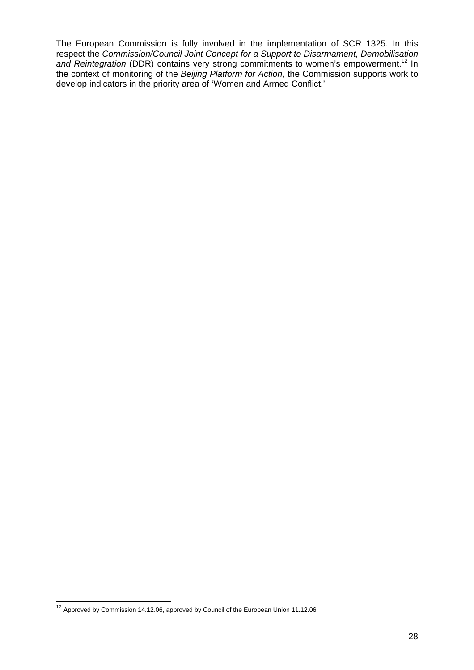The European Commission is fully involved in the implementation of SCR 1325. In this respect the *Commission/Council Joint Concept for a Support to Disarmament, Demobilisation*  and Reintegration (DDR) contains very strong commitments to women's empowerment.<sup>12</sup> In the context of monitoring of the *Beijing Platform for Action*, the Commission supports work to develop indicators in the priority area of 'Women and Armed Conflict.'

  $12$  Approved by Commission 14.12.06, approved by Council of the European Union 11.12.06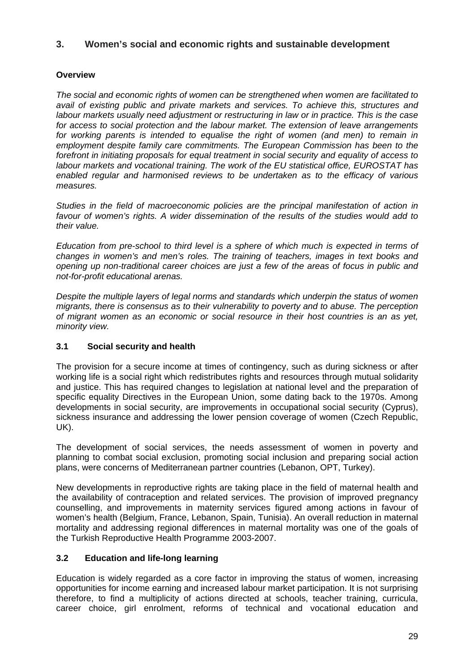# <span id="page-28-0"></span>**3. Women's social and economic rights and sustainable development**

# <span id="page-28-1"></span>**Overview**

*The social and economic rights of women can be strengthened when women are facilitated to avail of existing public and private markets and services. To achieve this, structures and labour markets usually need adjustment or restructuring in law or in practice. This is the case for access to social protection and the labour market. The extension of leave arrangements*  for working parents is intended to equalise the right of women (and men) to remain in *employment despite family care commitments. The European Commission has been to the forefront in initiating proposals for equal treatment in social security and equality of access to labour markets and vocational training. The work of the EU statistical office, EUROSTAT has enabled regular and harmonised reviews to be undertaken as to the efficacy of various measures.* 

*Studies in the field of macroeconomic policies are the principal manifestation of action in favour of women's rights. A wider dissemination of the results of the studies would add to their value.* 

*Education from pre-school to third level is a sphere of which much is expected in terms of changes in women's and men's roles. The training of teachers, images in text books and opening up non-traditional career choices are just a few of the areas of focus in public and not-for-profit educational arenas.* 

*Despite the multiple layers of legal norms and standards which underpin the status of women migrants, there is consensus as to their vulnerability to poverty and to abuse. The perception of migrant women as an economic or social resource in their host countries is an as yet, minority view.* 

## <span id="page-28-2"></span>**3.1 Social security and health**

The provision for a secure income at times of contingency, such as during sickness or after working life is a social right which redistributes rights and resources through mutual solidarity and justice. This has required changes to legislation at national level and the preparation of specific equality Directives in the European Union, some dating back to the 1970s. Among developments in social security, are improvements in occupational social security (Cyprus), sickness insurance and addressing the lower pension coverage of women (Czech Republic, UK).

The development of social services, the needs assessment of women in poverty and planning to combat social exclusion, promoting social inclusion and preparing social action plans, were concerns of Mediterranean partner countries (Lebanon, OPT, Turkey).

New developments in reproductive rights are taking place in the field of maternal health and the availability of contraception and related services. The provision of improved pregnancy counselling, and improvements in maternity services figured among actions in favour of women's health (Belgium, France, Lebanon, Spain, Tunisia). An overall reduction in maternal mortality and addressing regional differences in maternal mortality was one of the goals of the Turkish Reproductive Health Programme 2003-2007.

## <span id="page-28-3"></span>**3.2 Education and life-long learning**

Education is widely regarded as a core factor in improving the status of women, increasing opportunities for income earning and increased labour market participation. It is not surprising therefore, to find a multiplicity of actions directed at schools, teacher training, curricula, career choice, girl enrolment, reforms of technical and vocational education and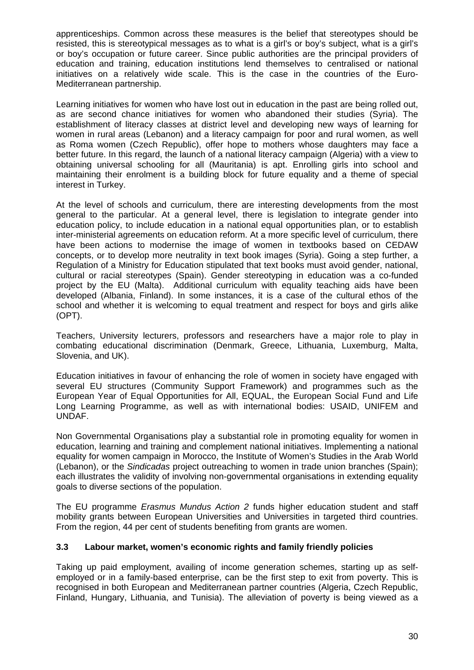apprenticeships. Common across these measures is the belief that stereotypes should be resisted, this is stereotypical messages as to what is a girl's or boy's subject, what is a girl's or boy's occupation or future career. Since public authorities are the principal providers of education and training, education institutions lend themselves to centralised or national initiatives on a relatively wide scale. This is the case in the countries of the Euro-Mediterranean partnership.

Learning initiatives for women who have lost out in education in the past are being rolled out, as are second chance initiatives for women who abandoned their studies (Syria). The establishment of literacy classes at district level and developing new ways of learning for women in rural areas (Lebanon) and a literacy campaign for poor and rural women, as well as Roma women (Czech Republic), offer hope to mothers whose daughters may face a better future. In this regard, the launch of a national literacy campaign (Algeria) with a view to obtaining universal schooling for all (Mauritania) is apt. Enrolling girls into school and maintaining their enrolment is a building block for future equality and a theme of special interest in Turkey.

At the level of schools and curriculum, there are interesting developments from the most general to the particular. At a general level, there is legislation to integrate gender into education policy, to include education in a national equal opportunities plan, or to establish inter-ministerial agreements on education reform. At a more specific level of curriculum, there have been actions to modernise the image of women in textbooks based on CEDAW concepts, or to develop more neutrality in text book images (Syria). Going a step further, a Regulation of a Ministry for Education stipulated that text books must avoid gender, national, cultural or racial stereotypes (Spain). Gender stereotyping in education was a co-funded project by the EU (Malta). Additional curriculum with equality teaching aids have been developed (Albania, Finland). In some instances, it is a case of the cultural ethos of the school and whether it is welcoming to equal treatment and respect for boys and girls alike (OPT).

Teachers, University lecturers, professors and researchers have a major role to play in combating educational discrimination (Denmark, Greece, Lithuania, Luxemburg, Malta, Slovenia, and UK).

Education initiatives in favour of enhancing the role of women in society have engaged with several EU structures (Community Support Framework) and programmes such as the European Year of Equal Opportunities for All, EQUAL, the European Social Fund and Life Long Learning Programme, as well as with international bodies: USAID, UNIFEM and UNDAF.

Non Governmental Organisations play a substantial role in promoting equality for women in education, learning and training and complement national initiatives. Implementing a national equality for women campaign in Morocco, the Institute of Women's Studies in the Arab World (Lebanon), or the *Sindicadas* project outreaching to women in trade union branches (Spain); each illustrates the validity of involving non-governmental organisations in extending equality goals to diverse sections of the population.

The EU programme *Erasmus Mundus Action 2* funds higher education student and staff mobility grants between European Universities and Universities in targeted third countries. From the region, 44 per cent of students benefiting from grants are women.

## <span id="page-29-0"></span>**3.3 Labour market, women's economic rights and family friendly policies**

Taking up paid employment, availing of income generation schemes, starting up as selfemployed or in a family-based enterprise, can be the first step to exit from poverty. This is recognised in both European and Mediterranean partner countries (Algeria, Czech Republic, Finland, Hungary, Lithuania, and Tunisia). The alleviation of poverty is being viewed as a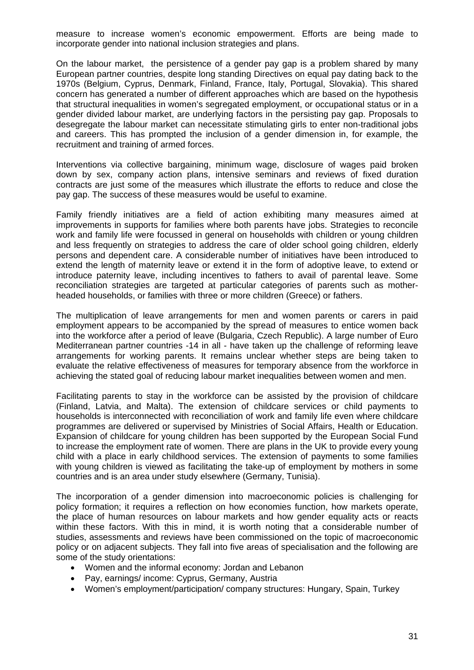measure to increase women's economic empowerment. Efforts are being made to incorporate gender into national inclusion strategies and plans.

On the labour market, the persistence of a gender pay gap is a problem shared by many European partner countries, despite long standing Directives on equal pay dating back to the 1970s (Belgium, Cyprus, Denmark, Finland, France, Italy, Portugal, Slovakia). This shared concern has generated a number of different approaches which are based on the hypothesis that structural inequalities in women's segregated employment, or occupational status or in a gender divided labour market, are underlying factors in the persisting pay gap. Proposals to desegregate the labour market can necessitate stimulating girls to enter non-traditional jobs and careers. This has prompted the inclusion of a gender dimension in, for example, the recruitment and training of armed forces.

Interventions via collective bargaining, minimum wage, disclosure of wages paid broken down by sex, company action plans, intensive seminars and reviews of fixed duration contracts are just some of the measures which illustrate the efforts to reduce and close the pay gap. The success of these measures would be useful to examine.

Family friendly initiatives are a field of action exhibiting many measures aimed at improvements in supports for families where both parents have jobs. Strategies to reconcile work and family life were focussed in general on households with children or young children and less frequently on strategies to address the care of older school going children, elderly persons and dependent care. A considerable number of initiatives have been introduced to extend the length of maternity leave or extend it in the form of adoptive leave, to extend or introduce paternity leave, including incentives to fathers to avail of parental leave. Some reconciliation strategies are targeted at particular categories of parents such as motherheaded households, or families with three or more children (Greece) or fathers.

The multiplication of leave arrangements for men and women parents or carers in paid employment appears to be accompanied by the spread of measures to entice women back into the workforce after a period of leave (Bulgaria, Czech Republic). A large number of Euro Mediterranean partner countries -14 in all - have taken up the challenge of reforming leave arrangements for working parents. It remains unclear whether steps are being taken to evaluate the relative effectiveness of measures for temporary absence from the workforce in achieving the stated goal of reducing labour market inequalities between women and men.

Facilitating parents to stay in the workforce can be assisted by the provision of childcare (Finland, Latvia, and Malta). The extension of childcare services or child payments to households is interconnected with reconciliation of work and family life even where childcare programmes are delivered or supervised by Ministries of Social Affairs, Health or Education. Expansion of childcare for young children has been supported by the European Social Fund to increase the employment rate of women. There are plans in the UK to provide every young child with a place in early childhood services. The extension of payments to some families with young children is viewed as facilitating the take-up of employment by mothers in some countries and is an area under study elsewhere (Germany, Tunisia).

The incorporation of a gender dimension into macroeconomic policies is challenging for policy formation; it requires a reflection on how economies function, how markets operate, the place of human resources on labour markets and how gender equality acts or reacts within these factors. With this in mind, it is worth noting that a considerable number of studies, assessments and reviews have been commissioned on the topic of macroeconomic policy or on adjacent subjects. They fall into five areas of specialisation and the following are some of the study orientations:

- Women and the informal economy: Jordan and Lebanon
- Pay, earnings/ income: Cyprus, Germany, Austria
- Women's employment/participation/ company structures: Hungary, Spain, Turkey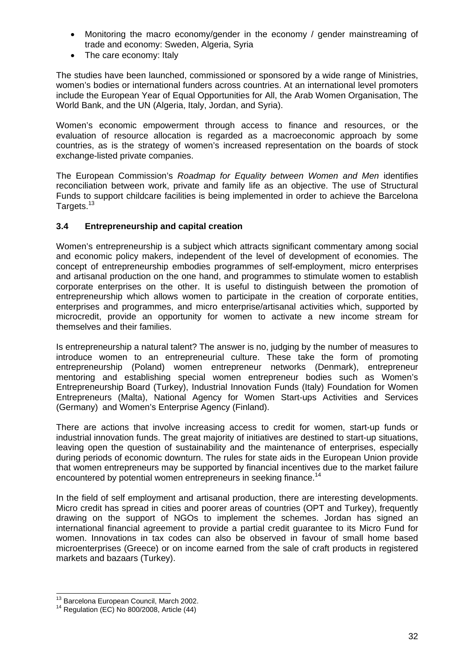- Monitoring the macro economy/gender in the economy / gender mainstreaming of trade and economy: Sweden, Algeria, Syria
- The care economy: Italy

The studies have been launched, commissioned or sponsored by a wide range of Ministries, women's bodies or international funders across countries. At an international level promoters include the European Year of Equal Opportunities for All, the Arab Women Organisation, The World Bank, and the UN (Algeria, Italy, Jordan, and Syria).

Women's economic empowerment through access to finance and resources, or the evaluation of resource allocation is regarded as a macroeconomic approach by some countries, as is the strategy of women's increased representation on the boards of stock exchange-listed private companies.

The European Commission's *Roadmap for Equality between Women and Men* identifies reconciliation between work, private and family life as an objective. The use of Structural Funds to support childcare facilities is being implemented in order to achieve the Barcelona Targets.13

## <span id="page-31-0"></span>**3.4 Entrepreneurship and capital creation**

Women's entrepreneurship is a subject which attracts significant commentary among social and economic policy makers, independent of the level of development of economies. The concept of entrepreneurship embodies programmes of self-employment, micro enterprises and artisanal production on the one hand, and programmes to stimulate women to establish corporate enterprises on the other. It is useful to distinguish between the promotion of entrepreneurship which allows women to participate in the creation of corporate entities, enterprises and programmes, and micro enterprise/artisanal activities which, supported by microcredit, provide an opportunity for women to activate a new income stream for themselves and their families.

Is entrepreneurship a natural talent? The answer is no, judging by the number of measures to introduce women to an entrepreneurial culture. These take the form of promoting entrepreneurship (Poland) women entrepreneur networks (Denmark), entrepreneur mentoring and establishing special women entrepreneur bodies such as Women's Entrepreneurship Board (Turkey), Industrial Innovation Funds (Italy) Foundation for Women Entrepreneurs (Malta), National Agency for Women Start-ups Activities and Services (Germany) and Women's Enterprise Agency (Finland).

There are actions that involve increasing access to credit for women, start-up funds or industrial innovation funds. The great majority of initiatives are destined to start-up situations, leaving open the question of sustainability and the maintenance of enterprises, especially during periods of economic downturn. The rules for state aids in the European Union provide that women entrepreneurs may be supported by financial incentives due to the market failure encountered by potential women entrepreneurs in seeking finance.<sup>14</sup>

In the field of self employment and artisanal production, there are interesting developments. Micro credit has spread in cities and poorer areas of countries (OPT and Turkey), frequently drawing on the support of NGOs to implement the schemes. Jordan has signed an international financial agreement to provide a partial credit guarantee to its Micro Fund for women. Innovations in tax codes can also be observed in favour of small home based microenterprises (Greece) or on income earned from the sale of craft products in registered markets and bazaars (Turkey).

<sup>&</sup>lt;sup>13</sup> Barcelona European Council, March 2002.

 $14$  Regulation (EC) No 800/2008, Article (44)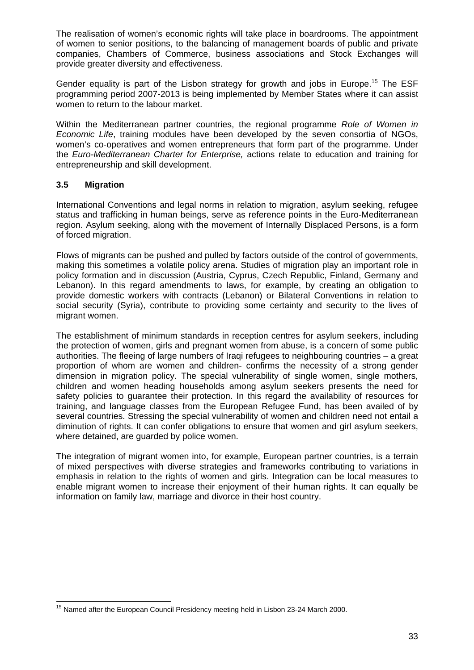The realisation of women's economic rights will take place in boardrooms. The appointment of women to senior positions, to the balancing of management boards of public and private companies, Chambers of Commerce, business associations and Stock Exchanges will provide greater diversity and effectiveness.

Gender equality is part of the Lisbon strategy for growth and jobs in Europe.<sup>15</sup> The ESF programming period 2007-2013 is being implemented by Member States where it can assist women to return to the labour market.

Within the Mediterranean partner countries, the regional programme *Role of Women in Economic Life*, training modules have been developed by the seven consortia of NGOs, women's co-operatives and women entrepreneurs that form part of the programme. Under the *Euro-Mediterranean Charter for Enterprise,* actions relate to education and training for entrepreneurship and skill development.

## <span id="page-32-0"></span>**3.5 Migration**

International Conventions and legal norms in relation to migration, asylum seeking, refugee status and trafficking in human beings, serve as reference points in the Euro-Mediterranean region. Asylum seeking, along with the movement of Internally Displaced Persons, is a form of forced migration.

Flows of migrants can be pushed and pulled by factors outside of the control of governments, making this sometimes a volatile policy arena. Studies of migration play an important role in policy formation and in discussion (Austria, Cyprus, Czech Republic, Finland, Germany and Lebanon). In this regard amendments to laws, for example, by creating an obligation to provide domestic workers with contracts (Lebanon) or Bilateral Conventions in relation to social security (Syria), contribute to providing some certainty and security to the lives of migrant women.

The establishment of minimum standards in reception centres for asylum seekers, including the protection of women, girls and pregnant women from abuse, is a concern of some public authorities. The fleeing of large numbers of Iraqi refugees to neighbouring countries – a great proportion of whom are women and children- confirms the necessity of a strong gender dimension in migration policy. The special vulnerability of single women, single mothers, children and women heading households among asylum seekers presents the need for safety policies to guarantee their protection. In this regard the availability of resources for training, and language classes from the European Refugee Fund, has been availed of by several countries. Stressing the special vulnerability of women and children need not entail a diminution of rights. It can confer obligations to ensure that women and girl asylum seekers, where detained, are guarded by police women.

The integration of migrant women into, for example, European partner countries, is a terrain of mixed perspectives with diverse strategies and frameworks contributing to variations in emphasis in relation to the rights of women and girls. Integration can be local measures to enable migrant women to increase their enjoyment of their human rights. It can equally be information on family law, marriage and divorce in their host country.

 <sup>15</sup> Named after the European Council Presidency meeting held in Lisbon 23-24 March 2000.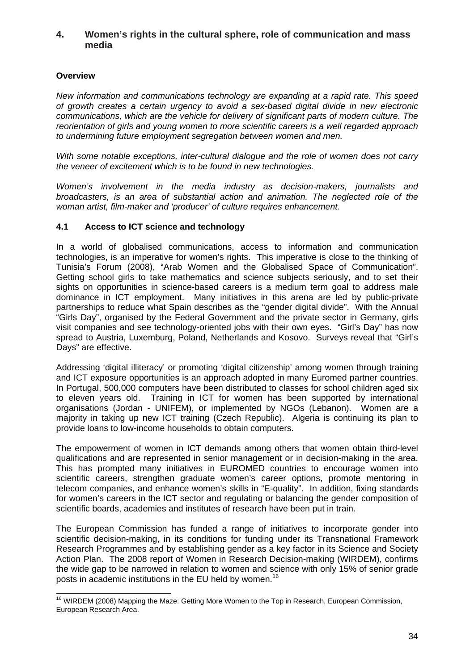#### <span id="page-33-0"></span>**4. Women's rights in the cultural sphere, role of communication and mass media**

## <span id="page-33-1"></span>**Overview**

*New information and communications technology are expanding at a rapid rate. This speed of growth creates a certain urgency to avoid a sex-based digital divide in new electronic communications, which are the vehicle for delivery of significant parts of modern culture. The reorientation of girls and young women to more scientific careers is a well regarded approach to undermining future employment segregation between women and men.* 

*With some notable exceptions, inter-cultural dialogue and the role of women does not carry the veneer of excitement which is to be found in new technologies.* 

*Women's involvement in the media industry as decision-makers, journalists and broadcasters, is an area of substantial action and animation. The neglected role of the woman artist, film-maker and 'producer' of culture requires enhancement.* 

#### <span id="page-33-2"></span>**4.1 Access to ICT science and technology**

In a world of globalised communications, access to information and communication technologies, is an imperative for women's rights. This imperative is close to the thinking of Tunisia's Forum (2008), "Arab Women and the Globalised Space of Communication". Getting school girls to take mathematics and science subjects seriously, and to set their sights on opportunities in science-based careers is a medium term goal to address male dominance in ICT employment. Many initiatives in this arena are led by public-private partnerships to reduce what Spain describes as the "gender digital divide". With the Annual "Girls Day", organised by the Federal Government and the private sector in Germany, girls visit companies and see technology-oriented jobs with their own eyes. "Girl's Day" has now spread to Austria, Luxemburg, Poland, Netherlands and Kosovo. Surveys reveal that "Girl's Days" are effective.

Addressing 'digital illiteracy' or promoting 'digital citizenship' among women through training and ICT exposure opportunities is an approach adopted in many Euromed partner countries. In Portugal, 500,000 computers have been distributed to classes for school children aged six to eleven years old. Training in ICT for women has been supported by international organisations (Jordan - UNIFEM), or implemented by NGOs (Lebanon). Women are a majority in taking up new ICT training (Czech Republic). Algeria is continuing its plan to provide loans to low-income households to obtain computers.

The empowerment of women in ICT demands among others that women obtain third-level qualifications and are represented in senior management or in decision-making in the area. This has prompted many initiatives in EUROMED countries to encourage women into scientific careers, strengthen graduate women's career options, promote mentoring in telecom companies, and enhance women's skills in "E-quality". In addition, fixing standards for women's careers in the ICT sector and regulating or balancing the gender composition of scientific boards, academies and institutes of research have been put in train.

The European Commission has funded a range of initiatives to incorporate gender into scientific decision-making, in its conditions for funding under its Transnational Framework Research Programmes and by establishing gender as a key factor in its Science and Society Action Plan. The 2008 report of Women in Research Decision-making (WIRDEM), confirms the wide gap to be narrowed in relation to women and science with only 15% of senior grade posts in academic institutions in the EU held by women.<sup>16</sup>

 <sup>16</sup> WIRDEM (2008) Mapping the Maze: Getting More Women to the Top in Research, European Commission, European Research Area.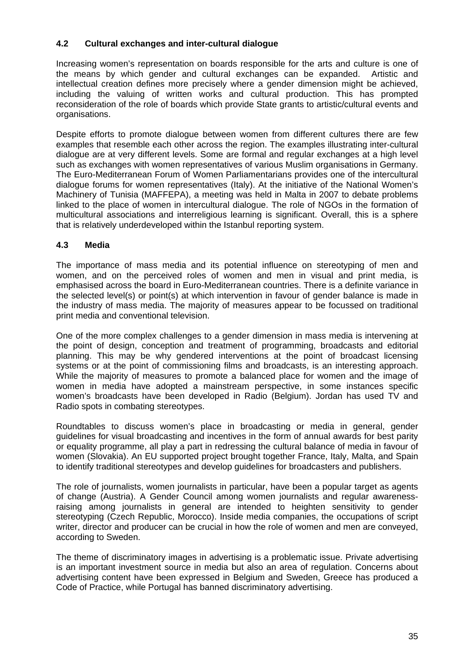## <span id="page-34-0"></span>**4.2 Cultural exchanges and inter-cultural dialogue**

Increasing women's representation on boards responsible for the arts and culture is one of the means by which gender and cultural exchanges can be expanded. Artistic and intellectual creation defines more precisely where a gender dimension might be achieved, including the valuing of written works and cultural production. This has prompted reconsideration of the role of boards which provide State grants to artistic/cultural events and organisations.

Despite efforts to promote dialogue between women from different cultures there are few examples that resemble each other across the region. The examples illustrating inter-cultural dialogue are at very different levels. Some are formal and regular exchanges at a high level such as exchanges with women representatives of various Muslim organisations in Germany. The Euro-Mediterranean Forum of Women Parliamentarians provides one of the intercultural dialogue forums for women representatives (Italy). At the initiative of the National Women's Machinery of Tunisia (MAFFEPA), a meeting was held in Malta in 2007 to debate problems linked to the place of women in intercultural dialogue. The role of NGOs in the formation of multicultural associations and interreligious learning is significant. Overall, this is a sphere that is relatively underdeveloped within the Istanbul reporting system.

## <span id="page-34-1"></span>**4.3 Media**

The importance of mass media and its potential influence on stereotyping of men and women, and on the perceived roles of women and men in visual and print media, is emphasised across the board in Euro-Mediterranean countries. There is a definite variance in the selected level(s) or point(s) at which intervention in favour of gender balance is made in the industry of mass media. The majority of measures appear to be focussed on traditional print media and conventional television.

One of the more complex challenges to a gender dimension in mass media is intervening at the point of design, conception and treatment of programming, broadcasts and editorial planning. This may be why gendered interventions at the point of broadcast licensing systems or at the point of commissioning films and broadcasts, is an interesting approach. While the majority of measures to promote a balanced place for women and the image of women in media have adopted a mainstream perspective, in some instances specific women's broadcasts have been developed in Radio (Belgium). Jordan has used TV and Radio spots in combating stereotypes.

Roundtables to discuss women's place in broadcasting or media in general, gender guidelines for visual broadcasting and incentives in the form of annual awards for best parity or equality programme, all play a part in redressing the cultural balance of media in favour of women (Slovakia). An EU supported project brought together France, Italy, Malta, and Spain to identify traditional stereotypes and develop guidelines for broadcasters and publishers.

The role of journalists, women journalists in particular, have been a popular target as agents of change (Austria). A Gender Council among women journalists and regular awarenessraising among journalists in general are intended to heighten sensitivity to gender stereotyping (Czech Republic, Morocco). Inside media companies, the occupations of script writer, director and producer can be crucial in how the role of women and men are conveyed, according to Sweden.

The theme of discriminatory images in advertising is a problematic issue. Private advertising is an important investment source in media but also an area of regulation. Concerns about advertising content have been expressed in Belgium and Sweden, Greece has produced a Code of Practice, while Portugal has banned discriminatory advertising.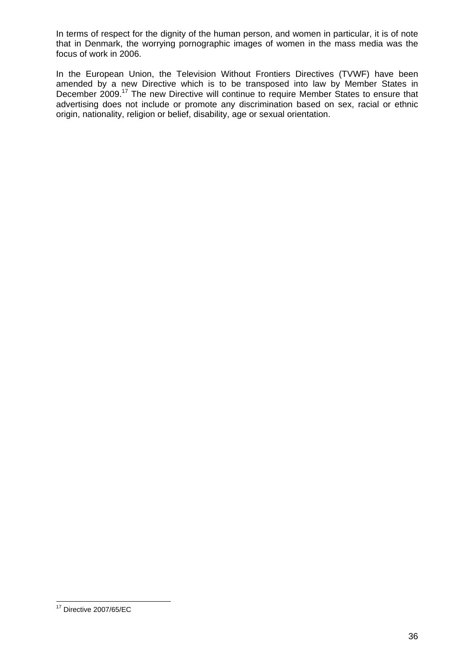In terms of respect for the dignity of the human person, and women in particular, it is of note that in Denmark, the worrying pornographic images of women in the mass media was the focus of work in 2006.

In the European Union, the Television Without Frontiers Directives (TVWF) have been amended by a new Directive which is to be transposed into law by Member States in December 2009.<sup>17</sup> The new Directive will continue to require Member States to ensure that advertising does not include or promote any discrimination based on sex, racial or ethnic origin, nationality, religion or belief, disability, age or sexual orientation.

 <sup>17</sup> Directive 2007/65/EC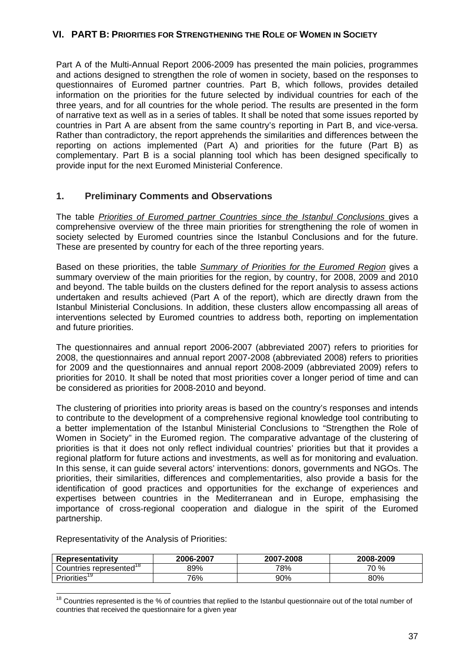### **VI. PART B: PRIORITIES FOR STRENGTHENING THE ROLE OF WOMEN IN SOCIETY**

Part A of the Multi-Annual Report 2006-2009 has presented the main policies, programmes and actions designed to strengthen the role of women in society, based on the responses to questionnaires of Euromed partner countries. Part B, which follows, provides detailed information on the priorities for the future selected by individual countries for each of the three years, and for all countries for the whole period. The results are presented in the form of narrative text as well as in a series of tables. It shall be noted that some issues reported by countries in Part A are absent from the same country's reporting in Part B, and vice-versa. Rather than contradictory, the report apprehends the similarities and differences between the reporting on actions implemented (Part A) and priorities for the future (Part B) as complementary. Part B is a social planning tool which has been designed specifically to provide input for the next Euromed Ministerial Conference.

### **1. Preliminary Comments and Observations**

The table *Priorities of Euromed partner Countries since the Istanbul Conclusions* gives a comprehensive overview of the three main priorities for strengthening the role of women in society selected by Euromed countries since the Istanbul Conclusions and for the future. These are presented by country for each of the three reporting years.

Based on these priorities, the table *Summary of Priorities for the Euromed Region* gives a summary overview of the main priorities for the region, by country, for 2008, 2009 and 2010 and beyond. The table builds on the clusters defined for the report analysis to assess actions undertaken and results achieved (Part A of the report), which are directly drawn from the Istanbul Ministerial Conclusions. In addition, these clusters allow encompassing all areas of interventions selected by Euromed countries to address both, reporting on implementation and future priorities.

The questionnaires and annual report 2006-2007 (abbreviated 2007) refers to priorities for 2008, the questionnaires and annual report 2007-2008 (abbreviated 2008) refers to priorities for 2009 and the questionnaires and annual report 2008-2009 (abbreviated 2009) refers to priorities for 2010. It shall be noted that most priorities cover a longer period of time and can be considered as priorities for 2008-2010 and beyond.

The clustering of priorities into priority areas is based on the country's responses and intends to contribute to the development of a comprehensive regional knowledge tool contributing to a better implementation of the Istanbul Ministerial Conclusions to "Strengthen the Role of Women in Society" in the Euromed region. The comparative advantage of the clustering of priorities is that it does not only reflect individual countries' priorities but that it provides a regional platform for future actions and investments, as well as for monitoring and evaluation. In this sense, it can guide several actors' interventions: donors, governments and NGOs. The priorities, their similarities, differences and complementarities, also provide a basis for the identification of good practices and opportunities for the exchange of experiences and expertises between countries in the Mediterranean and in Europe, emphasising the importance of cross-regional cooperation and dialogue in the spirit of the Euromed partnership.

| Representativity                        | 2006-2007 | 2007-2008 | 2008-2009 |
|-----------------------------------------|-----------|-----------|-----------|
| represented <sup>10</sup><br>Countries∟ | 39%       | 78%       | 70 %      |
| <b>Priorities</b>                       | 76%       | 90%       | 80%       |

Representativity of the Analysis of Priorities:

 <sup>18</sup> Countries represented is the % of countries that replied to the Istanbul questionnaire out of the total number of countries that received the questionnaire for a given year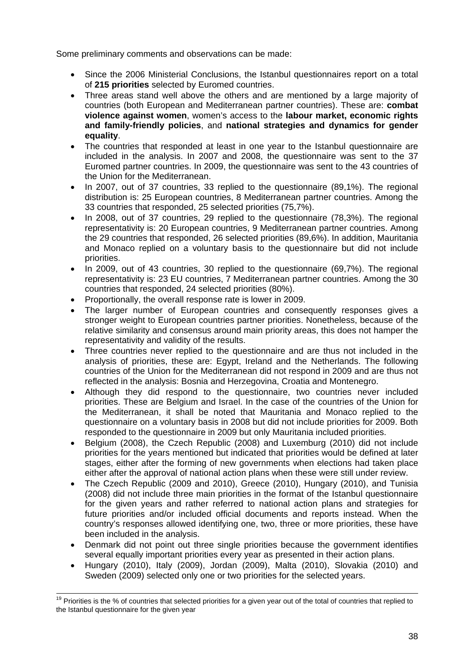Some preliminary comments and observations can be made:

- Since the 2006 Ministerial Conclusions, the Istanbul questionnaires report on a total of **215 priorities** selected by Euromed countries.
- Three areas stand well above the others and are mentioned by a large majority of countries (both European and Mediterranean partner countries). These are: **combat violence against women**, women's access to the **labour market, economic rights and family-friendly policies**, and **national strategies and dynamics for gender equality**.
- The countries that responded at least in one year to the Istanbul questionnaire are included in the analysis. In 2007 and 2008, the questionnaire was sent to the 37 Euromed partner countries. In 2009, the questionnaire was sent to the 43 countries of the Union for the Mediterranean.
- In 2007, out of 37 countries, 33 replied to the questionnaire (89,1%). The regional distribution is: 25 European countries, 8 Mediterranean partner countries. Among the 33 countries that responded, 25 selected priorities (75,7%).
- In 2008, out of 37 countries, 29 replied to the questionnaire (78,3%). The regional representativity is: 20 European countries, 9 Mediterranean partner countries. Among the 29 countries that responded, 26 selected priorities (89,6%). In addition, Mauritania and Monaco replied on a voluntary basis to the questionnaire but did not include priorities.
- In 2009, out of 43 countries, 30 replied to the questionnaire (69,7%). The regional representativity is: 23 EU countries, 7 Mediterranean partner countries. Among the 30 countries that responded, 24 selected priorities (80%).
- Proportionally, the overall response rate is lower in 2009.
- The larger number of European countries and consequently responses gives a stronger weight to European countries partner priorities. Nonetheless, because of the relative similarity and consensus around main priority areas, this does not hamper the representativity and validity of the results.
- Three countries never replied to the questionnaire and are thus not included in the analysis of priorities, these are: Egypt, Ireland and the Netherlands. The following countries of the Union for the Mediterranean did not respond in 2009 and are thus not reflected in the analysis: Bosnia and Herzegovina, Croatia and Montenegro.
- Although they did respond to the questionnaire, two countries never included priorities. These are Belgium and Israel. In the case of the countries of the Union for the Mediterranean, it shall be noted that Mauritania and Monaco replied to the questionnaire on a voluntary basis in 2008 but did not include priorities for 2009. Both responded to the questionnaire in 2009 but only Mauritania included priorities.
- Belgium (2008), the Czech Republic (2008) and Luxemburg (2010) did not include priorities for the years mentioned but indicated that priorities would be defined at later stages, either after the forming of new governments when elections had taken place either after the approval of national action plans when these were still under review.
- The Czech Republic (2009 and 2010), Greece (2010), Hungary (2010), and Tunisia (2008) did not include three main priorities in the format of the Istanbul questionnaire for the given years and rather referred to national action plans and strategies for future priorities and/or included official documents and reports instead. When the country's responses allowed identifying one, two, three or more priorities, these have been included in the analysis.
- Denmark did not point out three single priorities because the government identifies several equally important priorities every year as presented in their action plans.
- Hungary (2010), Italy (2009), Jordan (2009), Malta (2010), Slovakia (2010) and Sweden (2009) selected only one or two priorities for the selected years.

<sup>&</sup>lt;sup>19</sup> Priorities is the % of countries that selected priorities for a given year out of the total of countries that replied to the Istanbul questionnaire for the given year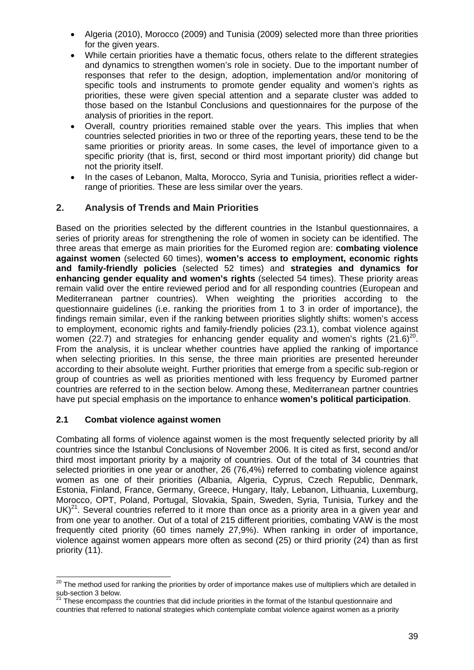- Algeria (2010), Morocco (2009) and Tunisia (2009) selected more than three priorities for the given years.
- While certain priorities have a thematic focus, others relate to the different strategies and dynamics to strengthen women's role in society. Due to the important number of responses that refer to the design, adoption, implementation and/or monitoring of specific tools and instruments to promote gender equality and women's rights as priorities, these were given special attention and a separate cluster was added to those based on the Istanbul Conclusions and questionnaires for the purpose of the analysis of priorities in the report.
- Overall, country priorities remained stable over the years. This implies that when countries selected priorities in two or three of the reporting years, these tend to be the same priorities or priority areas. In some cases, the level of importance given to a specific priority (that is, first, second or third most important priority) did change but not the priority itself.
- In the cases of Lebanon, Malta, Morocco, Syria and Tunisia, priorities reflect a widerrange of priorities. These are less similar over the years.

## **2. Analysis of Trends and Main Priorities**

Based on the priorities selected by the different countries in the Istanbul questionnaires, a series of priority areas for strengthening the role of women in society can be identified. The three areas that emerge as main priorities for the Euromed region are: **combating violence against women** (selected 60 times), **women's access to employment, economic rights and family-friendly policies** (selected 52 times) and **strategies and dynamics for enhancing gender equality and women's rights** (selected 54 times). These priority areas remain valid over the entire reviewed period and for all responding countries (European and Mediterranean partner countries). When weighting the priorities according to the questionnaire guidelines (i.e. ranking the priorities from 1 to 3 in order of importance), the findings remain similar, even if the ranking between priorities slightly shifts: women's access to employment, economic rights and family-friendly policies (23.1), combat violence against women (22.7) and strategies for enhancing gender equality and women's rights  $(21.6)^{20}$ . From the analysis, it is unclear whether countries have applied the ranking of importance when selecting priorities. In this sense, the three main priorities are presented hereunder according to their absolute weight. Further priorities that emerge from a specific sub-region or group of countries as well as priorities mentioned with less frequency by Euromed partner countries are referred to in the section below. Among these, Mediterranean partner countries have put special emphasis on the importance to enhance **women's political participation**.

### **2.1 Combat violence against women**

Combating all forms of violence against women is the most frequently selected priority by all countries since the Istanbul Conclusions of November 2006. It is cited as first, second and/or third most important priority by a majority of countries. Out of the total of 34 countries that selected priorities in one year or another, 26 (76,4%) referred to combating violence against women as one of their priorities (Albania, Algeria, Cyprus, Czech Republic, Denmark, Estonia, Finland, France, Germany, Greece, Hungary, Italy, Lebanon, Lithuania, Luxemburg, Morocco, OPT, Poland, Portugal, Slovakia, Spain, Sweden, Syria, Tunisia, Turkey and the  $UK)^{21}$ . Several countries referred to it more than once as a priority area in a given year and from one year to another. Out of a total of 215 different priorities, combating VAW is the most frequently cited priority (60 times namely 27,9%). When ranking in order of importance, violence against women appears more often as second (25) or third priority (24) than as first priority (11).

  $^{20}$  The method used for ranking the priorities by order of importance makes use of multipliers which are detailed in sub-section 3 below.

<sup>&</sup>lt;sup>21</sup> These encompass the countries that did include priorities in the format of the Istanbul questionnaire and countries that referred to national strategies which contemplate combat violence against women as a priority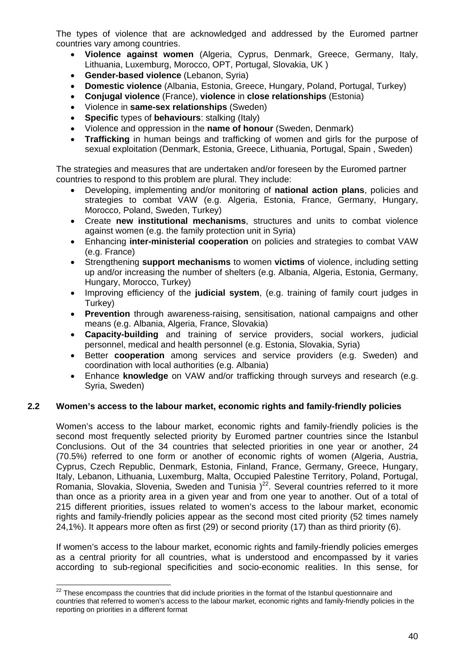The types of violence that are acknowledged and addressed by the Euromed partner countries vary among countries.

- **Violence against women** (Algeria, Cyprus, Denmark, Greece, Germany, Italy, Lithuania, Luxemburg, Morocco, OPT, Portugal, Slovakia, UK )
- **Gender-based violence** (Lebanon, Syria)
- **Domestic violence** (Albania, Estonia, Greece, Hungary, Poland, Portugal, Turkey)
- **Conjugal violence** (France), **violence** in **close relationships** (Estonia)
- Violence in **same-sex relationships** (Sweden)
- **Specific** types of **behaviours**: stalking (Italy)
- Violence and oppression in the **name of honour** (Sweden, Denmark)
- **Trafficking** in human beings and trafficking of women and girls for the purpose of sexual exploitation (Denmark, Estonia, Greece, Lithuania, Portugal, Spain , Sweden)

The strategies and measures that are undertaken and/or foreseen by the Euromed partner countries to respond to this problem are plural. They include:

- Developing, implementing and/or monitoring of **national action plans**, policies and strategies to combat VAW (e.g. Algeria, Estonia, France, Germany, Hungary, Morocco, Poland, Sweden, Turkey)
- Create **new institutional mechanisms**, structures and units to combat violence against women (e.g. the family protection unit in Syria)
- Enhancing **inter-ministerial cooperation** on policies and strategies to combat VAW (e.g. France)
- Strengthening **support mechanisms** to women **victims** of violence, including setting up and/or increasing the number of shelters (e.g. Albania, Algeria, Estonia, Germany, Hungary, Morocco, Turkey)
- Improving efficiency of the **judicial system**, (e.g. training of family court judges in Turkey)
- **Prevention** through awareness-raising, sensitisation, national campaigns and other means (e.g. Albania, Algeria, France, Slovakia)
- **Capacity-building** and training of service providers, social workers, judicial personnel, medical and health personnel (e.g. Estonia, Slovakia, Syria)
- Better **cooperation** among services and service providers (e.g. Sweden) and coordination with local authorities (e.g. Albania)
- Enhance **knowledge** on VAW and/or trafficking through surveys and research (e.g. Syria, Sweden)

#### **2.2 Women's access to the labour market, economic rights and family-friendly policies**

Women's access to the labour market, economic rights and family-friendly policies is the second most frequently selected priority by Euromed partner countries since the Istanbul Conclusions. Out of the 34 countries that selected priorities in one year or another, 24 (70.5%) referred to one form or another of economic rights of women (Algeria, Austria, Cyprus, Czech Republic, Denmark, Estonia, Finland, France, Germany, Greece, Hungary, Italy, Lebanon, Lithuania, Luxemburg, Malta, Occupied Palestine Territory, Poland, Portugal, Romania, Slovakia, Slovenia, Sweden and Tunisia  $)^{22}$ . Several countries referred to it more than once as a priority area in a given year and from one year to another. Out of a total of 215 different priorities, issues related to women's access to the labour market, economic rights and family-friendly policies appear as the second most cited priority (52 times namely 24,1%). It appears more often as first (29) or second priority (17) than as third priority (6).

If women's access to the labour market, economic rights and family-friendly policies emerges as a central priority for all countries, what is understood and encompassed by it varies according to sub-regional specificities and socio-economic realities. In this sense, for

 $\overline{\phantom{a}}$  $22$  These encompass the countries that did include priorities in the format of the Istanbul questionnaire and countries that referred to women's access to the labour market, economic rights and family-friendly policies in the reporting on priorities in a different format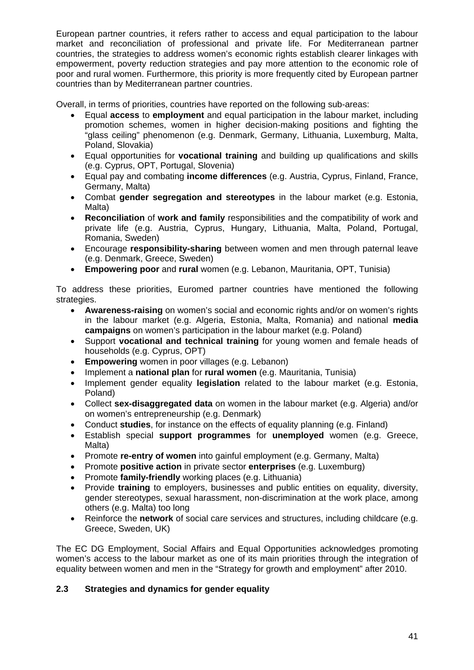European partner countries, it refers rather to access and equal participation to the labour market and reconciliation of professional and private life. For Mediterranean partner countries, the strategies to address women's economic rights establish clearer linkages with empowerment, poverty reduction strategies and pay more attention to the economic role of poor and rural women. Furthermore, this priority is more frequently cited by European partner countries than by Mediterranean partner countries.

Overall, in terms of priorities, countries have reported on the following sub-areas:

- Equal **access** to **employment** and equal participation in the labour market, including promotion schemes, women in higher decision-making positions and fighting the "glass ceiling" phenomenon (e.g. Denmark, Germany, Lithuania, Luxemburg, Malta, Poland, Slovakia)
- Equal opportunities for **vocational training** and building up qualifications and skills (e.g. Cyprus, OPT, Portugal, Slovenia)
- Equal pay and combating **income differences** (e.g. Austria, Cyprus, Finland, France, Germany, Malta)
- Combat **gender segregation and stereotypes** in the labour market (e.g. Estonia, Malta)
- **Reconciliation** of **work and family** responsibilities and the compatibility of work and private life (e.g. Austria, Cyprus, Hungary, Lithuania, Malta, Poland, Portugal, Romania, Sweden)
- Encourage **responsibility-sharing** between women and men through paternal leave (e.g. Denmark, Greece, Sweden)
- **Empowering poor** and **rural** women (e.g. Lebanon, Mauritania, OPT, Tunisia)

To address these priorities, Euromed partner countries have mentioned the following strategies.

- **Awareness-raising** on women's social and economic rights and/or on women's rights in the labour market (e.g. Algeria, Estonia, Malta, Romania) and national **media campaigns** on women's participation in the labour market (e.g. Poland)
- Support **vocational and technical training** for young women and female heads of households (e.g. Cyprus, OPT)
- **Empowering** women in poor villages (e.g. Lebanon)
- Implement a **national plan** for **rural women** (e.g. Mauritania, Tunisia)
- Implement gender equality **legislation** related to the labour market (e.g. Estonia, Poland)
- Collect **sex-disaggregated data** on women in the labour market (e.g. Algeria) and/or on women's entrepreneurship (e.g. Denmark)
- Conduct **studies**, for instance on the effects of equality planning (e.g. Finland)
- Establish special **support programmes** for **unemployed** women (e.g. Greece, Malta)
- Promote **re-entry of women** into gainful employment (e.g. Germany, Malta)
- Promote **positive action** in private sector **enterprises** (e.g. Luxemburg)
- Promote **family-friendly** working places (e.g. Lithuania)
- Provide **training** to employers, businesses and public entities on equality, diversity, gender stereotypes, sexual harassment, non-discrimination at the work place, among others (e.g. Malta) too long
- Reinforce the **network** of social care services and structures, including childcare (e.g. Greece, Sweden, UK)

The EC DG Employment, Social Affairs and Equal Opportunities acknowledges promoting women's access to the labour market as one of its main priorities through the integration of equality between women and men in the "Strategy for growth and employment" after 2010.

## **2.3 Strategies and dynamics for gender equality**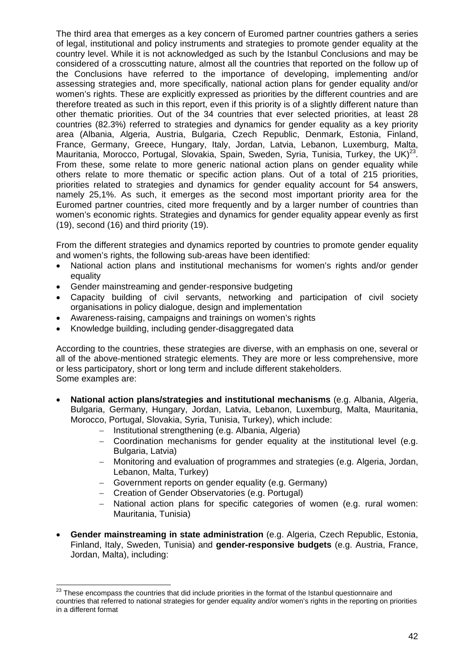The third area that emerges as a key concern of Euromed partner countries gathers a series of legal, institutional and policy instruments and strategies to promote gender equality at the country level. While it is not acknowledged as such by the Istanbul Conclusions and may be considered of a crosscutting nature, almost all the countries that reported on the follow up of the Conclusions have referred to the importance of developing, implementing and/or assessing strategies and, more specifically, national action plans for gender equality and/or women's rights. These are explicitly expressed as priorities by the different countries and are therefore treated as such in this report, even if this priority is of a slightly different nature than other thematic priorities. Out of the 34 countries that ever selected priorities, at least 28 countries (82.3%) referred to strategies and dynamics for gender equality as a key priority area (Albania, Algeria, Austria, Bulgaria, Czech Republic, Denmark, Estonia, Finland, France, Germany, Greece, Hungary, Italy, Jordan, Latvia, Lebanon, Luxemburg, Malta, Mauritania, Morocco, Portugal, Slovakia, Spain, Sweden, Syria, Tunisia, Turkey, the UK)<sup>23</sup>. From these, some relate to more generic national action plans on gender equality while others relate to more thematic or specific action plans. Out of a total of 215 priorities, priorities related to strategies and dynamics for gender equality account for 54 answers, namely 25,1%. As such, it emerges as the second most important priority area for the Euromed partner countries, cited more frequently and by a larger number of countries than women's economic rights. Strategies and dynamics for gender equality appear evenly as first (19), second (16) and third priority (19).

From the different strategies and dynamics reported by countries to promote gender equality and women's rights, the following sub-areas have been identified:

- National action plans and institutional mechanisms for women's rights and/or gender equality
- Gender mainstreaming and gender-responsive budgeting
- Capacity building of civil servants, networking and participation of civil society organisations in policy dialogue, design and implementation
- Awareness-raising, campaigns and trainings on women's rights
- Knowledge building, including gender-disaggregated data

According to the countries, these strategies are diverse, with an emphasis on one, several or all of the above-mentioned strategic elements. They are more or less comprehensive, more or less participatory, short or long term and include different stakeholders. Some examples are:

- **National action plans/strategies and institutional mechanisms** (e.g. Albania, Algeria, Bulgaria, Germany, Hungary, Jordan, Latvia, Lebanon, Luxemburg, Malta, Mauritania, Morocco, Portugal, Slovakia, Syria, Tunisia, Turkey), which include:
	- − Institutional strengthening (e.g. Albania, Algeria)
	- − Coordination mechanisms for gender equality at the institutional level (e.g. Bulgaria, Latvia)
	- − Monitoring and evaluation of programmes and strategies (e.g. Algeria, Jordan, Lebanon, Malta, Turkey)
	- − Government reports on gender equality (e.g. Germany)
	- − Creation of Gender Observatories (e.g. Portugal)
	- National action plans for specific categories of women (e.g. rural women: Mauritania, Tunisia)
- **Gender mainstreaming in state administration** (e.g. Algeria, Czech Republic, Estonia, Finland, Italy, Sweden, Tunisia) and **gender-responsive budgets** (e.g. Austria, France, Jordan, Malta), including:

 $\overline{\phantom{a}}$  $^{23}$  These encompass the countries that did include priorities in the format of the Istanbul questionnaire and countries that referred to national strategies for gender equality and/or women's rights in the reporting on priorities in a different format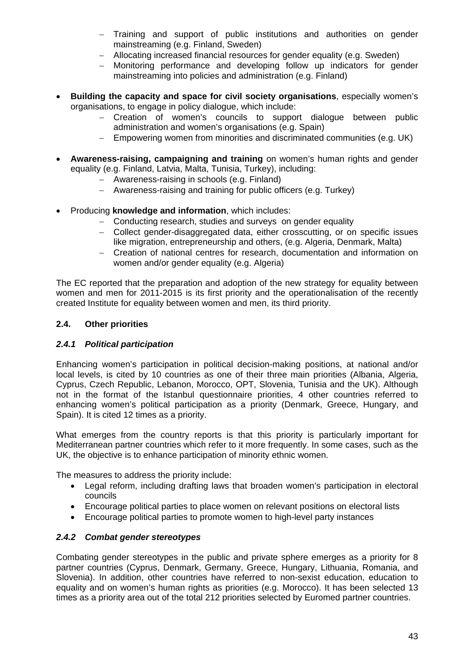- − Training and support of public institutions and authorities on gender mainstreaming (e.g. Finland, Sweden)
- − Allocating increased financial resources for gender equality (e.g. Sweden)
- − Monitoring performance and developing follow up indicators for gender mainstreaming into policies and administration (e.g. Finland)
- **Building the capacity and space for civil society organisations**, especially women's organisations, to engage in policy dialogue, which include:
	- − Creation of women's councils to support dialogue between public administration and women's organisations (e.g. Spain)
	- − Empowering women from minorities and discriminated communities (e.g. UK)
- **Awareness-raising, campaigning and training** on women's human rights and gender equality (e.g. Finland, Latvia, Malta, Tunisia, Turkey), including:
	- − Awareness-raising in schools (e.g. Finland)
	- − Awareness-raising and training for public officers (e.g. Turkey)
- Producing **knowledge and information**, which includes:
	- − Conducting research, studies and surveys on gender equality
	- − Collect gender-disaggregated data, either crosscutting, or on specific issues like migration, entrepreneurship and others, (e.g. Algeria, Denmark, Malta)
	- − Creation of national centres for research, documentation and information on women and/or gender equality (e.g. Algeria)

The EC reported that the preparation and adoption of the new strategy for equality between women and men for 2011-2015 is its first priority and the operationalisation of the recently created Institute for equality between women and men, its third priority.

### **2.4. Other priorities**

#### *2.4.1 Political participation*

Enhancing women's participation in political decision-making positions, at national and/or local levels, is cited by 10 countries as one of their three main priorities (Albania, Algeria, Cyprus, Czech Republic, Lebanon, Morocco, OPT, Slovenia, Tunisia and the UK). Although not in the format of the Istanbul questionnaire priorities, 4 other countries referred to enhancing women's political participation as a priority (Denmark, Greece, Hungary, and Spain). It is cited 12 times as a priority.

What emerges from the country reports is that this priority is particularly important for Mediterranean partner countries which refer to it more frequently. In some cases, such as the UK, the objective is to enhance participation of minority ethnic women.

The measures to address the priority include:

- Legal reform, including drafting laws that broaden women's participation in electoral councils
- Encourage political parties to place women on relevant positions on electoral lists
- Encourage political parties to promote women to high-level party instances

#### *2.4.2 Combat gender stereotypes*

Combating gender stereotypes in the public and private sphere emerges as a priority for 8 partner countries (Cyprus, Denmark, Germany, Greece, Hungary, Lithuania, Romania, and Slovenia). In addition, other countries have referred to non-sexist education, education to equality and on women's human rights as priorities (e.g. Morocco). It has been selected 13 times as a priority area out of the total 212 priorities selected by Euromed partner countries.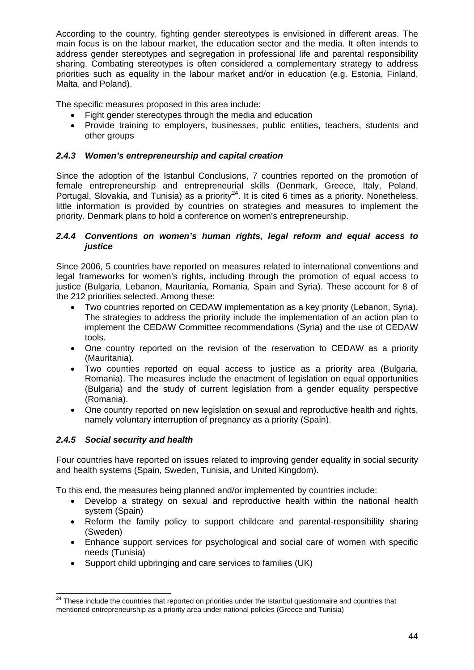According to the country, fighting gender stereotypes is envisioned in different areas. The main focus is on the labour market, the education sector and the media. It often intends to address gender stereotypes and segregation in professional life and parental responsibility sharing. Combating stereotypes is often considered a complementary strategy to address priorities such as equality in the labour market and/or in education (e.g. Estonia, Finland, Malta, and Poland).

The specific measures proposed in this area include:

- Fight gender stereotypes through the media and education
- Provide training to employers, businesses, public entities, teachers, students and other groups

### *2.4.3 Women's entrepreneurship and capital creation*

Since the adoption of the Istanbul Conclusions, 7 countries reported on the promotion of female entrepreneurship and entrepreneurial skills (Denmark, Greece, Italy, Poland, Portugal, Slovakia, and Tunisia) as a priority<sup>24</sup>. It is cited 6 times as a priority. Nonetheless, little information is provided by countries on strategies and measures to implement the priority. Denmark plans to hold a conference on women's entrepreneurship.

#### *2.4.4 Conventions on women's human rights, legal reform and equal access to justice*

Since 2006, 5 countries have reported on measures related to international conventions and legal frameworks for women's rights, including through the promotion of equal access to justice (Bulgaria, Lebanon, Mauritania, Romania, Spain and Syria). These account for 8 of the 212 priorities selected. Among these:

- Two countries reported on CEDAW implementation as a key priority (Lebanon, Syria). The strategies to address the priority include the implementation of an action plan to implement the CEDAW Committee recommendations (Syria) and the use of CEDAW tools.
- One country reported on the revision of the reservation to CEDAW as a priority (Mauritania).
- Two counties reported on equal access to justice as a priority area (Bulgaria, Romania). The measures include the enactment of legislation on equal opportunities (Bulgaria) and the study of current legislation from a gender equality perspective (Romania).
- One country reported on new legislation on sexual and reproductive health and rights, namely voluntary interruption of pregnancy as a priority (Spain).

## *2.4.5 Social security and health*

Four countries have reported on issues related to improving gender equality in social security and health systems (Spain, Sweden, Tunisia, and United Kingdom).

To this end, the measures being planned and/or implemented by countries include:

- Develop a strategy on sexual and reproductive health within the national health system (Spain)
- Reform the family policy to support childcare and parental-responsibility sharing (Sweden)
- Enhance support services for psychological and social care of women with specific needs (Tunisia)
- Support child upbringing and care services to families (UK)

 <sup>24</sup> These include the countries that reported on priorities under the Istanbul questionnaire and countries that mentioned entrepreneurship as a priority area under national policies (Greece and Tunisia)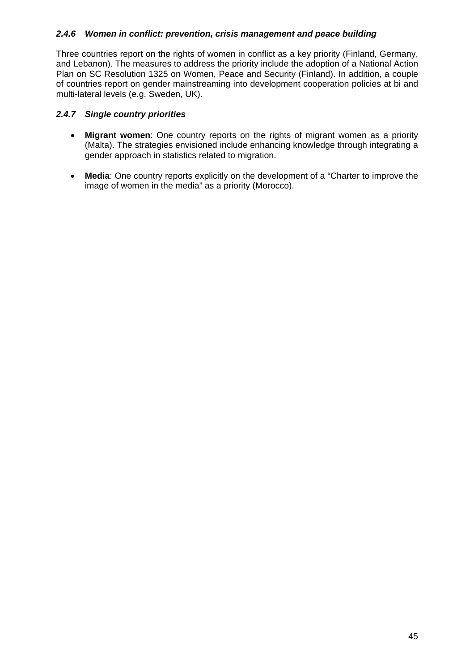### *2.4.6 Women in conflict: prevention, crisis management and peace building*

Three countries report on the rights of women in conflict as a key priority (Finland, Germany, and Lebanon). The measures to address the priority include the adoption of a National Action Plan on SC Resolution 1325 on Women, Peace and Security (Finland). In addition, a couple of countries report on gender mainstreaming into development cooperation policies at bi and multi-lateral levels (e.g. Sweden, UK).

#### *2.4.7 Single country priorities*

- **Migrant women**: One country reports on the rights of migrant women as a priority (Malta). The strategies envisioned include enhancing knowledge through integrating a gender approach in statistics related to migration.
- **Media**: One country reports explicitly on the development of a "Charter to improve the image of women in the media" as a priority (Morocco).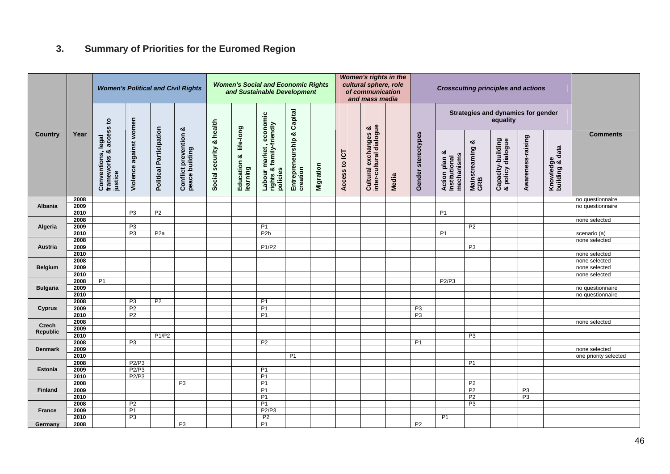# **3. Summary of Priorities for the Euromed Region**

|                 |              |                                                                 | <b>Women's Political and Civil Rights</b> |                         |                                              |                          |                                   | <b>Women's Social and Economic Rights</b><br>and Sustainable Development |                                |           |               | <b>Women's rights in the</b><br>cultural sphere, role<br>of communication<br>and mass media |       |                      | <b>Crosscutting principles and actions</b>        |                             |                                                |                   |                              |                       |
|-----------------|--------------|-----------------------------------------------------------------|-------------------------------------------|-------------------------|----------------------------------------------|--------------------------|-----------------------------------|--------------------------------------------------------------------------|--------------------------------|-----------|---------------|---------------------------------------------------------------------------------------------|-------|----------------------|---------------------------------------------------|-----------------------------|------------------------------------------------|-------------------|------------------------------|-----------------------|
|                 |              | $\mathbf{S}$                                                    |                                           |                         | ೲ                                            |                          |                                   |                                                                          | Capital                        |           |               |                                                                                             |       |                      |                                                   |                             | Strategies and dynamics for gender<br>equality |                   |                              |                       |
| <b>Country</b>  | Year         | access<br>legal<br>ೲ<br>Conventions,<br>frameworks &<br>justice | Violence against women                    | Political Participation | <b>Conflict prevention</b><br>peace building | Social security & health | Education & life-long<br>learning | Labour market , economic<br>rights & family-friendly<br>policies         | Entrepreneurship &<br>creation | Migration | Access to ICT | inter-cultural dialogue<br>exchanges &<br>Cultural                                          | Media | Gender stereotypes   | ಯ<br>mechanisms<br>Action plan &<br>Institutional | ఱ<br>Mainstreaming &<br>GRB | Capacity-building<br>& policy dialogue         | Awareness-raising | Knowledge<br>building & data | <b>Comments</b>       |
|                 | 2008         |                                                                 |                                           |                         |                                              |                          |                                   |                                                                          |                                |           |               |                                                                                             |       |                      |                                                   |                             |                                                |                   |                              | no questionnaire      |
| Albania         | 2009         |                                                                 |                                           |                         |                                              |                          |                                   |                                                                          |                                |           |               |                                                                                             |       |                      |                                                   |                             |                                                |                   |                              | no questionnaire      |
|                 | 2010         |                                                                 | P3                                        | P <sub>2</sub>          |                                              |                          |                                   |                                                                          |                                |           |               |                                                                                             |       |                      | P <sub>1</sub>                                    |                             |                                                |                   |                              |                       |
|                 | 2008         |                                                                 |                                           |                         |                                              |                          |                                   |                                                                          |                                |           |               |                                                                                             |       |                      |                                                   |                             |                                                |                   |                              | none selected         |
| Algeria         | 2009         |                                                                 | P <sub>3</sub>                            |                         |                                              |                          |                                   | P <sub>1</sub>                                                           |                                |           |               |                                                                                             |       |                      |                                                   | P <sub>2</sub>              |                                                |                   |                              |                       |
|                 | 2010         |                                                                 | P3                                        | P <sub>2</sub> a        |                                              |                          |                                   | P <sub>2</sub> b                                                         |                                |           |               |                                                                                             |       |                      | <b>P1</b>                                         |                             |                                                |                   |                              | scenario (a)          |
|                 | 2008         |                                                                 |                                           |                         |                                              |                          |                                   |                                                                          |                                |           |               |                                                                                             |       |                      |                                                   |                             |                                                |                   |                              | none selected         |
| Austria         | 2009         |                                                                 |                                           |                         |                                              |                          |                                   | P1/P2                                                                    |                                |           |               |                                                                                             |       |                      |                                                   | P <sub>3</sub>              |                                                |                   |                              |                       |
|                 | 2010         |                                                                 |                                           |                         |                                              |                          |                                   |                                                                          |                                |           |               |                                                                                             |       |                      |                                                   |                             |                                                |                   |                              | none selected         |
|                 | 2008         |                                                                 |                                           |                         |                                              |                          |                                   |                                                                          |                                |           |               |                                                                                             |       |                      |                                                   |                             |                                                |                   |                              | none selected         |
| <b>Belgium</b>  | 2009         |                                                                 |                                           |                         |                                              |                          |                                   |                                                                          |                                |           |               |                                                                                             |       |                      |                                                   |                             |                                                |                   |                              | none selected         |
|                 | 2010         |                                                                 |                                           |                         |                                              |                          |                                   |                                                                          |                                |           |               |                                                                                             |       |                      |                                                   |                             |                                                |                   |                              | none selected         |
|                 | 2008         | <b>P1</b>                                                       |                                           |                         |                                              |                          |                                   |                                                                          |                                |           |               |                                                                                             |       |                      | P2/P3                                             |                             |                                                |                   |                              |                       |
| <b>Bulgaria</b> | 2009         |                                                                 |                                           |                         |                                              |                          |                                   |                                                                          |                                |           |               |                                                                                             |       |                      |                                                   |                             |                                                |                   |                              | no questionnaire      |
|                 | 2010         |                                                                 |                                           |                         |                                              |                          |                                   |                                                                          |                                |           |               |                                                                                             |       |                      |                                                   |                             |                                                |                   |                              | no questionnaire      |
|                 | 2008         |                                                                 | P3<br>P <sub>2</sub>                      | P <sub>2</sub>          |                                              |                          |                                   | P1<br>P <sub>1</sub>                                                     |                                |           |               |                                                                                             |       |                      |                                                   |                             |                                                |                   |                              |                       |
| <b>Cyprus</b>   | 2009<br>2010 |                                                                 | P <sub>2</sub>                            |                         |                                              |                          |                                   | <b>P1</b>                                                                |                                |           |               |                                                                                             |       | P <sub>3</sub><br>P3 |                                                   |                             |                                                |                   |                              |                       |
|                 | 2008         |                                                                 |                                           |                         |                                              |                          |                                   |                                                                          |                                |           |               |                                                                                             |       |                      |                                                   |                             |                                                |                   |                              |                       |
| Czech           | 2009         |                                                                 |                                           |                         |                                              |                          |                                   |                                                                          |                                |           |               |                                                                                             |       |                      |                                                   |                             |                                                |                   |                              | none selected         |
| <b>Republic</b> | 2010         |                                                                 |                                           | P1/P2                   |                                              |                          |                                   |                                                                          |                                |           |               |                                                                                             |       |                      |                                                   | P <sub>3</sub>              |                                                |                   |                              |                       |
|                 | 2008         |                                                                 | P <sub>3</sub>                            |                         |                                              |                          |                                   | P <sub>2</sub>                                                           |                                |           |               |                                                                                             |       | P <sub>1</sub>       |                                                   |                             |                                                |                   |                              |                       |
| <b>Denmark</b>  | 2009         |                                                                 |                                           |                         |                                              |                          |                                   |                                                                          |                                |           |               |                                                                                             |       |                      |                                                   |                             |                                                |                   |                              | none selected         |
|                 | 2010         |                                                                 |                                           |                         |                                              |                          |                                   |                                                                          | <b>P1</b>                      |           |               |                                                                                             |       |                      |                                                   |                             |                                                |                   |                              | one priority selected |
|                 | 2008         |                                                                 | P2/P3                                     |                         |                                              |                          |                                   |                                                                          |                                |           |               |                                                                                             |       |                      |                                                   | P <sub>1</sub>              |                                                |                   |                              |                       |
| <b>Estonia</b>  | 2009         |                                                                 | P2/P3                                     |                         |                                              |                          |                                   | P <sub>1</sub>                                                           |                                |           |               |                                                                                             |       |                      |                                                   |                             |                                                |                   |                              |                       |
|                 | 2010         |                                                                 | P2/P3                                     |                         |                                              |                          |                                   | P <sub>1</sub>                                                           |                                |           |               |                                                                                             |       |                      |                                                   |                             |                                                |                   |                              |                       |
|                 | 2008         |                                                                 |                                           |                         | P <sub>3</sub>                               |                          |                                   | P <sub>1</sub>                                                           |                                |           |               |                                                                                             |       |                      |                                                   | P <sub>2</sub>              |                                                |                   |                              |                       |
| <b>Finland</b>  | 2009         |                                                                 |                                           |                         |                                              |                          |                                   | P1                                                                       |                                |           |               |                                                                                             |       |                      |                                                   | P <sub>2</sub>              |                                                | P <sub>3</sub>    |                              |                       |
|                 | 2010         |                                                                 |                                           |                         |                                              |                          |                                   | P <sub>1</sub>                                                           |                                |           |               |                                                                                             |       |                      |                                                   | P <sub>2</sub>              |                                                | P <sub>3</sub>    |                              |                       |
|                 | 2008         |                                                                 | P <sub>2</sub>                            |                         |                                              |                          |                                   | P1                                                                       |                                |           |               |                                                                                             |       |                      |                                                   | P3                          |                                                |                   |                              |                       |
| France          | 2009         |                                                                 | P <sub>1</sub>                            |                         |                                              |                          |                                   | P2/P3                                                                    |                                |           |               |                                                                                             |       |                      |                                                   |                             |                                                |                   |                              |                       |
|                 | 2010         |                                                                 | P3                                        |                         |                                              |                          |                                   | P <sub>2</sub>                                                           |                                |           |               |                                                                                             |       |                      | P <sub>1</sub>                                    |                             |                                                |                   |                              |                       |
| Germany         | 2008         |                                                                 |                                           |                         | P <sub>3</sub>                               |                          |                                   | P <sub>1</sub>                                                           |                                |           |               |                                                                                             |       | P <sub>2</sub>       |                                                   |                             |                                                |                   |                              |                       |
|                 |              |                                                                 |                                           |                         |                                              |                          |                                   |                                                                          |                                |           |               |                                                                                             |       |                      |                                                   |                             |                                                |                   |                              |                       |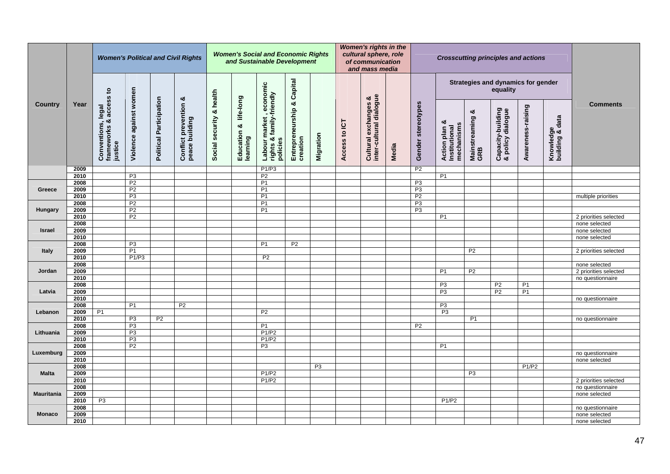|                   | <b>Women's Political and Civil Rights</b> |                                                         |                                  |                                |                                       |                          |                                   | <b>Women's Social and Economic Rights</b><br>and Sustainable Development |                                        |                |               | <b>Women's rights in the</b><br>cultural sphere, role<br>of communication<br>and mass media |       |                    |                                              |                             | <b>Crosscutting principles and actions</b>     |                   |                              |                       |
|-------------------|-------------------------------------------|---------------------------------------------------------|----------------------------------|--------------------------------|---------------------------------------|--------------------------|-----------------------------------|--------------------------------------------------------------------------|----------------------------------------|----------------|---------------|---------------------------------------------------------------------------------------------|-------|--------------------|----------------------------------------------|-----------------------------|------------------------------------------------|-------------------|------------------------------|-----------------------|
|                   |                                           |                                                         |                                  |                                | ఱ                                     |                          |                                   |                                                                          |                                        |                |               |                                                                                             |       |                    |                                              |                             | Strategies and dynamics for gender<br>equality |                   |                              |                       |
| Country           | Year                                      | Conventions, legal<br>frameworks & access to<br>justice | Violence against women           | <b>Political Participation</b> | Conflict prevention<br>peace building | Social security & health | Education & life-long<br>learning | rights & family-friendly<br>  rights & family-friendly<br>  policies     | Entrepreneurship & Capital<br>creation | Migration      | Access to ICT | Cultural exchanges &<br>inter-cultural dialogue                                             | Media | Gender stereotypes | Action plan &<br>Institutional<br>mechanisms | ಯ<br>Mainstreaming &<br>GRB | Capacity-building<br>& policy dialogue         | Awareness-raising | Knowledge<br>building & data | <b>Comments</b>       |
|                   | 2009                                      |                                                         |                                  |                                |                                       |                          |                                   | P1/P3                                                                    |                                        |                |               |                                                                                             |       | P <sub>2</sub>     |                                              |                             |                                                |                   |                              |                       |
|                   | 2010                                      |                                                         | P <sub>3</sub>                   |                                |                                       |                          |                                   | P <sub>2</sub>                                                           |                                        |                |               |                                                                                             |       |                    | P <sub>1</sub>                               |                             |                                                |                   |                              |                       |
| Greece            | 2008<br>2009                              |                                                         | P <sub>2</sub><br>P <sub>2</sub> |                                |                                       |                          |                                   | P <sub>1</sub><br>P <sub>1</sub>                                         |                                        |                |               |                                                                                             |       | P3<br>P3           |                                              |                             |                                                |                   |                              |                       |
|                   | 2010                                      |                                                         | P3                               |                                |                                       |                          |                                   | P1                                                                       |                                        |                |               |                                                                                             |       | P <sub>2</sub>     |                                              |                             |                                                |                   |                              | multiple priorities   |
|                   | 2008                                      |                                                         | P <sub>2</sub>                   |                                |                                       |                          |                                   | P <sub>1</sub>                                                           |                                        |                |               |                                                                                             |       | P <sub>3</sub>     |                                              |                             |                                                |                   |                              |                       |
| Hungary           | 2009                                      |                                                         | P <sub>2</sub>                   |                                |                                       |                          |                                   | <b>P1</b>                                                                |                                        |                |               |                                                                                             |       | P <sub>3</sub>     |                                              |                             |                                                |                   |                              |                       |
|                   | 2010                                      |                                                         | P <sub>2</sub>                   |                                |                                       |                          |                                   |                                                                          |                                        |                |               |                                                                                             |       |                    | P <sub>1</sub>                               |                             |                                                |                   |                              | 2 priorities selected |
|                   | 2008                                      |                                                         |                                  |                                |                                       |                          |                                   |                                                                          |                                        |                |               |                                                                                             |       |                    |                                              |                             |                                                |                   |                              | none selected         |
| Israel            | 2009                                      |                                                         |                                  |                                |                                       |                          |                                   |                                                                          |                                        |                |               |                                                                                             |       |                    |                                              |                             |                                                |                   |                              | none selected         |
|                   | 2010                                      |                                                         |                                  |                                |                                       |                          |                                   |                                                                          |                                        |                |               |                                                                                             |       |                    |                                              |                             |                                                |                   |                              | none selected         |
|                   | 2008                                      |                                                         | P3                               |                                |                                       |                          |                                   | P <sub>1</sub>                                                           | P <sub>2</sub>                         |                |               |                                                                                             |       |                    |                                              |                             |                                                |                   |                              |                       |
| <b>Italy</b>      | 2009                                      |                                                         | P1                               |                                |                                       |                          |                                   |                                                                          |                                        |                |               |                                                                                             |       |                    |                                              | P <sub>2</sub>              |                                                |                   |                              | 2 priorities selected |
|                   | 2010                                      |                                                         | P1/P3                            |                                |                                       |                          |                                   | <b>P2</b>                                                                |                                        |                |               |                                                                                             |       |                    |                                              |                             |                                                |                   |                              |                       |
|                   | 2008                                      |                                                         |                                  |                                |                                       |                          |                                   |                                                                          |                                        |                |               |                                                                                             |       |                    |                                              |                             |                                                |                   |                              | none selected         |
| Jordan            | 2009                                      |                                                         |                                  |                                |                                       |                          |                                   |                                                                          |                                        |                |               |                                                                                             |       |                    | <b>P1</b>                                    | P <sub>2</sub>              |                                                |                   |                              | 2 priorities selected |
|                   | 2010                                      |                                                         |                                  |                                |                                       |                          |                                   |                                                                          |                                        |                |               |                                                                                             |       |                    |                                              |                             |                                                |                   |                              | no questionnaire      |
|                   | 2008                                      |                                                         |                                  |                                |                                       |                          |                                   |                                                                          |                                        |                |               |                                                                                             |       |                    | P <sub>3</sub>                               |                             | P <sub>2</sub>                                 | P <sub>1</sub>    |                              |                       |
| Latvia            | 2009                                      |                                                         |                                  |                                |                                       |                          |                                   |                                                                          |                                        |                |               |                                                                                             |       |                    | P <sub>3</sub>                               |                             | P <sub>2</sub>                                 | P <sub>1</sub>    |                              |                       |
|                   | 2010                                      |                                                         |                                  |                                |                                       |                          |                                   |                                                                          |                                        |                |               |                                                                                             |       |                    |                                              |                             |                                                |                   |                              | no questionnaire      |
|                   | 2008                                      |                                                         | P <sub>1</sub>                   |                                | P <sub>2</sub>                        |                          |                                   |                                                                          |                                        |                |               |                                                                                             |       |                    | P3                                           |                             |                                                |                   |                              |                       |
| Lebanon           | 2009<br>2010                              | P1                                                      | P <sub>3</sub>                   | P <sub>2</sub>                 |                                       |                          |                                   | P <sub>2</sub>                                                           |                                        |                |               |                                                                                             |       |                    | P3                                           |                             |                                                |                   |                              |                       |
|                   | 2008                                      |                                                         | P3                               |                                |                                       |                          |                                   | P1                                                                       |                                        |                |               |                                                                                             |       | P <sub>2</sub>     |                                              | P <sub>1</sub>              |                                                |                   |                              | no questionnaire      |
| Lithuania         | 2009                                      |                                                         | P3                               |                                |                                       |                          |                                   | P1/P2                                                                    |                                        |                |               |                                                                                             |       |                    |                                              |                             |                                                |                   |                              |                       |
|                   | 2010                                      |                                                         | P3                               |                                |                                       |                          |                                   | P1/P2                                                                    |                                        |                |               |                                                                                             |       |                    |                                              |                             |                                                |                   |                              |                       |
|                   | 2008                                      |                                                         | P <sub>2</sub>                   |                                |                                       |                          |                                   | P <sub>3</sub>                                                           |                                        |                |               |                                                                                             |       |                    | P <sub>1</sub>                               |                             |                                                |                   |                              |                       |
| Luxemburg         | 2009                                      |                                                         |                                  |                                |                                       |                          |                                   |                                                                          |                                        |                |               |                                                                                             |       |                    |                                              |                             |                                                |                   |                              | no questionnaire      |
|                   | 2010                                      |                                                         |                                  |                                |                                       |                          |                                   |                                                                          |                                        |                |               |                                                                                             |       |                    |                                              |                             |                                                |                   |                              | none selected         |
|                   | 2008                                      |                                                         |                                  |                                |                                       |                          |                                   |                                                                          |                                        | P <sub>3</sub> |               |                                                                                             |       |                    |                                              |                             |                                                | P1/P2             |                              |                       |
| <b>Malta</b>      | 2009                                      |                                                         |                                  |                                |                                       |                          |                                   | P1/P2                                                                    |                                        |                |               |                                                                                             |       |                    |                                              | P <sub>3</sub>              |                                                |                   |                              |                       |
|                   | 2010                                      |                                                         |                                  |                                |                                       |                          |                                   | P1/P2                                                                    |                                        |                |               |                                                                                             |       |                    |                                              |                             |                                                |                   |                              | 2 priorities selected |
|                   | 2008                                      |                                                         |                                  |                                |                                       |                          |                                   |                                                                          |                                        |                |               |                                                                                             |       |                    |                                              |                             |                                                |                   |                              | no questionnaire      |
| <b>Mauritania</b> | 2009                                      |                                                         |                                  |                                |                                       |                          |                                   |                                                                          |                                        |                |               |                                                                                             |       |                    |                                              |                             |                                                |                   |                              | none selected         |
|                   | 2010                                      | P <sub>3</sub>                                          |                                  |                                |                                       |                          |                                   |                                                                          |                                        |                |               |                                                                                             |       |                    | P1/P2                                        |                             |                                                |                   |                              |                       |
|                   | 2008                                      |                                                         |                                  |                                |                                       |                          |                                   |                                                                          |                                        |                |               |                                                                                             |       |                    |                                              |                             |                                                |                   |                              | no questionnaire      |
| <b>Monaco</b>     | 2009                                      |                                                         |                                  |                                |                                       |                          |                                   |                                                                          |                                        |                |               |                                                                                             |       |                    |                                              |                             |                                                |                   |                              | none selected         |
|                   | 2010                                      |                                                         |                                  |                                |                                       |                          |                                   |                                                                          |                                        |                |               |                                                                                             |       |                    |                                              |                             |                                                |                   |                              | none selected         |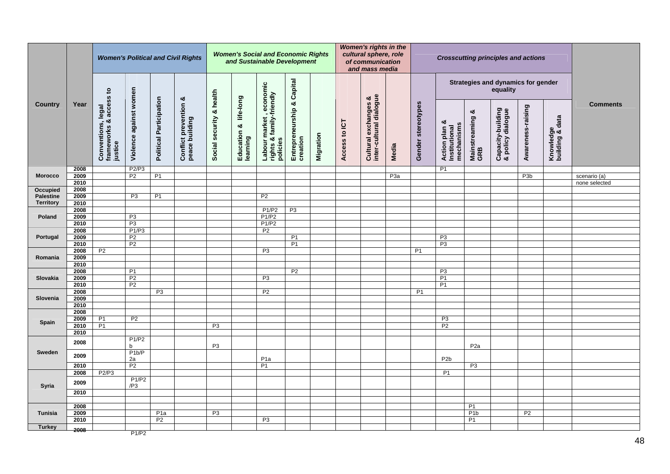| <b>Women's Political and Civil Rights</b> |              |                                                         |                        |                                |                                                    | <b>Women's Social and Economic Rights</b><br>and Sustainable Development |                                   |                                                                      |                                        |           |               | <b>Women's rights in the</b><br>cultural sphere, role<br>of communication<br>and mass media |                  |                    |                                                   |                             |                                        | <b>Crosscutting principles and actions</b><br>Strategies and dynamics for gender |                              |                 |  |
|-------------------------------------------|--------------|---------------------------------------------------------|------------------------|--------------------------------|----------------------------------------------------|--------------------------------------------------------------------------|-----------------------------------|----------------------------------------------------------------------|----------------------------------------|-----------|---------------|---------------------------------------------------------------------------------------------|------------------|--------------------|---------------------------------------------------|-----------------------------|----------------------------------------|----------------------------------------------------------------------------------|------------------------------|-----------------|--|
|                                           |              |                                                         |                        |                                |                                                    |                                                                          |                                   |                                                                      |                                        |           |               |                                                                                             |                  |                    |                                                   |                             | equality                               |                                                                                  |                              |                 |  |
| Country                                   | Year         | Conventions, legal<br>frameworks & access to<br>justice | Violence against women | <b>Political Participation</b> | <b>Conflict prevention &amp;</b><br>peace building | Social security & health                                                 | Education & life-long<br>learning | rights & family-friendly<br>  rights & family-friendly<br>  policies | Entrepreneurship & Capital<br>creation | Migration | Access to ICT | Cultural exchanges &<br>inter-cultural dialogue                                             | Media            | Gender stereotypes | ಯ<br>mechanisms<br>Action plan &<br>Institutional | ಯ<br>Mainstreaming &<br>GRB | Capacity-building<br>& policy dialogue | Awareness-raising                                                                | Knowledge<br>building & data | <b>Comments</b> |  |
|                                           | 2008         |                                                         | P2/P3                  |                                |                                                    |                                                                          |                                   |                                                                      |                                        |           |               |                                                                                             |                  |                    | <b>P1</b>                                         |                             |                                        |                                                                                  |                              |                 |  |
| <b>Morocco</b>                            | 2009         |                                                         | P <sub>2</sub>         | P <sub>1</sub>                 |                                                    |                                                                          |                                   |                                                                      |                                        |           |               |                                                                                             | P <sub>3</sub> a |                    |                                                   |                             |                                        | P <sub>3</sub> b                                                                 |                              | scenario (a)    |  |
| Occupied                                  | 2010<br>2008 |                                                         |                        |                                |                                                    |                                                                          |                                   |                                                                      |                                        |           |               |                                                                                             |                  |                    |                                                   |                             |                                        |                                                                                  |                              | none selected   |  |
| <b>Palestine</b>                          | 2009         |                                                         | P3                     | P1                             |                                                    |                                                                          |                                   | P2                                                                   |                                        |           |               |                                                                                             |                  |                    |                                                   |                             |                                        |                                                                                  |                              |                 |  |
| <b>Territory</b>                          | 2010         |                                                         |                        |                                |                                                    |                                                                          |                                   |                                                                      |                                        |           |               |                                                                                             |                  |                    |                                                   |                             |                                        |                                                                                  |                              |                 |  |
|                                           | 2008         |                                                         |                        |                                |                                                    |                                                                          |                                   | P1/P2                                                                | P3                                     |           |               |                                                                                             |                  |                    |                                                   |                             |                                        |                                                                                  |                              |                 |  |
| Poland                                    | 2009         |                                                         | P3                     |                                |                                                    |                                                                          |                                   | P1/P2                                                                |                                        |           |               |                                                                                             |                  |                    |                                                   |                             |                                        |                                                                                  |                              |                 |  |
|                                           | 2010         |                                                         | P3                     |                                |                                                    |                                                                          |                                   | P1/P2                                                                |                                        |           |               |                                                                                             |                  |                    |                                                   |                             |                                        |                                                                                  |                              |                 |  |
|                                           | 2008         |                                                         | P1/P3                  |                                |                                                    |                                                                          |                                   | P <sub>2</sub>                                                       |                                        |           |               |                                                                                             |                  |                    |                                                   |                             |                                        |                                                                                  |                              |                 |  |
| Portugal                                  | 2009         |                                                         | P <sub>2</sub>         |                                |                                                    |                                                                          |                                   |                                                                      | P1                                     |           |               |                                                                                             |                  |                    | P3                                                |                             |                                        |                                                                                  |                              |                 |  |
|                                           | 2010         |                                                         | P <sub>2</sub>         |                                |                                                    |                                                                          |                                   |                                                                      | P <sub>1</sub>                         |           |               |                                                                                             |                  |                    | P3                                                |                             |                                        |                                                                                  |                              |                 |  |
|                                           | 2008         | P <sub>2</sub>                                          |                        |                                |                                                    |                                                                          |                                   | P <sub>3</sub>                                                       |                                        |           |               |                                                                                             |                  | P <sub>1</sub>     |                                                   |                             |                                        |                                                                                  |                              |                 |  |
| Romania                                   | 2009         |                                                         |                        |                                |                                                    |                                                                          |                                   |                                                                      |                                        |           |               |                                                                                             |                  |                    |                                                   |                             |                                        |                                                                                  |                              |                 |  |
|                                           | 2010         |                                                         |                        |                                |                                                    |                                                                          |                                   |                                                                      |                                        |           |               |                                                                                             |                  |                    |                                                   |                             |                                        |                                                                                  |                              |                 |  |
|                                           | 2008         |                                                         | P1                     |                                |                                                    |                                                                          |                                   |                                                                      | P <sub>2</sub>                         |           |               |                                                                                             |                  |                    | P3                                                |                             |                                        |                                                                                  |                              |                 |  |
| Slovakia                                  | 2009         |                                                         | P <sub>2</sub>         |                                |                                                    |                                                                          |                                   | P <sub>3</sub>                                                       |                                        |           |               |                                                                                             |                  |                    | P1                                                |                             |                                        |                                                                                  |                              |                 |  |
|                                           | 2010         |                                                         | P <sub>2</sub>         |                                |                                                    |                                                                          |                                   |                                                                      |                                        |           |               |                                                                                             |                  |                    | P1                                                |                             |                                        |                                                                                  |                              |                 |  |
|                                           | 2008         |                                                         |                        | P <sub>3</sub>                 |                                                    |                                                                          |                                   | P <sub>2</sub>                                                       |                                        |           |               |                                                                                             |                  | P <sub>1</sub>     |                                                   |                             |                                        |                                                                                  |                              |                 |  |
| Slovenia                                  | 2009         |                                                         |                        |                                |                                                    |                                                                          |                                   |                                                                      |                                        |           |               |                                                                                             |                  |                    |                                                   |                             |                                        |                                                                                  |                              |                 |  |
|                                           | 2010         |                                                         |                        |                                |                                                    |                                                                          |                                   |                                                                      |                                        |           |               |                                                                                             |                  |                    |                                                   |                             |                                        |                                                                                  |                              |                 |  |
|                                           | 2008         |                                                         |                        |                                |                                                    |                                                                          |                                   |                                                                      |                                        |           |               |                                                                                             |                  |                    |                                                   |                             |                                        |                                                                                  |                              |                 |  |
| Spain                                     | 2009<br>2010 | P <sub>1</sub><br>P <sub>1</sub>                        | P <sub>2</sub>         |                                |                                                    | P <sub>3</sub>                                                           |                                   |                                                                      |                                        |           |               |                                                                                             |                  |                    | P <sub>3</sub><br>P <sub>2</sub>                  |                             |                                        |                                                                                  |                              |                 |  |
|                                           | 2010         |                                                         |                        |                                |                                                    |                                                                          |                                   |                                                                      |                                        |           |               |                                                                                             |                  |                    |                                                   |                             |                                        |                                                                                  |                              |                 |  |
|                                           |              |                                                         | P1/P2                  |                                |                                                    |                                                                          |                                   |                                                                      |                                        |           |               |                                                                                             |                  |                    |                                                   |                             |                                        |                                                                                  |                              |                 |  |
|                                           | 2008         |                                                         | h                      |                                |                                                    | P <sub>3</sub>                                                           |                                   |                                                                      |                                        |           |               |                                                                                             |                  |                    |                                                   | P <sub>2</sub> a            |                                        |                                                                                  |                              |                 |  |
| Sweden                                    |              |                                                         | P1b/P                  |                                |                                                    |                                                                          |                                   |                                                                      |                                        |           |               |                                                                                             |                  |                    |                                                   |                             |                                        |                                                                                  |                              |                 |  |
|                                           | 2009         |                                                         | 2a                     |                                |                                                    |                                                                          |                                   | P <sub>1a</sub>                                                      |                                        |           |               |                                                                                             |                  |                    | P <sub>2</sub> b                                  |                             |                                        |                                                                                  |                              |                 |  |
|                                           | 2010         |                                                         | P <sub>2</sub>         |                                |                                                    |                                                                          |                                   | P <sub>1</sub>                                                       |                                        |           |               |                                                                                             |                  |                    |                                                   | P <sub>3</sub>              |                                        |                                                                                  |                              |                 |  |
|                                           | 2008         | P2/P3                                                   |                        |                                |                                                    |                                                                          |                                   |                                                                      |                                        |           |               |                                                                                             |                  |                    | P <sub>1</sub>                                    |                             |                                        |                                                                                  |                              |                 |  |
|                                           | 2009         |                                                         | P1/P2                  |                                |                                                    |                                                                          |                                   |                                                                      |                                        |           |               |                                                                                             |                  |                    |                                                   |                             |                                        |                                                                                  |                              |                 |  |
| <b>Syria</b>                              |              |                                                         | /P3                    |                                |                                                    |                                                                          |                                   |                                                                      |                                        |           |               |                                                                                             |                  |                    |                                                   |                             |                                        |                                                                                  |                              |                 |  |
|                                           | 2010         |                                                         |                        |                                |                                                    |                                                                          |                                   |                                                                      |                                        |           |               |                                                                                             |                  |                    |                                                   |                             |                                        |                                                                                  |                              |                 |  |
|                                           |              |                                                         |                        |                                |                                                    |                                                                          |                                   |                                                                      |                                        |           |               |                                                                                             |                  |                    |                                                   |                             |                                        |                                                                                  |                              |                 |  |
|                                           | 2008         |                                                         |                        |                                |                                                    |                                                                          |                                   |                                                                      |                                        |           |               |                                                                                             |                  |                    |                                                   | P <sub>1</sub>              |                                        |                                                                                  |                              |                 |  |
| Tunisia                                   | 2009         |                                                         |                        | P <sub>1</sub> a               |                                                    | P3                                                                       |                                   |                                                                      |                                        |           |               |                                                                                             |                  |                    |                                                   | P1b                         |                                        | P2                                                                               |                              |                 |  |
|                                           | 2010         |                                                         |                        | P <sub>2</sub>                 |                                                    |                                                                          |                                   | P <sub>3</sub>                                                       |                                        |           |               |                                                                                             |                  |                    |                                                   | P <sub>1</sub>              |                                        |                                                                                  |                              |                 |  |
| <b>Turkey</b>                             | 2008         |                                                         | P1/P2                  |                                |                                                    |                                                                          |                                   |                                                                      |                                        |           |               |                                                                                             |                  |                    |                                                   |                             |                                        |                                                                                  |                              |                 |  |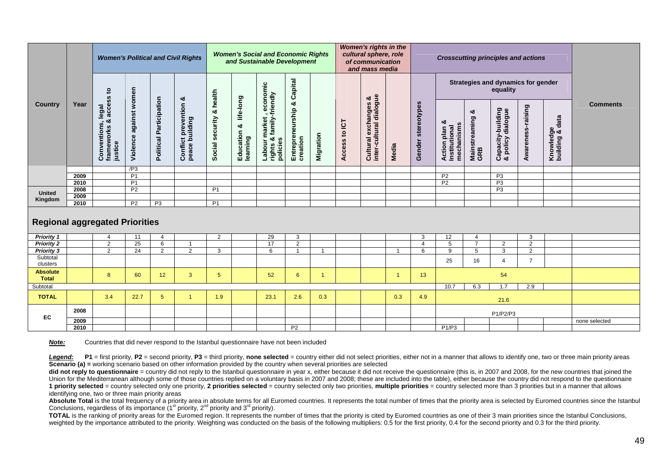|                                        |      |                                                               | <b>Women's Political and Civil Rights</b> |                                |                                              | <b>Women's Social and Economic Rights</b><br>and Sustainable Development |                                   |                                                             |                                   | Women's rights in the<br>cultural sphere, role<br>of communication<br>and mass media |                  |                                                 |                |                     | <b>Crosscutting principles and actions</b>      |                                  |                                                |                     |                                   |                 |
|----------------------------------------|------|---------------------------------------------------------------|-------------------------------------------|--------------------------------|----------------------------------------------|--------------------------------------------------------------------------|-----------------------------------|-------------------------------------------------------------|-----------------------------------|--------------------------------------------------------------------------------------|------------------|-------------------------------------------------|----------------|---------------------|-------------------------------------------------|----------------------------------|------------------------------------------------|---------------------|-----------------------------------|-----------------|
|                                        |      | $\mathbf{e}$                                                  |                                           |                                | ೲ                                            | health                                                                   |                                   | economic                                                    | Capital                           |                                                                                      |                  |                                                 |                |                     |                                                 |                                  | Strategies and dynamics for gender<br>equality |                     |                                   |                 |
| Country                                | Year | access<br>legal<br>න්<br>Conventions<br>frameworks<br>justice | against women<br>Violence                 | <b>Political Participation</b> | <b>Conflict prevention</b><br>peace building | න්<br>Social security                                                    | Education & life-long<br>learning | & family-friendly<br>market<br>policies<br>Labour<br>rights | ಯ<br>Entrepreneurship<br>creation | Migration                                                                            | to ICT<br>Access | Cultural exchanges &<br>inter-cultural dialogue | Media          | Gender stereotypes  | ಳ<br>mechanisms<br>Action plan<br>Institutional | య<br>Mainstreaming<br>GRB        | Capacity-building<br>& policy dialogue         | Awareness-raising   | data<br>Knowledge<br>building & d | <b>Comments</b> |
|                                        | 2009 |                                                               | /P3<br>P <sub>1</sub>                     |                                |                                              |                                                                          |                                   |                                                             |                                   |                                                                                      |                  |                                                 |                |                     | P <sub>2</sub>                                  |                                  | P <sub>3</sub>                                 |                     |                                   |                 |
|                                        | 2010 |                                                               | P <sub>1</sub>                            |                                |                                              |                                                                          |                                   |                                                             |                                   |                                                                                      |                  |                                                 |                |                     | P <sub>2</sub>                                  |                                  | P <sub>3</sub>                                 |                     |                                   |                 |
| <b>United</b>                          | 2008 |                                                               | P <sub>2</sub>                            |                                |                                              | P <sub>1</sub>                                                           |                                   |                                                             |                                   |                                                                                      |                  |                                                 |                |                     |                                                 |                                  | P <sub>3</sub>                                 |                     |                                   |                 |
| Kingdom                                | 2009 |                                                               |                                           |                                |                                              |                                                                          |                                   |                                                             |                                   |                                                                                      |                  |                                                 |                |                     |                                                 |                                  |                                                |                     |                                   |                 |
|                                        | 2010 |                                                               | P <sub>2</sub>                            | P <sub>3</sub>                 |                                              | P <sub>1</sub>                                                           |                                   |                                                             |                                   |                                                                                      |                  |                                                 |                |                     |                                                 |                                  |                                                |                     |                                   |                 |
| <b>Regional aggregated Priorities</b>  |      |                                                               |                                           |                                |                                              |                                                                          |                                   |                                                             |                                   |                                                                                      |                  |                                                 |                |                     |                                                 |                                  |                                                |                     |                                   |                 |
| <b>Priority 1</b>                      |      | 4                                                             | 11                                        | $\overline{4}$                 | $\mathbf 1$                                  | 2                                                                        |                                   | 29                                                          | 3                                 |                                                                                      |                  |                                                 |                | 3<br>$\overline{4}$ | 12<br>5                                         | $\overline{4}$<br>$\overline{7}$ |                                                | 3                   |                                   |                 |
| <b>Priority 2</b><br><b>Priority 3</b> |      | 2<br>$\overline{2}$                                           | 25<br>$\overline{24}$                     | 6<br>$\overline{2}$            | $\overline{2}$                               | 3                                                                        |                                   | 17<br>6                                                     | 2<br>$\overline{1}$               | $\overline{1}$                                                                       |                  |                                                 |                | 6                   | $\overline{9}$                                  | 5                                | 2<br>3                                         | 2<br>$\overline{2}$ |                                   |                 |
| Subtotal<br>clusters                   |      |                                                               |                                           |                                |                                              |                                                                          |                                   |                                                             |                                   |                                                                                      |                  |                                                 |                |                     | 25                                              | 16                               | $\overline{4}$                                 | $\overline{7}$      |                                   |                 |
| <b>Absolute</b><br><b>Total</b>        |      | 8                                                             | 60                                        | 12                             | 3                                            | $5\overline{)}$                                                          |                                   | 52                                                          | 6                                 | $\overline{1}$                                                                       |                  |                                                 | $\overline{1}$ | 13                  |                                                 |                                  | 54                                             |                     |                                   |                 |
| Subtotal                               |      |                                                               |                                           |                                |                                              |                                                                          |                                   |                                                             |                                   |                                                                                      |                  |                                                 |                |                     | 10.7                                            | 6.3                              | 1.7                                            | 2.9                 |                                   |                 |
| <b>TOTAL</b>                           |      | 3.4                                                           | 22.7                                      | 5                              | $\mathbf{1}$                                 | 1.9                                                                      |                                   | 23.1                                                        | 2.6                               | 0.3                                                                                  |                  |                                                 | 0.3            | 4.9                 |                                                 |                                  | 21.6                                           |                     |                                   |                 |
| EC                                     | 2008 |                                                               |                                           |                                |                                              |                                                                          |                                   |                                                             |                                   |                                                                                      |                  |                                                 |                |                     |                                                 |                                  | P1/P2/P3                                       |                     |                                   |                 |
|                                        | 2009 |                                                               |                                           |                                |                                              |                                                                          |                                   |                                                             |                                   |                                                                                      |                  |                                                 |                |                     |                                                 |                                  |                                                |                     |                                   | none selected   |
|                                        | 2010 |                                                               |                                           |                                |                                              |                                                                          |                                   |                                                             | P <sub>2</sub>                    |                                                                                      |                  |                                                 |                |                     | P1/P3                                           |                                  |                                                |                     |                                   |                 |

**Note:** Countries that did never respond to the Istanbul questionnaire have not been included

Legend: P1 = first priority, P2 = second priority, P3 = third priority, none selected = country either did not select priorities, either not in a manner that allows to identify one, two or three main priority areas **Scenario (a) =** working scenario based on other information provided by the country when several priorities are selected

did not reply to questionnaire = country did not reply to the Istanbul questionnaire in year x, either because it did not receive the questionnaire (this is, in 2007 and 2008, for the new countries that joined the Union for the Mediterranean although some of those countries replied on a voluntary basis in 2007 and 2008; these are included into the table), either because the country did not respond to the questionnaire 1 priority selected = country selected only one priority, 2 priorities selected = country selected only two priorities, multiple priorities = country selected more than 3 priorities but in a manner that allows identifying one, two or three main priority areas

Absolute Total is the total frequency of a priority area in absolute terms for all Euromed countries. It represents the total number of times that the priority area is selected by Euromed countries since the Istanbul Conclusions, regardless of its importance  $(1<sup>st</sup> priority, 2<sup>nd</sup> priority and 3<sup>rd</sup> priority)$ .

**TOTAL** is the ranking of priority areas for the Euromed region. It represents the number of times that the priority is cited by Euromed countries as one of their 3 main priorities since the Istanbul Conclusions, weighted by the importance attributed to the priority. Weighting was conducted on the basis of the following multipliers: 0.5 for the first priority, 0.4 for the second priority and 0.3 for the third priority.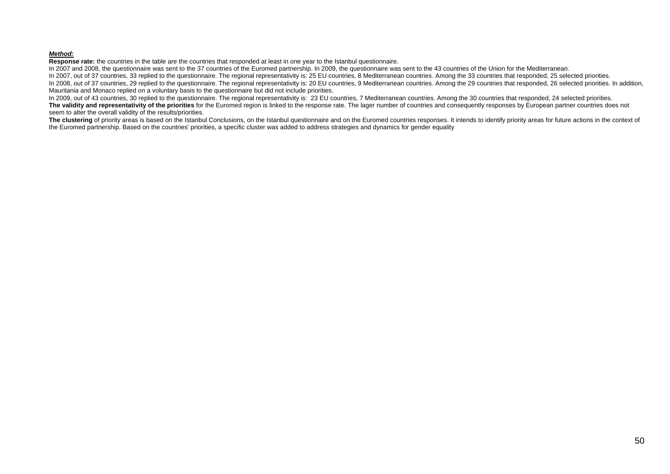#### *Method:*

**Response rate:** the countries in the table are the countries that responded at least in one year to the Istanbul questionnaire.

In 2007 and 2008, the questionnaire was sent to the 37 countries of the Euromed partnership. In 2009, the questionnaire was sent to the 43 countries of the Union for the Mediterranean.

In 2007, out of 37 countries, 33 replied to the questionnaire. The regional representativity is: 25 EU countries, 8 Mediterranean countries. Among the 33 countries that responded, 25 selected priorities. In 2008, out of 37 countries, 29 replied to the questionnaire. The regional representativity is: 20 EU countries, 9 Mediterranean countries. Among the 29 countries that responded, 26 selected priorities. In addition, Mauritania and Monaco replied on a voluntary basis to the questionnaire but did not include priorities.

In 2009, out of 43 countries, 30 replied to the questionnaire. The regional representativity is: 23 EU countries, 7 Mediterranean countries. Among the 30 countries that responded, 24 selected priorities.

**The validity and representativity of the priorities** for the Euromed region is linked to the response rate. The lager number of countries and consequently responses by European partner countries does not seem to alter the overall validity of the results/priorities.

The clustering of priority areas is based on the Istanbul Conclusions, on the Istanbul questionnaire and on the Euromed countries responses. It intends to identify priority areas for future actions in the context of the Euromed partnership. Based on the countries' priorities, a specific cluster was added to address strategies and dynamics for gender equality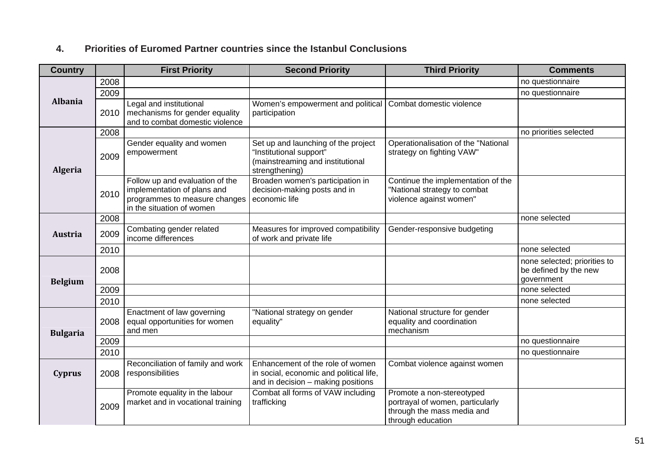### **4. Priorities of Euromed Partner countries since the Istanbul Conclusions**

| <b>Country</b>  |      | <b>First Priority</b>                                                                                                        | <b>Second Priority</b>                                                                                               | <b>Third Priority</b>                                                                                            | <b>Comments</b>                                                     |
|-----------------|------|------------------------------------------------------------------------------------------------------------------------------|----------------------------------------------------------------------------------------------------------------------|------------------------------------------------------------------------------------------------------------------|---------------------------------------------------------------------|
|                 | 2008 |                                                                                                                              |                                                                                                                      |                                                                                                                  | no questionnaire                                                    |
|                 | 2009 |                                                                                                                              |                                                                                                                      |                                                                                                                  | no questionnaire                                                    |
| <b>Albania</b>  | 2010 | Legal and institutional<br>mechanisms for gender equality<br>and to combat domestic violence                                 | Women's empowerment and political<br>participation                                                                   | Combat domestic violence                                                                                         |                                                                     |
|                 | 2008 |                                                                                                                              |                                                                                                                      |                                                                                                                  | no priorities selected                                              |
| <b>Algeria</b>  | 2009 | Gender equality and women<br>empowerment                                                                                     | Set up and launching of the project<br>"Institutional support"<br>(mainstreaming and institutional<br>strengthening) | Operationalisation of the "National<br>strategy on fighting VAW"                                                 |                                                                     |
|                 | 2010 | Follow up and evaluation of the<br>implementation of plans and<br>programmes to measure changes<br>in the situation of women | Broaden women's participation in<br>decision-making posts and in<br>economic life                                    | Continue the implementation of the<br>"National strategy to combat<br>violence against women"                    |                                                                     |
|                 | 2008 |                                                                                                                              |                                                                                                                      |                                                                                                                  | none selected                                                       |
| <b>Austria</b>  | 2009 | Combating gender related<br>income differences                                                                               | Measures for improved compatibility<br>of work and private life                                                      | Gender-responsive budgeting                                                                                      |                                                                     |
|                 | 2010 |                                                                                                                              |                                                                                                                      |                                                                                                                  | none selected                                                       |
| <b>Belgium</b>  | 2008 |                                                                                                                              |                                                                                                                      |                                                                                                                  | none selected; priorities to<br>be defined by the new<br>government |
|                 | 2009 |                                                                                                                              |                                                                                                                      |                                                                                                                  | none selected                                                       |
|                 | 2010 |                                                                                                                              |                                                                                                                      |                                                                                                                  | none selected                                                       |
| <b>Bulgaria</b> | 2008 | Enactment of law governing<br>equal opportunities for women<br>and men                                                       | "National strategy on gender<br>equality"                                                                            | National structure for gender<br>equality and coordination<br>mechanism                                          |                                                                     |
|                 | 2009 |                                                                                                                              |                                                                                                                      |                                                                                                                  | no questionnaire                                                    |
|                 | 2010 |                                                                                                                              |                                                                                                                      |                                                                                                                  | no questionnaire                                                    |
| <b>Cyprus</b>   | 2008 | Reconciliation of family and work<br>responsibilities                                                                        | Enhancement of the role of women<br>in social, economic and political life,<br>and in decision - making positions    | Combat violence against women                                                                                    |                                                                     |
|                 | 2009 | Promote equality in the labour<br>market and in vocational training                                                          | Combat all forms of VAW including<br>trafficking                                                                     | Promote a non-stereotyped<br>portrayal of women, particularly<br>through the mass media and<br>through education |                                                                     |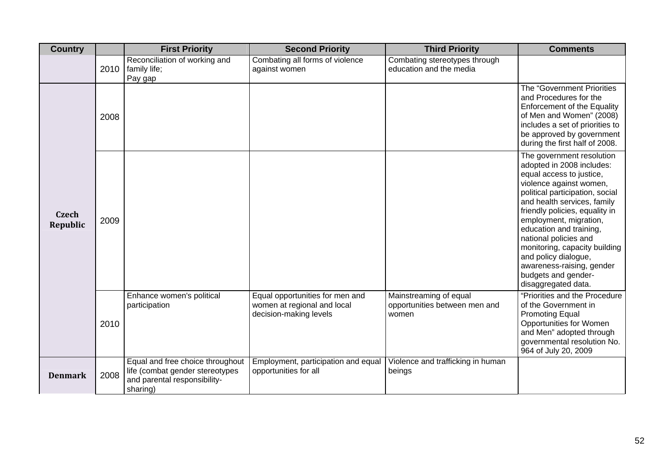| <b>Country</b>           |      | <b>First Priority</b>                                                                                           | <b>Second Priority</b>                                                                   | <b>Third Priority</b>                                            | <b>Comments</b>                                                                                                                                                                                                                                                                                                                                                                                                                     |
|--------------------------|------|-----------------------------------------------------------------------------------------------------------------|------------------------------------------------------------------------------------------|------------------------------------------------------------------|-------------------------------------------------------------------------------------------------------------------------------------------------------------------------------------------------------------------------------------------------------------------------------------------------------------------------------------------------------------------------------------------------------------------------------------|
|                          | 2010 | Reconciliation of working and<br>family life;<br>Pay gap                                                        | Combating all forms of violence<br>against women                                         | Combating stereotypes through<br>education and the media         |                                                                                                                                                                                                                                                                                                                                                                                                                                     |
|                          | 2008 |                                                                                                                 |                                                                                          |                                                                  | The "Government Priorities<br>and Procedures for the<br><b>Enforcement of the Equality</b><br>of Men and Women" (2008)<br>includes a set of priorities to<br>be approved by government<br>during the first half of 2008.                                                                                                                                                                                                            |
| <b>Czech</b><br>Republic | 2009 |                                                                                                                 |                                                                                          |                                                                  | The government resolution<br>adopted in 2008 includes:<br>equal access to justice,<br>violence against women,<br>political participation, social<br>and health services, family<br>friendly policies, equality in<br>employment, migration,<br>education and training,<br>national policies and<br>monitoring, capacity building<br>and policy dialogue,<br>awareness-raising, gender<br>budgets and gender-<br>disaggregated data. |
|                          | 2010 | Enhance women's political<br>participation                                                                      | Equal opportunities for men and<br>women at regional and local<br>decision-making levels | Mainstreaming of equal<br>opportunities between men and<br>women | "Priorities and the Procedure<br>of the Government in<br><b>Promoting Equal</b><br>Opportunities for Women<br>and Men" adopted through<br>governmental resolution No.<br>964 of July 20, 2009                                                                                                                                                                                                                                       |
| <b>Denmark</b>           | 2008 | Equal and free choice throughout<br>life (combat gender stereotypes<br>and parental responsibility-<br>sharing) | Employment, participation and equal<br>opportunities for all                             | Violence and trafficking in human<br>beings                      |                                                                                                                                                                                                                                                                                                                                                                                                                                     |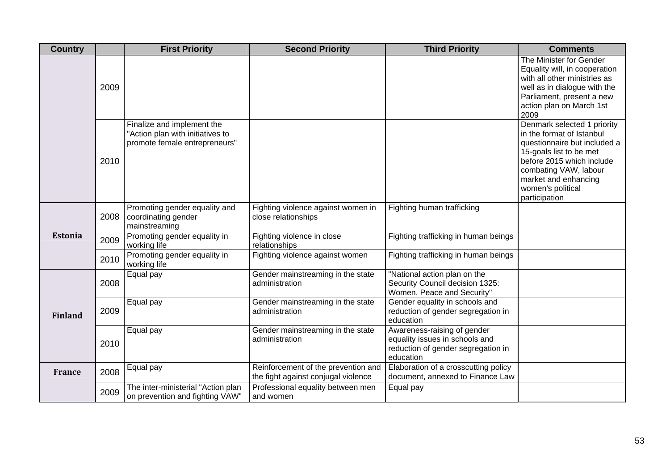| <b>Country</b> |      | <b>First Priority</b>                                                                           | <b>Second Priority</b>                                                     | <b>Third Priority</b>                                                                                            | <b>Comments</b>                                                                                                                                                                                                                         |
|----------------|------|-------------------------------------------------------------------------------------------------|----------------------------------------------------------------------------|------------------------------------------------------------------------------------------------------------------|-----------------------------------------------------------------------------------------------------------------------------------------------------------------------------------------------------------------------------------------|
|                | 2009 |                                                                                                 |                                                                            |                                                                                                                  | The Minister for Gender<br>Equality will, in cooperation<br>with all other ministries as<br>well as in dialogue with the<br>Parliament, present a new<br>action plan on March 1st<br>2009                                               |
|                | 2010 | Finalize and implement the<br>"Action plan with initiatives to<br>promote female entrepreneurs" |                                                                            |                                                                                                                  | Denmark selected 1 priority<br>in the format of Istanbul<br>questionnaire but included a<br>15-goals list to be met<br>before 2015 which include<br>combating VAW, labour<br>market and enhancing<br>women's political<br>participation |
|                | 2008 | Promoting gender equality and<br>coordinating gender<br>mainstreaming                           | Fighting violence against women in<br>close relationships                  | Fighting human trafficking                                                                                       |                                                                                                                                                                                                                                         |
| <b>Estonia</b> | 2009 | Promoting gender equality in<br>working life                                                    | Fighting violence in close<br>relationships                                | Fighting trafficking in human beings                                                                             |                                                                                                                                                                                                                                         |
|                | 2010 | Promoting gender equality in<br>working life                                                    | Fighting violence against women                                            | Fighting trafficking in human beings                                                                             |                                                                                                                                                                                                                                         |
|                | 2008 | Equal pay                                                                                       | Gender mainstreaming in the state<br>administration                        | "National action plan on the<br>Security Council decision 1325:<br>Women, Peace and Security"                    |                                                                                                                                                                                                                                         |
| <b>Finland</b> | 2009 | Equal pay                                                                                       | Gender mainstreaming in the state<br>administration                        | Gender equality in schools and<br>reduction of gender segregation in<br>education                                |                                                                                                                                                                                                                                         |
|                | 2010 | Equal pay                                                                                       | Gender mainstreaming in the state<br>administration                        | Awareness-raising of gender<br>equality issues in schools and<br>reduction of gender segregation in<br>education |                                                                                                                                                                                                                                         |
| <b>France</b>  | 2008 | Equal pay                                                                                       | Reinforcement of the prevention and<br>the fight against conjugal violence | Elaboration of a crosscutting policy<br>document, annexed to Finance Law                                         |                                                                                                                                                                                                                                         |
|                | 2009 | The inter-ministerial "Action plan<br>on prevention and fighting VAW"                           | Professional equality between men<br>and women                             | Equal pay                                                                                                        |                                                                                                                                                                                                                                         |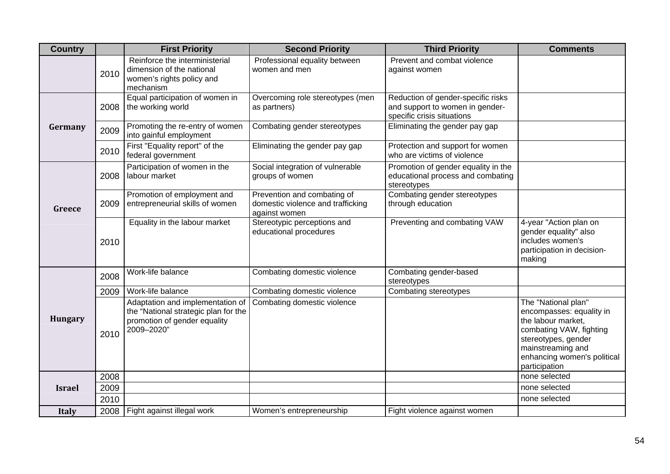| <b>Country</b> |      | <b>First Priority</b>                                                                                                  | <b>Second Priority</b>                                                            | <b>Third Priority</b>                                                                               | <b>Comments</b>                                                                                                                                                                              |
|----------------|------|------------------------------------------------------------------------------------------------------------------------|-----------------------------------------------------------------------------------|-----------------------------------------------------------------------------------------------------|----------------------------------------------------------------------------------------------------------------------------------------------------------------------------------------------|
|                | 2010 | Reinforce the interministerial<br>dimension of the national<br>women's rights policy and<br>mechanism                  | Professional equality between<br>women and men                                    | Prevent and combat violence<br>against women                                                        |                                                                                                                                                                                              |
|                | 2008 | Equal participation of women in<br>the working world                                                                   | Overcoming role stereotypes (men<br>as partners)                                  | Reduction of gender-specific risks<br>and support to women in gender-<br>specific crisis situations |                                                                                                                                                                                              |
| Germany        | 2009 | Promoting the re-entry of women<br>into gainful employment                                                             | Combating gender stereotypes                                                      | Eliminating the gender pay gap                                                                      |                                                                                                                                                                                              |
|                | 2010 | First "Equality report" of the<br>federal government                                                                   | Eliminating the gender pay gap                                                    | Protection and support for women<br>who are victims of violence                                     |                                                                                                                                                                                              |
|                | 2008 | Participation of women in the<br>labour market                                                                         | Social integration of vulnerable<br>groups of women                               | Promotion of gender equality in the<br>educational process and combating<br>stereotypes             |                                                                                                                                                                                              |
| Greece         | 2009 | Promotion of employment and<br>entrepreneurial skills of women                                                         | Prevention and combating of<br>domestic violence and trafficking<br>against women | Combating gender stereotypes<br>through education                                                   |                                                                                                                                                                                              |
|                | 2010 | Equality in the labour market                                                                                          | Stereotypic perceptions and<br>educational procedures                             | Preventing and combating VAW                                                                        | 4-year "Action plan on<br>gender equality" also<br>includes women's<br>participation in decision-<br>making                                                                                  |
|                | 2008 | Work-life balance                                                                                                      | Combating domestic violence                                                       | Combating gender-based<br>stereotypes                                                               |                                                                                                                                                                                              |
|                | 2009 | Work-life balance                                                                                                      | Combating domestic violence                                                       | Combating stereotypes                                                                               |                                                                                                                                                                                              |
| <b>Hungary</b> | 2010 | Adaptation and implementation of<br>the "National strategic plan for the<br>promotion of gender equality<br>2009-2020" | Combating domestic violence                                                       |                                                                                                     | The "National plan"<br>encompasses: equality in<br>the labour market,<br>combating VAW, fighting<br>stereotypes, gender<br>mainstreaming and<br>enhancing women's political<br>participation |
|                | 2008 |                                                                                                                        |                                                                                   |                                                                                                     | none selected                                                                                                                                                                                |
| <b>Israel</b>  | 2009 |                                                                                                                        |                                                                                   |                                                                                                     | none selected                                                                                                                                                                                |
|                | 2010 |                                                                                                                        |                                                                                   |                                                                                                     | none selected                                                                                                                                                                                |
| <b>Italy</b>   |      | 2008   Fight against illegal work                                                                                      | Women's entrepreneurship                                                          | Fight violence against women                                                                        |                                                                                                                                                                                              |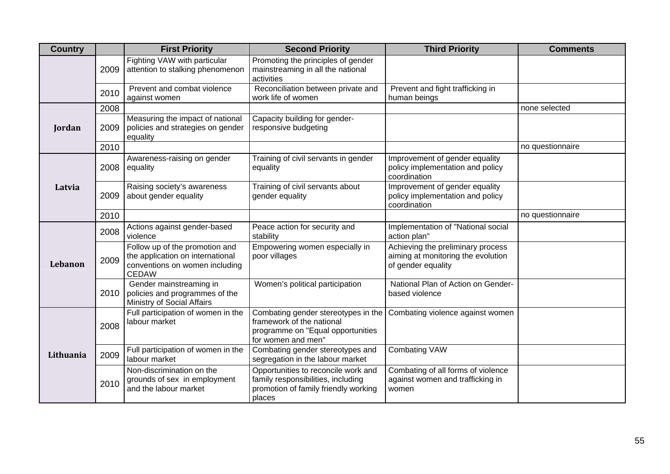| <b>Country</b> |      | <b>First Priority</b>                                                                                                | <b>Second Priority</b>                                                                                                      | <b>Third Priority</b>                                                                         | <b>Comments</b>  |
|----------------|------|----------------------------------------------------------------------------------------------------------------------|-----------------------------------------------------------------------------------------------------------------------------|-----------------------------------------------------------------------------------------------|------------------|
|                | 2009 | Fighting VAW with particular<br>attention to stalking phenomenon                                                     | Promoting the principles of gender<br>mainstreaming in all the national<br>activities                                       |                                                                                               |                  |
|                | 2010 | Prevent and combat violence<br>against women                                                                         | Reconciliation between private and<br>work life of women                                                                    | Prevent and fight trafficking in<br>human beings                                              |                  |
|                | 2008 |                                                                                                                      |                                                                                                                             |                                                                                               | none selected    |
| Jordan         | 2009 | Measuring the impact of national<br>policies and strategies on gender<br>equality                                    | Capacity building for gender-<br>responsive budgeting                                                                       |                                                                                               |                  |
|                | 2010 |                                                                                                                      |                                                                                                                             |                                                                                               | no questionnaire |
|                | 2008 | Awareness-raising on gender<br>equality                                                                              | Training of civil servants in gender<br>equality                                                                            | Improvement of gender equality<br>policy implementation and policy<br>coordination            |                  |
| Latvia         | 2009 | Raising society's awareness<br>about gender equality                                                                 | Training of civil servants about<br>gender equality                                                                         | Improvement of gender equality<br>policy implementation and policy<br>coordination            |                  |
|                | 2010 |                                                                                                                      |                                                                                                                             |                                                                                               | no questionnaire |
|                | 2008 | Actions against gender-based<br>violence                                                                             | Peace action for security and<br>stability                                                                                  | Implementation of "National social<br>action plan"                                            |                  |
| <b>Lebanon</b> | 2009 | Follow up of the promotion and<br>the application on international<br>conventions on women including<br><b>CEDAW</b> | Empowering women especially in<br>poor villages                                                                             | Achieving the preliminary process<br>aiming at monitoring the evolution<br>of gender equality |                  |
|                | 2010 | Gender mainstreaming in<br>policies and programmes of the<br>Ministry of Social Affairs                              | Women's political participation                                                                                             | National Plan of Action on Gender-<br>based violence                                          |                  |
|                | 2008 | Full participation of women in the<br>labour market                                                                  | Combating gender stereotypes in the<br>framework of the national<br>programme on "Equal opportunities<br>for women and men" | Combating violence against women                                                              |                  |
| Lithuania      | 2009 | Full participation of women in the<br>labour market                                                                  | Combating gender stereotypes and<br>segregation in the labour market                                                        | <b>Combating VAW</b>                                                                          |                  |
|                | 2010 | Non-discrimination on the<br>grounds of sex in employment<br>and the labour market                                   | Opportunities to reconcile work and<br>family responsibilities, including<br>promotion of family friendly working<br>places | Combating of all forms of violence<br>against women and trafficking in<br>women               |                  |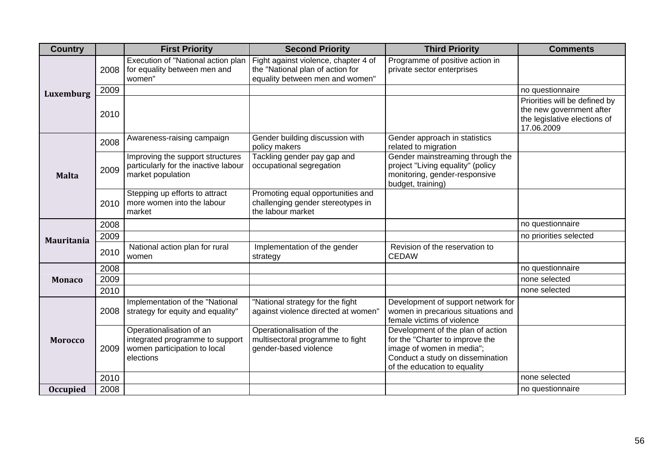| <b>Country</b>    |      | <b>First Priority</b>                                                                                    | <b>Second Priority</b>                                                                                                                           | <b>Third Priority</b>                                                                                                                                                 | <b>Comments</b>                                                                                         |
|-------------------|------|----------------------------------------------------------------------------------------------------------|--------------------------------------------------------------------------------------------------------------------------------------------------|-----------------------------------------------------------------------------------------------------------------------------------------------------------------------|---------------------------------------------------------------------------------------------------------|
|                   | 2008 | for equality between men and<br>women"                                                                   | Execution of "National action plan   Fight against violence, chapter 4 of<br>the "National plan of action for<br>equality between men and women" | Programme of positive action in<br>private sector enterprises                                                                                                         |                                                                                                         |
| Luxemburg         | 2009 |                                                                                                          |                                                                                                                                                  |                                                                                                                                                                       | no questionnaire                                                                                        |
|                   | 2010 |                                                                                                          |                                                                                                                                                  |                                                                                                                                                                       | Priorities will be defined by<br>the new government after<br>the legislative elections of<br>17.06.2009 |
|                   | 2008 | Awareness-raising campaign                                                                               | Gender building discussion with<br>policy makers                                                                                                 | Gender approach in statistics<br>related to migration                                                                                                                 |                                                                                                         |
| <b>Malta</b>      | 2009 | Improving the support structures<br>particularly for the inactive labour<br>market population            | Tackling gender pay gap and<br>occupational segregation                                                                                          | Gender mainstreaming through the<br>project "Living equality" (policy<br>monitoring, gender-responsive<br>budget, training)                                           |                                                                                                         |
|                   | 2010 | Stepping up efforts to attract<br>more women into the labour<br>market                                   | Promoting equal opportunities and<br>challenging gender stereotypes in<br>the labour market                                                      |                                                                                                                                                                       |                                                                                                         |
|                   | 2008 |                                                                                                          |                                                                                                                                                  |                                                                                                                                                                       | no questionnaire                                                                                        |
| <b>Mauritania</b> | 2009 |                                                                                                          |                                                                                                                                                  |                                                                                                                                                                       | no priorities selected                                                                                  |
|                   | 2010 | National action plan for rural<br>women                                                                  | Implementation of the gender<br>strategy                                                                                                         | Revision of the reservation to<br><b>CEDAW</b>                                                                                                                        |                                                                                                         |
|                   | 2008 |                                                                                                          |                                                                                                                                                  |                                                                                                                                                                       | no questionnaire                                                                                        |
| <b>Monaco</b>     | 2009 |                                                                                                          |                                                                                                                                                  |                                                                                                                                                                       | none selected                                                                                           |
|                   | 2010 |                                                                                                          |                                                                                                                                                  |                                                                                                                                                                       | none selected                                                                                           |
|                   | 2008 | Implementation of the "National<br>strategy for equity and equality"                                     | "National strategy for the fight<br>against violence directed at women"                                                                          | Development of support network for<br>women in precarious situations and<br>female victims of violence                                                                |                                                                                                         |
| <b>Morocco</b>    | 2009 | Operationalisation of an<br>integrated programme to support<br>women participation to local<br>elections | Operationalisation of the<br>multisectoral programme to fight<br>gender-based violence                                                           | Development of the plan of action<br>for the "Charter to improve the<br>image of women in media";<br>Conduct a study on dissemination<br>of the education to equality |                                                                                                         |
|                   | 2010 |                                                                                                          |                                                                                                                                                  |                                                                                                                                                                       | none selected                                                                                           |
| <b>Occupied</b>   | 2008 |                                                                                                          |                                                                                                                                                  |                                                                                                                                                                       | no questionnaire                                                                                        |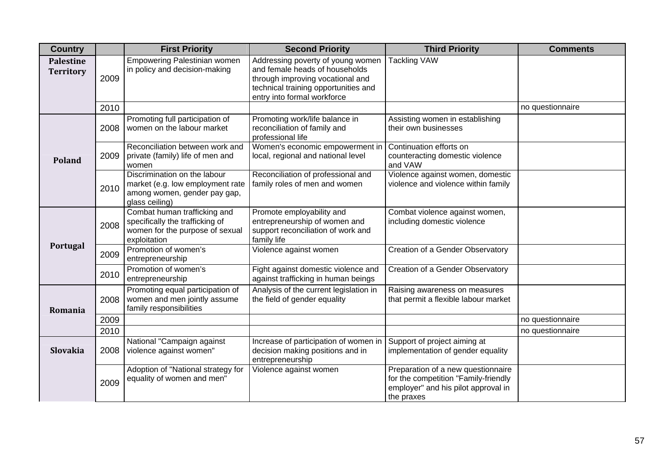| <b>Country</b>                |      | <b>First Priority</b>                                                                                              | <b>Second Priority</b>                                                                                                                                                         | <b>Third Priority</b>                                                                                                           | <b>Comments</b>  |
|-------------------------------|------|--------------------------------------------------------------------------------------------------------------------|--------------------------------------------------------------------------------------------------------------------------------------------------------------------------------|---------------------------------------------------------------------------------------------------------------------------------|------------------|
| Palestine<br><b>Territory</b> | 2009 | Empowering Palestinian women<br>in policy and decision-making                                                      | Addressing poverty of young women<br>and female heads of households<br>through improving vocational and<br>technical training opportunities and<br>entry into formal workforce | <b>Tackling VAW</b>                                                                                                             |                  |
|                               | 2010 |                                                                                                                    |                                                                                                                                                                                |                                                                                                                                 | no questionnaire |
|                               | 2008 | Promoting full participation of<br>women on the labour market                                                      | Promoting work/life balance in<br>reconciliation of family and<br>professional life                                                                                            | Assisting women in establishing<br>their own businesses                                                                         |                  |
| Poland                        | 2009 | Reconciliation between work and<br>private (family) life of men and<br>women                                       | Women's economic empowerment in<br>local, regional and national level                                                                                                          | Continuation efforts on<br>counteracting domestic violence<br>and VAW                                                           |                  |
|                               | 2010 | Discrimination on the labour<br>market (e.g. low employment rate<br>among women, gender pay gap,<br>glass ceiling) | Reconciliation of professional and<br>family roles of men and women                                                                                                            | Violence against women, domestic<br>violence and violence within family                                                         |                  |
|                               | 2008 | Combat human trafficking and<br>specifically the trafficking of<br>women for the purpose of sexual<br>exploitation | Promote employability and<br>entrepreneurship of women and<br>support reconciliation of work and<br>family life                                                                | Combat violence against women,<br>including domestic violence                                                                   |                  |
| Portugal                      | 2009 | Promotion of women's<br>entrepreneurship                                                                           | Violence against women                                                                                                                                                         | Creation of a Gender Observatory                                                                                                |                  |
|                               | 2010 | Promotion of women's<br>entrepreneurship                                                                           | Fight against domestic violence and<br>against trafficking in human beings                                                                                                     | Creation of a Gender Observatory                                                                                                |                  |
| Romania                       | 2008 | Promoting equal participation of<br>women and men jointly assume<br>family responsibilities                        | Analysis of the current legislation in<br>the field of gender equality                                                                                                         | Raising awareness on measures<br>that permit a flexible labour market                                                           |                  |
|                               | 2009 |                                                                                                                    |                                                                                                                                                                                |                                                                                                                                 | no questionnaire |
|                               | 2010 |                                                                                                                    |                                                                                                                                                                                |                                                                                                                                 | no questionnaire |
| Slovakia                      | 2008 | National "Campaign against<br>violence against women"                                                              | Increase of participation of women in<br>decision making positions and in<br>entrepreneurship                                                                                  | Support of project aiming at<br>implementation of gender equality                                                               |                  |
|                               | 2009 | Adoption of "National strategy for<br>equality of women and men"                                                   | Violence against women                                                                                                                                                         | Preparation of a new questionnaire<br>for the competition "Family-friendly<br>employer" and his pilot approval in<br>the praxes |                  |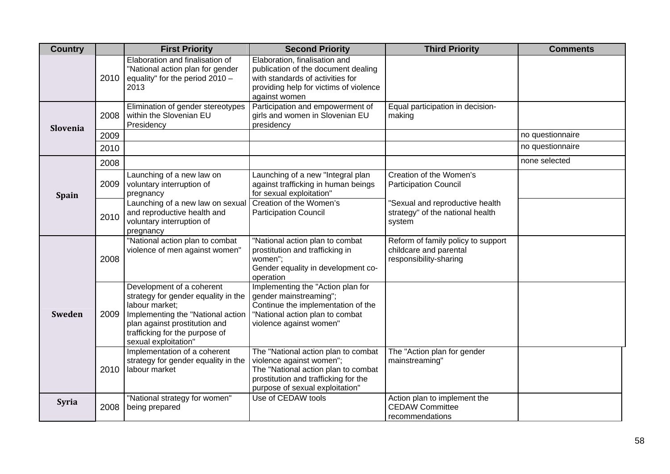| <b>Country</b> |      | <b>First Priority</b>                                                                                                                                                                                              | <b>Second Priority</b>                                                                                                                                                            | <b>Third Priority</b>                                                                  | <b>Comments</b>  |
|----------------|------|--------------------------------------------------------------------------------------------------------------------------------------------------------------------------------------------------------------------|-----------------------------------------------------------------------------------------------------------------------------------------------------------------------------------|----------------------------------------------------------------------------------------|------------------|
|                | 2010 | Elaboration and finalisation of<br>"National action plan for gender<br>equality" for the period 2010 -<br>2013                                                                                                     | Elaboration, finalisation and<br>publication of the document dealing<br>with standards of activities for<br>providing help for victims of violence<br>against women               |                                                                                        |                  |
| Slovenia       | 2008 | Elimination of gender stereotypes<br>within the Slovenian EU<br>Presidency                                                                                                                                         | Participation and empowerment of<br>girls and women in Slovenian EU<br>presidency                                                                                                 | Equal participation in decision-<br>making                                             |                  |
|                | 2009 |                                                                                                                                                                                                                    |                                                                                                                                                                                   |                                                                                        | no questionnaire |
|                | 2010 |                                                                                                                                                                                                                    |                                                                                                                                                                                   |                                                                                        | no questionnaire |
|                | 2008 |                                                                                                                                                                                                                    |                                                                                                                                                                                   |                                                                                        | none selected    |
| Spain          | 2009 | Launching of a new law on<br>voluntary interruption of<br>pregnancy                                                                                                                                                | Launching of a new "Integral plan<br>against trafficking in human beings<br>for sexual exploitation"                                                                              | Creation of the Women's<br><b>Participation Council</b>                                |                  |
|                | 2010 | Launching of a new law on sexual<br>and reproductive health and<br>voluntary interruption of<br>pregnancy                                                                                                          | Creation of the Women's<br><b>Participation Council</b>                                                                                                                           | 'Sexual and reproductive health<br>strategy" of the national health<br>system          |                  |
| <b>Sweden</b>  | 2008 | "National action plan to combat<br>violence of men against women"                                                                                                                                                  | "National action plan to combat<br>prostitution and trafficking in<br>women";<br>Gender equality in development co-<br>operation                                                  | Reform of family policy to support<br>childcare and parental<br>responsibility-sharing |                  |
|                | 2009 | Development of a coherent<br>strategy for gender equality in the<br>labour market;<br>Implementing the "National action<br>plan against prostitution and<br>trafficking for the purpose of<br>sexual exploitation" | Implementing the "Action plan for<br>gender mainstreaming";<br>Continue the implementation of the<br>"National action plan to combat<br>violence against women"                   |                                                                                        |                  |
|                | 2010 | Implementation of a coherent<br>strategy for gender equality in the<br>labour market                                                                                                                               | The "National action plan to combat<br>violence against women";<br>The "National action plan to combat<br>prostitution and trafficking for the<br>purpose of sexual exploitation" | The "Action plan for gender<br>mainstreaming"                                          |                  |
| <b>Syria</b>   | 2008 | "National strategy for women"<br>being prepared                                                                                                                                                                    | Use of CEDAW tools                                                                                                                                                                | Action plan to implement the<br><b>CEDAW Committee</b><br>recommendations              |                  |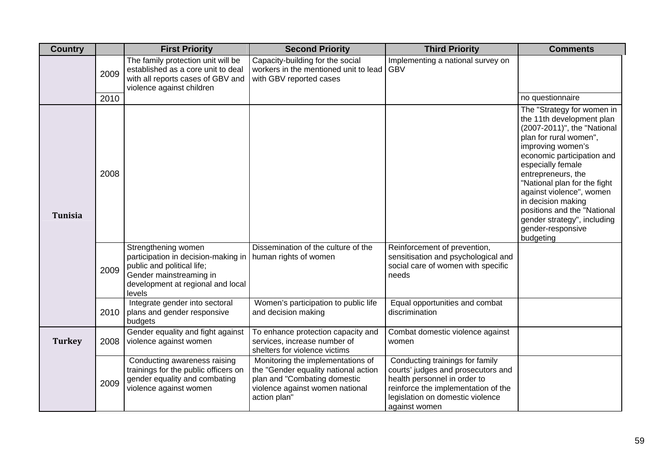| <b>Country</b> |      | <b>First Priority</b>                                                                                                                                                                      | <b>Second Priority</b>                                                                                                                                       | <b>Third Priority</b>                                                                                                                                                                             | <b>Comments</b>                                                                                                                                                                                                                                                                                                                                                                                  |
|----------------|------|--------------------------------------------------------------------------------------------------------------------------------------------------------------------------------------------|--------------------------------------------------------------------------------------------------------------------------------------------------------------|---------------------------------------------------------------------------------------------------------------------------------------------------------------------------------------------------|--------------------------------------------------------------------------------------------------------------------------------------------------------------------------------------------------------------------------------------------------------------------------------------------------------------------------------------------------------------------------------------------------|
|                | 2009 | The family protection unit will be<br>established as a core unit to deal<br>with all reports cases of GBV and<br>violence against children                                                 | Capacity-building for the social<br>workers in the mentioned unit to lead<br>with GBV reported cases                                                         | Implementing a national survey on<br><b>GBV</b>                                                                                                                                                   |                                                                                                                                                                                                                                                                                                                                                                                                  |
|                | 2010 |                                                                                                                                                                                            |                                                                                                                                                              |                                                                                                                                                                                                   | no questionnaire                                                                                                                                                                                                                                                                                                                                                                                 |
| <b>Tunisia</b> | 2008 |                                                                                                                                                                                            |                                                                                                                                                              |                                                                                                                                                                                                   | The "Strategy for women in<br>the 11th development plan<br>(2007-2011)", the "National<br>plan for rural women",<br>improving women's<br>economic participation and<br>especially female<br>entrepreneurs, the<br>"National plan for the fight<br>against violence", women<br>in decision making<br>positions and the "National<br>gender strategy", including<br>gender-responsive<br>budgeting |
|                | 2009 | Strengthening women<br>participation in decision-making in   human rights of women<br>public and political life;<br>Gender mainstreaming in<br>development at regional and local<br>levels | Dissemination of the culture of the                                                                                                                          | Reinforcement of prevention,<br>sensitisation and psychological and<br>social care of women with specific<br>needs                                                                                |                                                                                                                                                                                                                                                                                                                                                                                                  |
|                | 2010 | Integrate gender into sectoral<br>plans and gender responsive<br>budgets                                                                                                                   | Women's participation to public life<br>and decision making                                                                                                  | Equal opportunities and combat<br>discrimination                                                                                                                                                  |                                                                                                                                                                                                                                                                                                                                                                                                  |
| <b>Turkey</b>  | 2008 | Gender equality and fight against<br>violence against women                                                                                                                                | To enhance protection capacity and<br>services, increase number of<br>shelters for violence victims                                                          | Combat domestic violence against<br>women                                                                                                                                                         |                                                                                                                                                                                                                                                                                                                                                                                                  |
|                | 2009 | Conducting awareness raising<br>trainings for the public officers on<br>gender equality and combating<br>violence against women                                                            | Monitoring the implementations of<br>the "Gender equality national action<br>plan and "Combating domestic<br>violence against women national<br>action plan" | Conducting trainings for family<br>courts' judges and prosecutors and<br>health personnel in order to<br>reinforce the implementation of the<br>legislation on domestic violence<br>against women |                                                                                                                                                                                                                                                                                                                                                                                                  |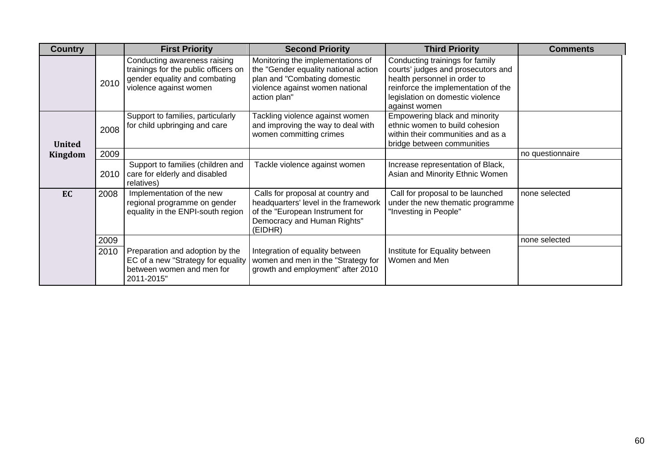| <b>Country</b> |      | <b>First Priority</b>                                                                                                           | <b>Second Priority</b>                                                                                                                                       | <b>Third Priority</b>                                                                                                                                                                             | <b>Comments</b>  |
|----------------|------|---------------------------------------------------------------------------------------------------------------------------------|--------------------------------------------------------------------------------------------------------------------------------------------------------------|---------------------------------------------------------------------------------------------------------------------------------------------------------------------------------------------------|------------------|
|                | 2010 | Conducting awareness raising<br>trainings for the public officers on<br>gender equality and combating<br>violence against women | Monitoring the implementations of<br>the "Gender equality national action<br>plan and "Combating domestic<br>violence against women national<br>action plan" | Conducting trainings for family<br>courts' judges and prosecutors and<br>health personnel in order to<br>reinforce the implementation of the<br>legislation on domestic violence<br>against women |                  |
| <b>United</b>  | 2008 | Support to families, particularly<br>for child upbringing and care                                                              | Tackling violence against women<br>and improving the way to deal with<br>women committing crimes                                                             | Empowering black and minority<br>ethnic women to build cohesion<br>within their communities and as a<br>bridge between communities                                                                |                  |
| Kingdom        | 2009 |                                                                                                                                 |                                                                                                                                                              |                                                                                                                                                                                                   | no questionnaire |
|                | 2010 | Support to families (children and<br>care for elderly and disabled<br>relatives)                                                | Tackle violence against women                                                                                                                                | Increase representation of Black,<br>Asian and Minority Ethnic Women                                                                                                                              |                  |
| EC             | 2008 | Implementation of the new<br>regional programme on gender<br>equality in the ENPI-south region                                  | Calls for proposal at country and<br>headquarters' level in the framework<br>of the "European Instrument for<br>Democracy and Human Rights"<br>(EIDHR)       | Call for proposal to be launched<br>under the new thematic programme<br>"Investing in People"                                                                                                     | none selected    |
|                | 2009 |                                                                                                                                 |                                                                                                                                                              |                                                                                                                                                                                                   | none selected    |
|                | 2010 | Preparation and adoption by the<br>EC of a new "Strategy for equality<br>between women and men for<br>2011-2015"                | Integration of equality between<br>women and men in the "Strategy for<br>growth and employment" after 2010                                                   | Institute for Equality between<br>Women and Men                                                                                                                                                   |                  |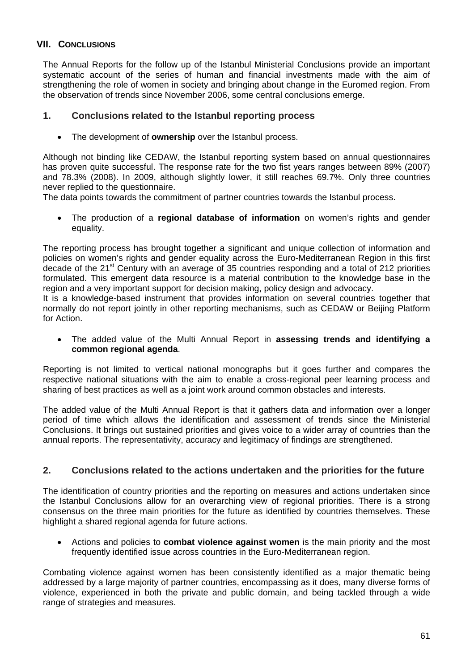## **VII. CONCLUSIONS**

The Annual Reports for the follow up of the Istanbul Ministerial Conclusions provide an important systematic account of the series of human and financial investments made with the aim of strengthening the role of women in society and bringing about change in the Euromed region. From the observation of trends since November 2006, some central conclusions emerge.

### **1. Conclusions related to the Istanbul reporting process**

• The development of **ownership** over the Istanbul process.

Although not binding like CEDAW, the Istanbul reporting system based on annual questionnaires has proven quite successful. The response rate for the two fist years ranges between 89% (2007) and 78.3% (2008). In 2009, although slightly lower, it still reaches 69.7%. Only three countries never replied to the questionnaire.

The data points towards the commitment of partner countries towards the Istanbul process.

• The production of a **regional database of information** on women's rights and gender equality.

The reporting process has brought together a significant and unique collection of information and policies on women's rights and gender equality across the Euro-Mediterranean Region in this first decade of the 21<sup>st</sup> Century with an average of 35 countries responding and a total of 212 priorities formulated. This emergent data resource is a material contribution to the knowledge base in the region and a very important support for decision making, policy design and advocacy.

It is a knowledge-based instrument that provides information on several countries together that normally do not report jointly in other reporting mechanisms, such as CEDAW or Beijing Platform for Action.

• The added value of the Multi Annual Report in **assessing trends and identifying a common regional agenda**.

Reporting is not limited to vertical national monographs but it goes further and compares the respective national situations with the aim to enable a cross-regional peer learning process and sharing of best practices as well as a joint work around common obstacles and interests.

The added value of the Multi Annual Report is that it gathers data and information over a longer period of time which allows the identification and assessment of trends since the Ministerial Conclusions. It brings out sustained priorities and gives voice to a wider array of countries than the annual reports. The representativity, accuracy and legitimacy of findings are strengthened.

## **2. Conclusions related to the actions undertaken and the priorities for the future**

The identification of country priorities and the reporting on measures and actions undertaken since the Istanbul Conclusions allow for an overarching view of regional priorities. There is a strong consensus on the three main priorities for the future as identified by countries themselves. These highlight a shared regional agenda for future actions.

• Actions and policies to **combat violence against women** is the main priority and the most frequently identified issue across countries in the Euro-Mediterranean region.

Combating violence against women has been consistently identified as a major thematic being addressed by a large majority of partner countries, encompassing as it does, many diverse forms of violence, experienced in both the private and public domain, and being tackled through a wide range of strategies and measures.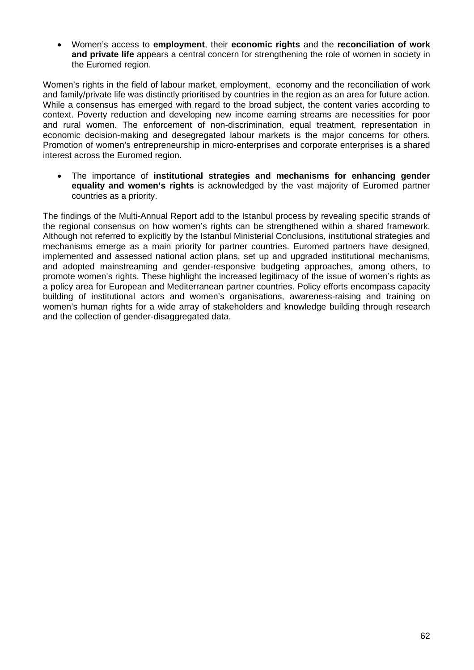• Women's access to **employment**, their **economic rights** and the **reconciliation of work and private life** appears a central concern for strengthening the role of women in society in the Euromed region.

Women's rights in the field of labour market, employment, economy and the reconciliation of work and family/private life was distinctly prioritised by countries in the region as an area for future action. While a consensus has emerged with regard to the broad subject, the content varies according to context. Poverty reduction and developing new income earning streams are necessities for poor and rural women. The enforcement of non-discrimination, equal treatment, representation in economic decision-making and desegregated labour markets is the major concerns for others. Promotion of women's entrepreneurship in micro-enterprises and corporate enterprises is a shared interest across the Euromed region.

• The importance of **institutional strategies and mechanisms for enhancing gender equality and women's rights** is acknowledged by the vast majority of Euromed partner countries as a priority.

The findings of the Multi-Annual Report add to the Istanbul process by revealing specific strands of the regional consensus on how women's rights can be strengthened within a shared framework. Although not referred to explicitly by the Istanbul Ministerial Conclusions, institutional strategies and mechanisms emerge as a main priority for partner countries. Euromed partners have designed, implemented and assessed national action plans, set up and upgraded institutional mechanisms, and adopted mainstreaming and gender-responsive budgeting approaches, among others, to promote women's rights. These highlight the increased legitimacy of the issue of women's rights as a policy area for European and Mediterranean partner countries. Policy efforts encompass capacity building of institutional actors and women's organisations, awareness-raising and training on women's human rights for a wide array of stakeholders and knowledge building through research and the collection of gender-disaggregated data.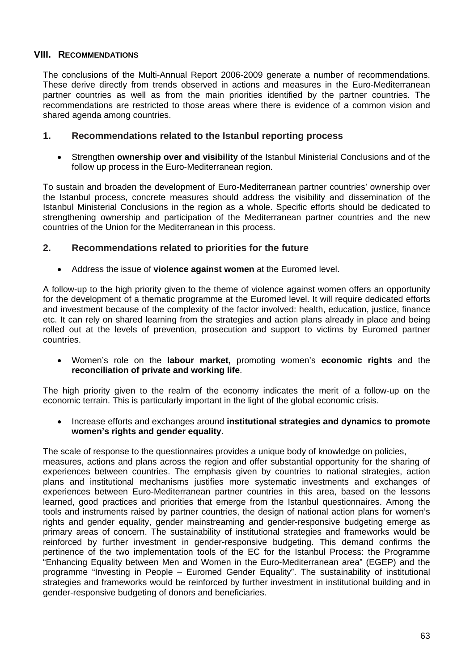### **VIII. RECOMMENDATIONS**

The conclusions of the Multi-Annual Report 2006-2009 generate a number of recommendations. These derive directly from trends observed in actions and measures in the Euro-Mediterranean partner countries as well as from the main priorities identified by the partner countries. The recommendations are restricted to those areas where there is evidence of a common vision and shared agenda among countries.

### **1. Recommendations related to the Istanbul reporting process**

• Strengthen **ownership over and visibility** of the Istanbul Ministerial Conclusions and of the follow up process in the Euro-Mediterranean region.

To sustain and broaden the development of Euro-Mediterranean partner countries' ownership over the Istanbul process, concrete measures should address the visibility and dissemination of the Istanbul Ministerial Conclusions in the region as a whole. Specific efforts should be dedicated to strengthening ownership and participation of the Mediterranean partner countries and the new countries of the Union for the Mediterranean in this process.

### **2. Recommendations related to priorities for the future**

• Address the issue of **violence against women** at the Euromed level.

A follow-up to the high priority given to the theme of violence against women offers an opportunity for the development of a thematic programme at the Euromed level. It will require dedicated efforts and investment because of the complexity of the factor involved: health, education, justice, finance etc. It can rely on shared learning from the strategies and action plans already in place and being rolled out at the levels of prevention, prosecution and support to victims by Euromed partner countries.

• Women's role on the **labour market,** promoting women's **economic rights** and the **reconciliation of private and working life**.

The high priority given to the realm of the economy indicates the merit of a follow-up on the economic terrain. This is particularly important in the light of the global economic crisis.

• Increase efforts and exchanges around **institutional strategies and dynamics to promote women's rights and gender equality**.

The scale of response to the questionnaires provides a unique body of knowledge on policies, measures, actions and plans across the region and offer substantial opportunity for the sharing of experiences between countries. The emphasis given by countries to national strategies, action plans and institutional mechanisms justifies more systematic investments and exchanges of experiences between Euro-Mediterranean partner countries in this area, based on the lessons learned, good practices and priorities that emerge from the Istanbul questionnaires. Among the tools and instruments raised by partner countries, the design of national action plans for women's rights and gender equality, gender mainstreaming and gender-responsive budgeting emerge as primary areas of concern. The sustainability of institutional strategies and frameworks would be reinforced by further investment in gender-responsive budgeting. This demand confirms the pertinence of the two implementation tools of the EC for the Istanbul Process: the Programme "Enhancing Equality between Men and Women in the Euro-Mediterranean area" (EGEP) and the programme "Investing in People – Euromed Gender Equality". The sustainability of institutional strategies and frameworks would be reinforced by further investment in institutional building and in gender-responsive budgeting of donors and beneficiaries.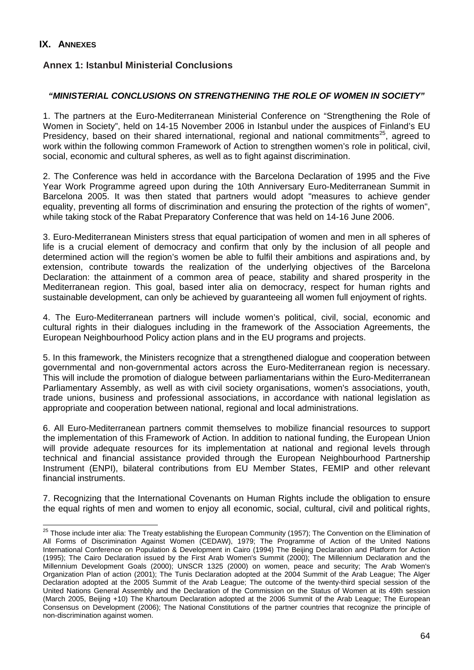### **IX. ANNEXES**

### **Annex 1: Istanbul Ministerial Conclusions**

### *"MINISTERIAL CONCLUSIONS ON STRENGTHENING THE ROLE OF WOMEN IN SOCIETY"*

1. The partners at the Euro-Mediterranean Ministerial Conference on "Strengthening the Role of Women in Society", held on 14-15 November 2006 in Istanbul under the auspices of Finland's EU Presidency, based on their shared international, regional and national commitments<sup>25</sup>, agreed to work within the following common Framework of Action to strengthen women's role in political, civil, social, economic and cultural spheres, as well as to fight against discrimination.

2. The Conference was held in accordance with the Barcelona Declaration of 1995 and the Five Year Work Programme agreed upon during the 10th Anniversary Euro-Mediterranean Summit in Barcelona 2005. It was then stated that partners would adopt "measures to achieve gender equality, preventing all forms of discrimination and ensuring the protection of the rights of women". while taking stock of the Rabat Preparatory Conference that was held on 14-16 June 2006.

3. Euro-Mediterranean Ministers stress that equal participation of women and men in all spheres of life is a crucial element of democracy and confirm that only by the inclusion of all people and determined action will the region's women be able to fulfil their ambitions and aspirations and, by extension, contribute towards the realization of the underlying objectives of the Barcelona Declaration: the attainment of a common area of peace, stability and shared prosperity in the Mediterranean region. This goal, based inter alia on democracy, respect for human rights and sustainable development, can only be achieved by guaranteeing all women full enjoyment of rights.

4. The Euro-Mediterranean partners will include women's political, civil, social, economic and cultural rights in their dialogues including in the framework of the Association Agreements, the European Neighbourhood Policy action plans and in the EU programs and projects.

5. In this framework, the Ministers recognize that a strengthened dialogue and cooperation between governmental and non-governmental actors across the Euro-Mediterranean region is necessary. This will include the promotion of dialogue between parliamentarians within the Euro-Mediterranean Parliamentary Assembly, as well as with civil society organisations, women's associations, youth, trade unions, business and professional associations, in accordance with national legislation as appropriate and cooperation between national, regional and local administrations.

6. All Euro-Mediterranean partners commit themselves to mobilize financial resources to support the implementation of this Framework of Action. In addition to national funding, the European Union will provide adequate resources for its implementation at national and regional levels through technical and financial assistance provided through the European Neighbourhood Partnership Instrument (ENPI), bilateral contributions from EU Member States, FEMIP and other relevant financial instruments.

7. Recognizing that the International Covenants on Human Rights include the obligation to ensure the equal rights of men and women to enjoy all economic, social, cultural, civil and political rights,

<sup>&</sup>lt;sup>25</sup> Those include inter alia: The Treaty establishing the European Community (1957); The Convention on the Elimination of All Forms of Discrimination Against Women (CEDAW), 1979; The Programme of Action of the United Nations International Conference on Population & Development in Cairo (1994) The Beijing Declaration and Platform for Action (1995); The Cairo Declaration issued by the First Arab Women's Summit (2000); The Millennium Declaration and the Millennium Development Goals (2000); UNSCR 1325 (2000) on women, peace and security; The Arab Women's Organization Plan of action (2001); The Tunis Declaration adopted at the 2004 Summit of the Arab League; The Alger Declaration adopted at the 2005 Summit of the Arab League; The outcome of the twenty-third special session of the United Nations General Assembly and the Declaration of the Commission on the Status of Women at its 49th session (March 2005, Beijing +10) The Khartoum Declaration adopted at the 2006 Summit of the Arab League; The European Consensus on Development (2006); The National Constitutions of the partner countries that recognize the principle of non-discrimination against women.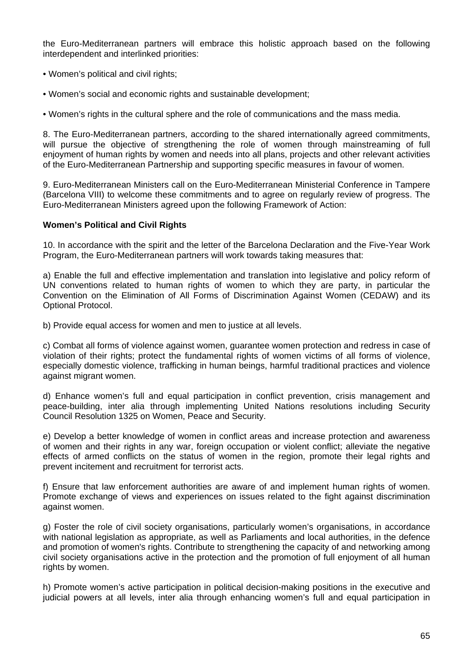the Euro-Mediterranean partners will embrace this holistic approach based on the following interdependent and interlinked priorities:

- Women's political and civil rights;
- Women's social and economic rights and sustainable development;

• Women's rights in the cultural sphere and the role of communications and the mass media.

8. The Euro-Mediterranean partners, according to the shared internationally agreed commitments, will pursue the objective of strengthening the role of women through mainstreaming of full enjoyment of human rights by women and needs into all plans, projects and other relevant activities of the Euro-Mediterranean Partnership and supporting specific measures in favour of women.

9. Euro-Mediterranean Ministers call on the Euro-Mediterranean Ministerial Conference in Tampere (Barcelona VIII) to welcome these commitments and to agree on regularly review of progress. The Euro-Mediterranean Ministers agreed upon the following Framework of Action:

#### **Women's Political and Civil Rights**

10. In accordance with the spirit and the letter of the Barcelona Declaration and the Five-Year Work Program, the Euro-Mediterranean partners will work towards taking measures that:

a) Enable the full and effective implementation and translation into legislative and policy reform of UN conventions related to human rights of women to which they are party, in particular the Convention on the Elimination of All Forms of Discrimination Against Women (CEDAW) and its Optional Protocol.

b) Provide equal access for women and men to justice at all levels.

c) Combat all forms of violence against women, guarantee women protection and redress in case of violation of their rights; protect the fundamental rights of women victims of all forms of violence, especially domestic violence, trafficking in human beings, harmful traditional practices and violence against migrant women.

d) Enhance women's full and equal participation in conflict prevention, crisis management and peace-building, inter alia through implementing United Nations resolutions including Security Council Resolution 1325 on Women, Peace and Security.

e) Develop a better knowledge of women in conflict areas and increase protection and awareness of women and their rights in any war, foreign occupation or violent conflict; alleviate the negative effects of armed conflicts on the status of women in the region, promote their legal rights and prevent incitement and recruitment for terrorist acts.

f) Ensure that law enforcement authorities are aware of and implement human rights of women. Promote exchange of views and experiences on issues related to the fight against discrimination against women.

g) Foster the role of civil society organisations, particularly women's organisations, in accordance with national legislation as appropriate, as well as Parliaments and local authorities, in the defence and promotion of women's rights. Contribute to strengthening the capacity of and networking among civil society organisations active in the protection and the promotion of full enjoyment of all human rights by women.

h) Promote women's active participation in political decision-making positions in the executive and judicial powers at all levels, inter alia through enhancing women's full and equal participation in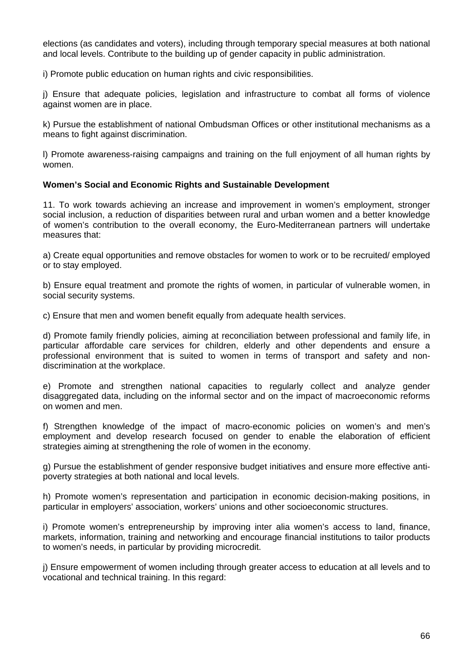elections (as candidates and voters), including through temporary special measures at both national and local levels. Contribute to the building up of gender capacity in public administration.

i) Promote public education on human rights and civic responsibilities.

j) Ensure that adequate policies, legislation and infrastructure to combat all forms of violence against women are in place.

k) Pursue the establishment of national Ombudsman Offices or other institutional mechanisms as a means to fight against discrimination.

l) Promote awareness-raising campaigns and training on the full enjoyment of all human rights by women.

#### **Women's Social and Economic Rights and Sustainable Development**

11. To work towards achieving an increase and improvement in women's employment, stronger social inclusion, a reduction of disparities between rural and urban women and a better knowledge of women's contribution to the overall economy, the Euro-Mediterranean partners will undertake measures that:

a) Create equal opportunities and remove obstacles for women to work or to be recruited/ employed or to stay employed.

b) Ensure equal treatment and promote the rights of women, in particular of vulnerable women, in social security systems.

c) Ensure that men and women benefit equally from adequate health services.

d) Promote family friendly policies, aiming at reconciliation between professional and family life, in particular affordable care services for children, elderly and other dependents and ensure a professional environment that is suited to women in terms of transport and safety and nondiscrimination at the workplace.

e) Promote and strengthen national capacities to regularly collect and analyze gender disaggregated data, including on the informal sector and on the impact of macroeconomic reforms on women and men.

f) Strengthen knowledge of the impact of macro-economic policies on women's and men's employment and develop research focused on gender to enable the elaboration of efficient strategies aiming at strengthening the role of women in the economy.

g) Pursue the establishment of gender responsive budget initiatives and ensure more effective antipoverty strategies at both national and local levels.

h) Promote women's representation and participation in economic decision-making positions, in particular in employers' association, workers' unions and other socioeconomic structures.

i) Promote women's entrepreneurship by improving inter alia women's access to land, finance, markets, information, training and networking and encourage financial institutions to tailor products to women's needs, in particular by providing microcredit.

j) Ensure empowerment of women including through greater access to education at all levels and to vocational and technical training. In this regard: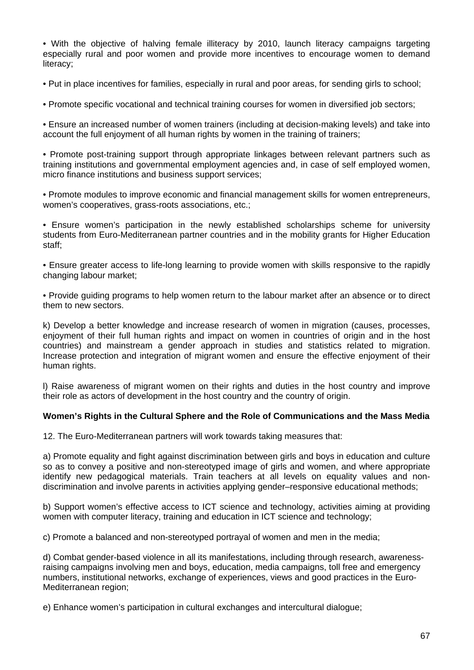• With the objective of halving female illiteracy by 2010, launch literacy campaigns targeting especially rural and poor women and provide more incentives to encourage women to demand literacy;

• Put in place incentives for families, especially in rural and poor areas, for sending girls to school;

• Promote specific vocational and technical training courses for women in diversified job sectors;

• Ensure an increased number of women trainers (including at decision-making levels) and take into account the full enjoyment of all human rights by women in the training of trainers;

• Promote post-training support through appropriate linkages between relevant partners such as training institutions and governmental employment agencies and, in case of self employed women, micro finance institutions and business support services;

• Promote modules to improve economic and financial management skills for women entrepreneurs, women's cooperatives, grass-roots associations, etc.;

• Ensure women's participation in the newly established scholarships scheme for university students from Euro-Mediterranean partner countries and in the mobility grants for Higher Education staff;

• Ensure greater access to life-long learning to provide women with skills responsive to the rapidly changing labour market;

• Provide guiding programs to help women return to the labour market after an absence or to direct them to new sectors.

k) Develop a better knowledge and increase research of women in migration (causes, processes, enjoyment of their full human rights and impact on women in countries of origin and in the host countries) and mainstream a gender approach in studies and statistics related to migration. Increase protection and integration of migrant women and ensure the effective enjoyment of their human rights.

l) Raise awareness of migrant women on their rights and duties in the host country and improve their role as actors of development in the host country and the country of origin.

#### **Women's Rights in the Cultural Sphere and the Role of Communications and the Mass Media**

12. The Euro-Mediterranean partners will work towards taking measures that:

a) Promote equality and fight against discrimination between girls and boys in education and culture so as to convey a positive and non-stereotyped image of girls and women, and where appropriate identify new pedagogical materials. Train teachers at all levels on equality values and nondiscrimination and involve parents in activities applying gender–responsive educational methods;

b) Support women's effective access to ICT science and technology, activities aiming at providing women with computer literacy, training and education in ICT science and technology;

c) Promote a balanced and non-stereotyped portrayal of women and men in the media;

d) Combat gender-based violence in all its manifestations, including through research, awarenessraising campaigns involving men and boys, education, media campaigns, toll free and emergency numbers, institutional networks, exchange of experiences, views and good practices in the Euro-Mediterranean region;

e) Enhance women's participation in cultural exchanges and intercultural dialogue;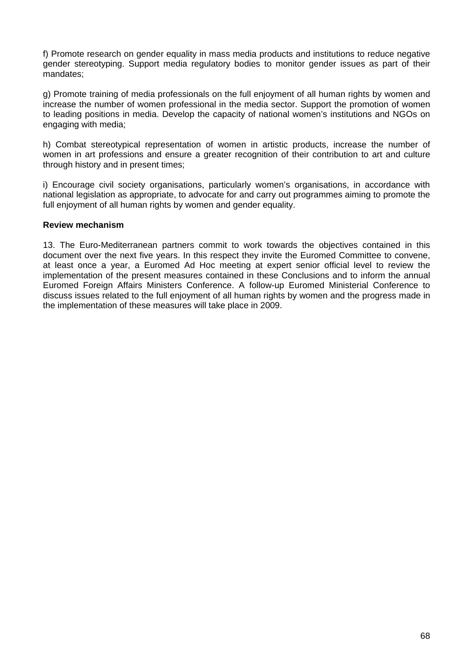f) Promote research on gender equality in mass media products and institutions to reduce negative gender stereotyping. Support media regulatory bodies to monitor gender issues as part of their mandates;

g) Promote training of media professionals on the full enjoyment of all human rights by women and increase the number of women professional in the media sector. Support the promotion of women to leading positions in media. Develop the capacity of national women's institutions and NGOs on engaging with media;

h) Combat stereotypical representation of women in artistic products, increase the number of women in art professions and ensure a greater recognition of their contribution to art and culture through history and in present times;

i) Encourage civil society organisations, particularly women's organisations, in accordance with national legislation as appropriate, to advocate for and carry out programmes aiming to promote the full enjoyment of all human rights by women and gender equality.

#### **Review mechanism**

13. The Euro-Mediterranean partners commit to work towards the objectives contained in this document over the next five years. In this respect they invite the Euromed Committee to convene, at least once a year, a Euromed Ad Hoc meeting at expert senior official level to review the implementation of the present measures contained in these Conclusions and to inform the annual Euromed Foreign Affairs Ministers Conference. A follow-up Euromed Ministerial Conference to discuss issues related to the full enjoyment of all human rights by women and the progress made in the implementation of these measures will take place in 2009.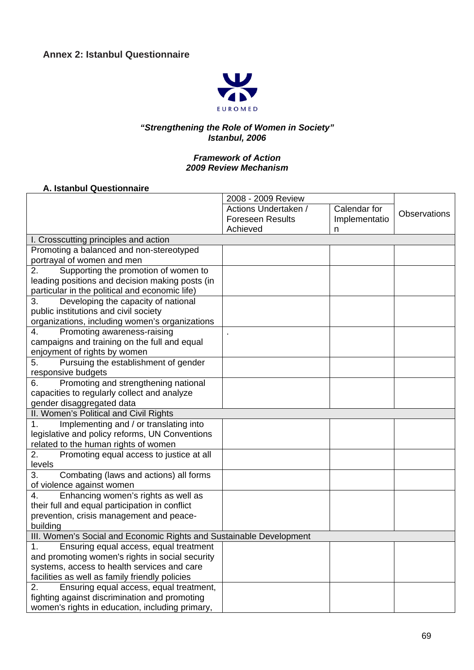

### *"Strengthening the Role of Women in Society" Istanbul, 2006*

#### *Framework of Action 2009 Review Mechanism*

#### **A. Istanbul Questionnaire**

|                                                                     | 2008 - 2009 Review      |               |                     |
|---------------------------------------------------------------------|-------------------------|---------------|---------------------|
|                                                                     | Actions Undertaken /    | Calendar for  | <b>Observations</b> |
|                                                                     | <b>Foreseen Results</b> | Implementatio |                     |
|                                                                     | Achieved                | n             |                     |
| I. Crosscutting principles and action                               |                         |               |                     |
| Promoting a balanced and non-stereotyped                            |                         |               |                     |
| portrayal of women and men                                          |                         |               |                     |
| Supporting the promotion of women to<br>2.                          |                         |               |                     |
| leading positions and decision making posts (in                     |                         |               |                     |
| particular in the political and economic life)                      |                         |               |                     |
| Developing the capacity of national<br>3.                           |                         |               |                     |
| public institutions and civil society                               |                         |               |                     |
| organizations, including women's organizations                      |                         |               |                     |
| Promoting awareness-raising<br>4.                                   |                         |               |                     |
| campaigns and training on the full and equal                        |                         |               |                     |
| enjoyment of rights by women                                        |                         |               |                     |
| Pursuing the establishment of gender<br>5.                          |                         |               |                     |
| responsive budgets                                                  |                         |               |                     |
| Promoting and strengthening national<br>6.                          |                         |               |                     |
| capacities to regularly collect and analyze                         |                         |               |                     |
| gender disaggregated data                                           |                         |               |                     |
| II. Women's Political and Civil Rights                              |                         |               |                     |
| Implementing and / or translating into<br>1.                        |                         |               |                     |
| legislative and policy reforms, UN Conventions                      |                         |               |                     |
| related to the human rights of women                                |                         |               |                     |
| Promoting equal access to justice at all<br>2.                      |                         |               |                     |
| levels                                                              |                         |               |                     |
| 3.<br>Combating (laws and actions) all forms                        |                         |               |                     |
| of violence against women                                           |                         |               |                     |
| Enhancing women's rights as well as<br>4.                           |                         |               |                     |
| their full and equal participation in conflict                      |                         |               |                     |
| prevention, crisis management and peace-                            |                         |               |                     |
| building                                                            |                         |               |                     |
| III. Women's Social and Economic Rights and Sustainable Development |                         |               |                     |
| 1.<br>Ensuring equal access, equal treatment                        |                         |               |                     |
| and promoting women's rights in social security                     |                         |               |                     |
| systems, access to health services and care                         |                         |               |                     |
| facilities as well as family friendly policies                      |                         |               |                     |
| 2.<br>Ensuring equal access, equal treatment,                       |                         |               |                     |
| fighting against discrimination and promoting                       |                         |               |                     |
| women's rights in education, including primary,                     |                         |               |                     |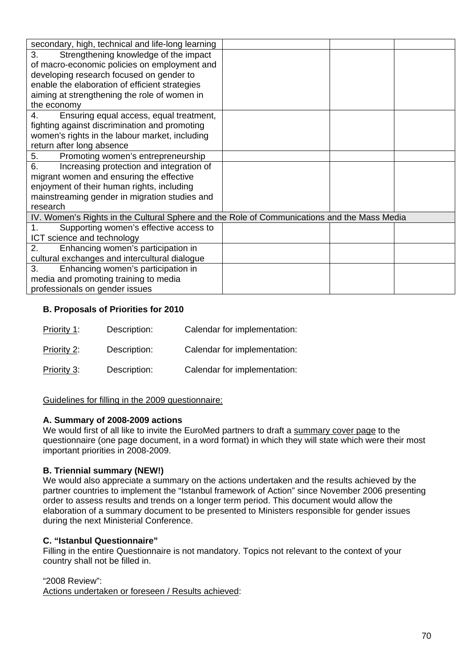| secondary, high, technical and life-long learning                                           |  |  |  |  |  |
|---------------------------------------------------------------------------------------------|--|--|--|--|--|
| 3.<br>Strengthening knowledge of the impact                                                 |  |  |  |  |  |
| of macro-economic policies on employment and                                                |  |  |  |  |  |
| developing research focused on gender to                                                    |  |  |  |  |  |
| enable the elaboration of efficient strategies                                              |  |  |  |  |  |
| aiming at strengthening the role of women in                                                |  |  |  |  |  |
| the economy                                                                                 |  |  |  |  |  |
| Ensuring equal access, equal treatment,<br>4.                                               |  |  |  |  |  |
| fighting against discrimination and promoting                                               |  |  |  |  |  |
| women's rights in the labour market, including                                              |  |  |  |  |  |
| return after long absence                                                                   |  |  |  |  |  |
| Promoting women's entrepreneurship<br>5.                                                    |  |  |  |  |  |
| 6.<br>Increasing protection and integration of                                              |  |  |  |  |  |
| migrant women and ensuring the effective                                                    |  |  |  |  |  |
| enjoyment of their human rights, including                                                  |  |  |  |  |  |
| mainstreaming gender in migration studies and                                               |  |  |  |  |  |
| research                                                                                    |  |  |  |  |  |
| IV. Women's Rights in the Cultural Sphere and the Role of Communications and the Mass Media |  |  |  |  |  |
| Supporting women's effective access to<br>1.                                                |  |  |  |  |  |
| ICT science and technology                                                                  |  |  |  |  |  |
| Enhancing women's participation in<br>2.                                                    |  |  |  |  |  |
| cultural exchanges and intercultural dialogue                                               |  |  |  |  |  |
| 3.<br>Enhancing women's participation in                                                    |  |  |  |  |  |
| media and promoting training to media                                                       |  |  |  |  |  |
| professionals on gender issues                                                              |  |  |  |  |  |

### **B. Proposals of Priorities for 2010**

| Priority 1: | Description: | Calendar for implementation: |
|-------------|--------------|------------------------------|
| Priority 2: | Description: | Calendar for implementation: |
| Priority 3: | Description: | Calendar for implementation: |

### Guidelines for filling in the 2009 questionnaire:

#### **A. Summary of 2008-2009 actions**

We would first of all like to invite the EuroMed partners to draft a summary cover page to the questionnaire (one page document, in a word format) in which they will state which were their most important priorities in 2008-2009.

### **B. Triennial summary (NEW!)**

We would also appreciate a summary on the actions undertaken and the results achieved by the partner countries to implement the "Istanbul framework of Action" since November 2006 presenting order to assess results and trends on a longer term period. This document would allow the elaboration of a summary document to be presented to Ministers responsible for gender issues during the next Ministerial Conference.

#### **C. "Istanbul Questionnaire"**

Filling in the entire Questionnaire is not mandatory. Topics not relevant to the context of your country shall not be filled in.

#### "2008 Review":

Actions undertaken or foreseen / Results achieved: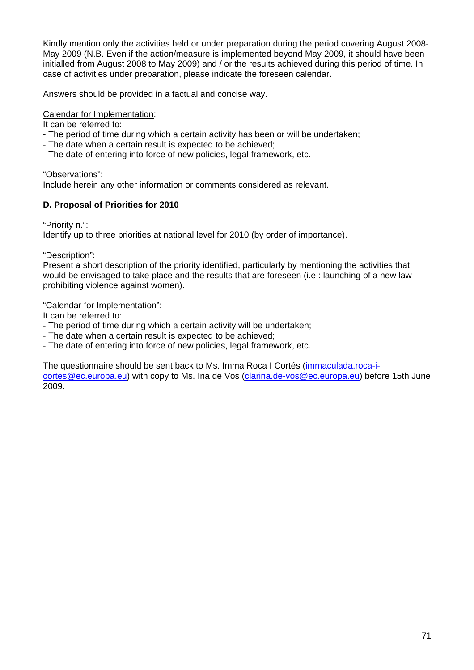Kindly mention only the activities held or under preparation during the period covering August 2008- May 2009 (N.B. Even if the action/measure is implemented beyond May 2009, it should have been initialled from August 2008 to May 2009) and / or the results achieved during this period of time. In case of activities under preparation, please indicate the foreseen calendar.

Answers should be provided in a factual and concise way.

### Calendar for Implementation:

It can be referred to:

- The period of time during which a certain activity has been or will be undertaken;
- The date when a certain result is expected to be achieved;
- The date of entering into force of new policies, legal framework, etc.

"Observations":

Include herein any other information or comments considered as relevant.

### **D. Proposal of Priorities for 2010**

"Priority n.":

Identify up to three priorities at national level for 2010 (by order of importance).

"Description":

Present a short description of the priority identified, particularly by mentioning the activities that would be envisaged to take place and the results that are foreseen (i.e.: launching of a new law prohibiting violence against women).

"Calendar for Implementation":

It can be referred to:

- The period of time during which a certain activity will be undertaken;
- The date when a certain result is expected to be achieved;
- The date of entering into force of new policies, legal framework, etc.

The questionnaire should be sent back to Ms. Imma Roca I Cortés [\(immaculada.roca-i-](mailto:immaculada.roca-i-cortes@ec.europa.eu)

[cortes@ec.europa.eu\)](mailto:immaculada.roca-i-cortes@ec.europa.eu) with copy to Ms. Ina de Vos [\(clarina.de-vos@ec.europa.eu\)](mailto:clarina.de-vos@ec.europa.eu) before 15th June 2009.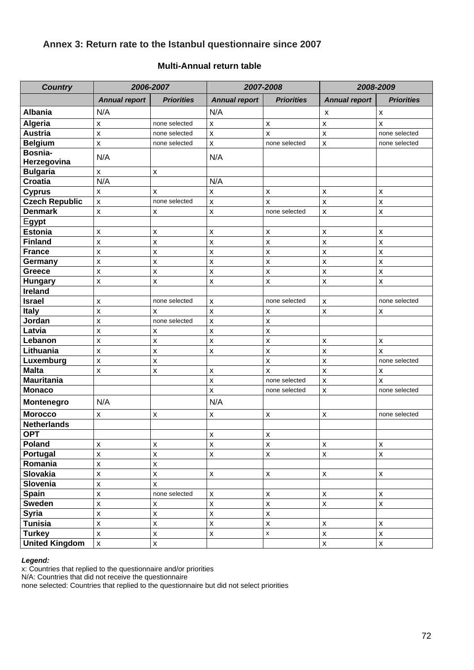# **Annex 3: Return rate to the Istanbul questionnaire since 2007**

#### **Multi-Annual return table**

| <b>Country</b>         | 2006-2007               |                    | 2007-2008            |                    | 2008-2009                 |                    |
|------------------------|-------------------------|--------------------|----------------------|--------------------|---------------------------|--------------------|
|                        | <b>Annual report</b>    | <b>Priorities</b>  | <b>Annual report</b> | <b>Priorities</b>  | <b>Annual report</b>      | <b>Priorities</b>  |
| <b>Albania</b>         | N/A                     |                    | N/A                  |                    | X                         | $\pmb{\mathsf{X}}$ |
| <b>Algeria</b>         | $\pmb{\mathsf{X}}$      | none selected      | $\pmb{\mathsf{X}}$   | $\pmb{\mathsf{X}}$ | $\pmb{\mathsf{X}}$        | X                  |
| <b>Austria</b>         | $\pmb{\mathsf{X}}$      | none selected      | $\mathsf{x}$         | $\pmb{\mathsf{X}}$ | $\pmb{\times}$            | none selected      |
| <b>Belgium</b>         | $\pmb{\mathsf{x}}$      | none selected      | $\pmb{\mathsf{X}}$   | none selected      | $\boldsymbol{\mathsf{x}}$ | none selected      |
| Bosnia-<br>Herzegovina | N/A                     |                    | N/A                  |                    |                           |                    |
| <b>Bulgaria</b>        | $\pmb{\mathsf{x}}$      | x                  |                      |                    |                           |                    |
| <b>Croatia</b>         | N/A                     |                    | N/A                  |                    |                           |                    |
| <b>Cyprus</b>          | $\pmb{\mathsf{X}}$      | $\pmb{\times}$     | X                    | X                  | $\pmb{\mathsf{x}}$        | $\pmb{\mathsf{X}}$ |
| <b>Czech Republic</b>  | $\pmb{\mathsf{X}}$      | none selected      | $\pmb{\mathsf{X}}$   | x                  | $\pmb{\mathsf{X}}$        | X                  |
| <b>Denmark</b>         | $\pmb{\mathsf{x}}$      | X                  | $\pmb{\mathsf{X}}$   | none selected      | $\boldsymbol{\mathsf{x}}$ | $\pmb{\mathsf{X}}$ |
| <b>Egypt</b>           |                         |                    |                      |                    |                           |                    |
| <b>Estonia</b>         | $\pmb{\mathsf{X}}$      | X                  | X                    | X                  | $\pmb{\mathsf{x}}$        | $\pmb{\mathsf{x}}$ |
| <b>Finland</b>         | $\mathsf{x}$            | $\pmb{\mathsf{X}}$ | $\mathsf{x}$         | $\pmb{\mathsf{X}}$ | $\pmb{\mathsf{X}}$        | $\pmb{\mathsf{X}}$ |
| <b>France</b>          | $\pmb{\mathsf{X}}$      | $\pmb{\mathsf{X}}$ | $\pmb{\mathsf{X}}$   | X                  | $\pmb{\mathsf{X}}$        | $\pmb{\mathsf{X}}$ |
| Germany                | $\pmb{\mathsf{X}}$      | $\pmb{\mathsf{X}}$ | $\pmb{\mathsf{X}}$   | $\pmb{\mathsf{X}}$ | $\pmb{\mathsf{X}}$        | $\pmb{\mathsf{X}}$ |
| Greece                 | $\mathsf{x}$            | $\mathsf{x}$       | $\pmb{\mathsf{x}}$   | $\pmb{\mathsf{X}}$ | $\pmb{\mathsf{X}}$        | $\pmb{\mathsf{x}}$ |
| <b>Hungary</b>         | $\pmb{\times}$          | $\pmb{\mathsf{X}}$ | $\pmb{\mathsf{x}}$   | $\pmb{\times}$     | $\pmb{\times}$            | $\pmb{\mathsf{X}}$ |
| <b>Ireland</b>         |                         |                    |                      |                    |                           |                    |
| <b>Israel</b>          | $\pmb{\mathsf{X}}$      | none selected      | $\pmb{\mathsf{X}}$   | none selected      | $\boldsymbol{\mathsf{x}}$ | none selected      |
| <b>Italy</b>           | $\pmb{\mathsf{X}}$      | $\pmb{\times}$     | $\mathsf{x}$         | x                  | $\boldsymbol{\mathsf{x}}$ | х                  |
| Jordan                 | $\pmb{\mathsf{X}}$      | none selected      | $\pmb{\mathsf{X}}$   | X                  |                           |                    |
| Latvia                 | $\pmb{\mathsf{X}}$      | X                  | $\pmb{\mathsf{X}}$   | $\pmb{\mathsf{X}}$ |                           |                    |
| Lebanon                | $\pmb{\mathsf{X}}$      | $\mathsf{x}$       | $\mathsf{x}$         | X                  | X                         | $\pmb{\mathsf{X}}$ |
| Lithuania              | $\mathsf{x}$            | $\pmb{\mathsf{X}}$ | X                    | x                  | X                         | X                  |
| Luxemburg              | $\mathsf{x}$            | $\pmb{\mathsf{X}}$ |                      | X                  | $\pmb{\mathsf{X}}$        | none selected      |
| <b>Malta</b>           | $\pmb{\mathsf{X}}$      | $\pmb{\mathsf{X}}$ | X                    | $\pmb{\times}$     | $\pmb{\mathsf{X}}$        | X                  |
| <b>Mauritania</b>      |                         |                    | $\pmb{\mathsf{X}}$   | none selected      | $\pmb{\mathsf{X}}$        | X                  |
| <b>Monaco</b>          |                         |                    | $\pmb{\mathsf{X}}$   | none selected      | $\pmb{\mathsf{X}}$        | none selected      |
| Montenegro             | N/A                     |                    | N/A                  |                    |                           |                    |
| <b>Morocco</b>         | $\pmb{\mathsf{x}}$      | $\pmb{\mathsf{X}}$ | X                    | X                  | $\pmb{\mathsf{x}}$        | none selected      |
| <b>Netherlands</b>     |                         |                    |                      |                    |                           |                    |
| <b>OPT</b>             |                         |                    | X                    | X                  |                           |                    |
| Poland                 | $\pmb{\mathsf{x}}$      | $\pmb{\mathsf{x}}$ | $\pmb{\mathsf{x}}$   | $\pmb{\mathsf{X}}$ | $\pmb{\mathsf{X}}$        | $\pmb{\mathsf{X}}$ |
| Portugal               | $\pmb{\mathsf{X}}$      | $\pmb{\mathsf{x}}$ | $\pmb{\mathsf{x}}$   | $\mathsf X$        | $\pmb{\mathsf{X}}$        | $\pmb{\mathsf{x}}$ |
| Romania                | $\pmb{\mathsf{X}}$      | $\pmb{\mathsf{x}}$ |                      |                    |                           |                    |
| Slovakia               | $\pmb{\mathsf{x}}$      | $\pmb{\mathsf{x}}$ | $\pmb{\mathsf{x}}$   | X                  | X                         | X                  |
| Slovenia               | $\pmb{\mathsf{x}}$      | $\pmb{\mathsf{X}}$ |                      |                    |                           |                    |
| Spain                  | $\pmb{\mathsf{X}}$      | none selected      | $\pmb{\mathsf{X}}$   | $\pmb{\mathsf{X}}$ | $\pmb{\mathsf{X}}$        | $\pmb{\mathsf{x}}$ |
| <b>Sweden</b>          | $\overline{\mathbf{x}}$ | $\pmb{\mathsf{X}}$ | $\pmb{\mathsf{X}}$   | $\mathsf{x}$       | $\pmb{\mathsf{x}}$        | $\pmb{\mathsf{X}}$ |
| <b>Syria</b>           | $\pmb{\mathsf{x}}$      | $\pmb{\mathsf{X}}$ | $\pmb{\mathsf{X}}$   | $\pmb{\mathsf{X}}$ |                           |                    |
| <b>Tunisia</b>         | $\pmb{\mathsf{X}}$      | $\pmb{\mathsf{x}}$ | $\pmb{\mathsf{X}}$   | $\pmb{\mathsf{x}}$ | $\pmb{\mathsf{x}}$        | $\pmb{\mathsf{X}}$ |
| <b>Turkey</b>          | $\mathsf X$             | $\pmb{\mathsf{X}}$ | $\pmb{\mathsf{X}}$   | $\mathsf{x}$       | $\pmb{\mathsf{x}}$        | $\pmb{\mathsf{X}}$ |
| <b>United Kingdom</b>  | $\pmb{\mathsf{x}}$      | $\mathsf X$        |                      |                    | $\boldsymbol{\mathsf{X}}$ | $\pmb{\mathsf{x}}$ |

#### *Legend:*

x: Countries that replied to the questionnaire and/or priorities

N/A: Countries that did not receive the questionnaire

none selected: Countries that replied to the questionnaire but did not select priorities